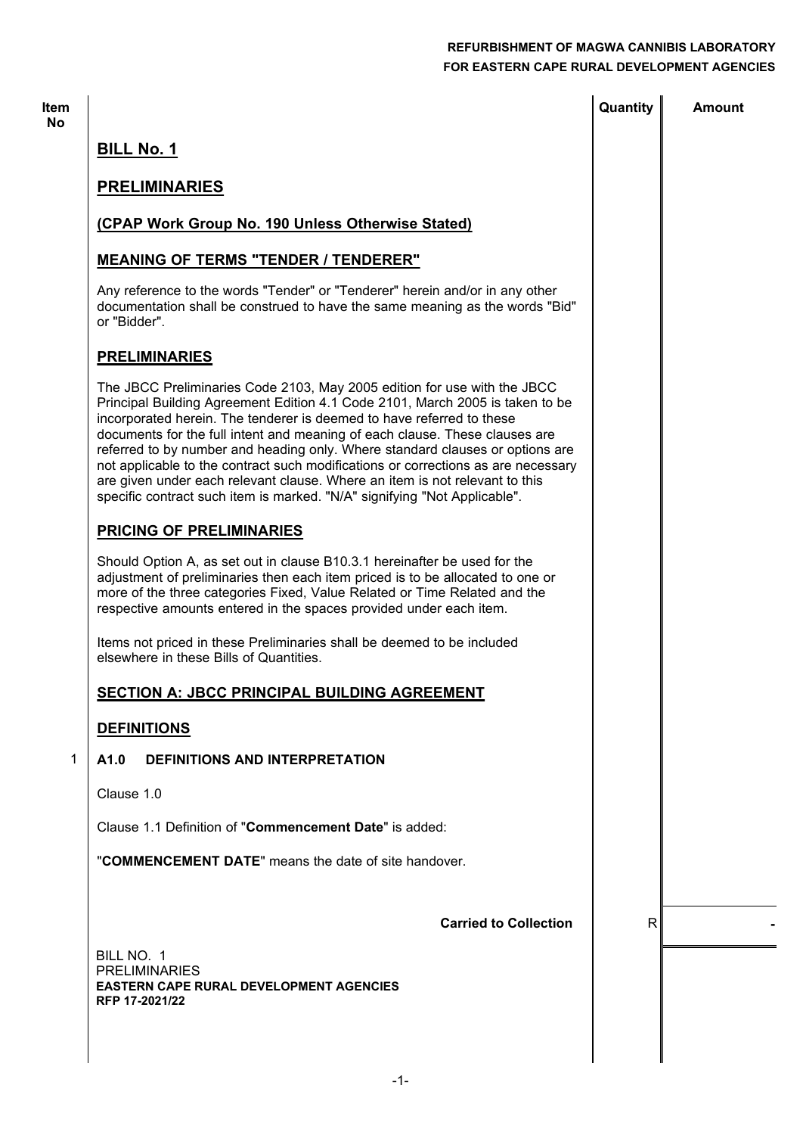=

|                                                                                                                                                                                                                                                                                                                                                                                                                                                                                                                                                                                                                                                     | Quantity     | <b>Amount</b> |
|-----------------------------------------------------------------------------------------------------------------------------------------------------------------------------------------------------------------------------------------------------------------------------------------------------------------------------------------------------------------------------------------------------------------------------------------------------------------------------------------------------------------------------------------------------------------------------------------------------------------------------------------------------|--------------|---------------|
| <b>BILL No. 1</b>                                                                                                                                                                                                                                                                                                                                                                                                                                                                                                                                                                                                                                   |              |               |
| <b>PRELIMINARIES</b>                                                                                                                                                                                                                                                                                                                                                                                                                                                                                                                                                                                                                                |              |               |
| (CPAP Work Group No. 190 Unless Otherwise Stated)                                                                                                                                                                                                                                                                                                                                                                                                                                                                                                                                                                                                   |              |               |
| <b>MEANING OF TERMS "TENDER / TENDERER"</b>                                                                                                                                                                                                                                                                                                                                                                                                                                                                                                                                                                                                         |              |               |
| Any reference to the words "Tender" or "Tenderer" herein and/or in any other<br>documentation shall be construed to have the same meaning as the words "Bid"<br>or "Bidder".                                                                                                                                                                                                                                                                                                                                                                                                                                                                        |              |               |
| <b>PRELIMINARIES</b>                                                                                                                                                                                                                                                                                                                                                                                                                                                                                                                                                                                                                                |              |               |
| The JBCC Preliminaries Code 2103, May 2005 edition for use with the JBCC<br>Principal Building Agreement Edition 4.1 Code 2101, March 2005 is taken to be<br>incorporated herein. The tenderer is deemed to have referred to these<br>documents for the full intent and meaning of each clause. These clauses are<br>referred to by number and heading only. Where standard clauses or options are<br>not applicable to the contract such modifications or corrections as are necessary<br>are given under each relevant clause. Where an item is not relevant to this<br>specific contract such item is marked. "N/A" signifying "Not Applicable". |              |               |
| <b>PRICING OF PRELIMINARIES</b>                                                                                                                                                                                                                                                                                                                                                                                                                                                                                                                                                                                                                     |              |               |
| Should Option A, as set out in clause B10.3.1 hereinafter be used for the<br>adjustment of preliminaries then each item priced is to be allocated to one or<br>more of the three categories Fixed, Value Related or Time Related and the<br>respective amounts entered in the spaces provided under each item.                                                                                                                                                                                                                                                                                                                                      |              |               |
| Items not priced in these Preliminaries shall be deemed to be included<br>elsewhere in these Bills of Quantities.                                                                                                                                                                                                                                                                                                                                                                                                                                                                                                                                   |              |               |
| SECTION A: JBCC PRINCIPAL BUILDING AGREEMENT                                                                                                                                                                                                                                                                                                                                                                                                                                                                                                                                                                                                        |              |               |
| <b>DEFINITIONS</b>                                                                                                                                                                                                                                                                                                                                                                                                                                                                                                                                                                                                                                  |              |               |
| A1.0<br><b>DEFINITIONS AND INTERPRETATION</b>                                                                                                                                                                                                                                                                                                                                                                                                                                                                                                                                                                                                       |              |               |
| Clause 1.0                                                                                                                                                                                                                                                                                                                                                                                                                                                                                                                                                                                                                                          |              |               |
| Clause 1.1 Definition of "Commencement Date" is added:                                                                                                                                                                                                                                                                                                                                                                                                                                                                                                                                                                                              |              |               |
| "COMMENCEMENT DATE" means the date of site handover.                                                                                                                                                                                                                                                                                                                                                                                                                                                                                                                                                                                                |              |               |
| <b>Carried to Collection</b>                                                                                                                                                                                                                                                                                                                                                                                                                                                                                                                                                                                                                        | $\mathsf{R}$ |               |
| BILL NO. 1<br><b>PRELIMINARIES</b><br><b>EASTERN CAPE RURAL DEVELOPMENT AGENCIES</b><br>RFP 17-2021/22                                                                                                                                                                                                                                                                                                                                                                                                                                                                                                                                              |              |               |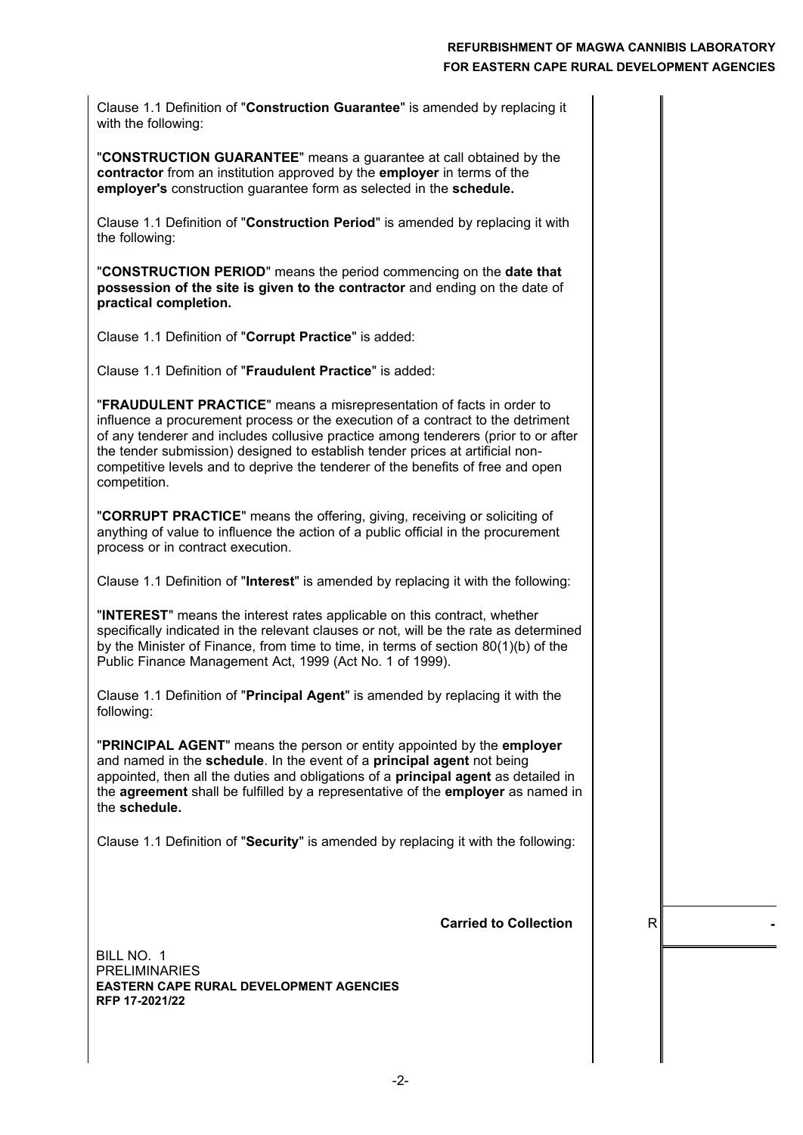Clause 1.1 Definition of "**Construction Guarantee**" is amended by replacing it with the following:

"**CONSTRUCTION GUARANTEE**" means a guarantee at call obtained by the **contractor** from an institution approved by the **employer** in terms of the **employer's** construction guarantee form as selected in the **schedule.**

Clause 1.1 Definition of "**Construction Period**" is amended by replacing it with the following:

"**CONSTRUCTION PERIOD**" means the period commencing on the **date that possession of the site is given to the contractor** and ending on the date of **practical completion.**

Clause 1.1 Definition of "**Corrupt Practice**" is added:

Clause 1.1 Definition of "**Fraudulent Practice**" is added:

"**FRAUDULENT PRACTICE**" means a misrepresentation of facts in order to influence a procurement process or the execution of a contract to the detriment of any tenderer and includes collusive practice among tenderers (prior to or after the tender submission) designed to establish tender prices at artificial noncompetitive levels and to deprive the tenderer of the benefits of free and open competition.

"**CORRUPT PRACTICE**" means the offering, giving, receiving or soliciting of anything of value to influence the action of a public official in the procurement process or in contract execution.

Clause 1.1 Definition of "**Interest**" is amended by replacing it with the following:

"**INTEREST**" means the interest rates applicable on this contract, whether specifically indicated in the relevant clauses or not, will be the rate as determined by the Minister of Finance, from time to time, in terms of section 80(1)(b) of the Public Finance Management Act, 1999 (Act No. 1 of 1999).

Clause 1.1 Definition of "**Principal Agent**" is amended by replacing it with the following:

"**PRINCIPAL AGENT**" means the person or entity appointed by the **employer** and named in the **schedule**. In the event of a **principal agent** not being appointed, then all the duties and obligations of a **principal agent** as detailed in the **agreement** shall be fulfilled by a representative of the **employer** as named in the **schedule.**

Clause 1.1 Definition of "**Security**" is amended by replacing it with the following:

**Carried to Collection**  $\vert$  R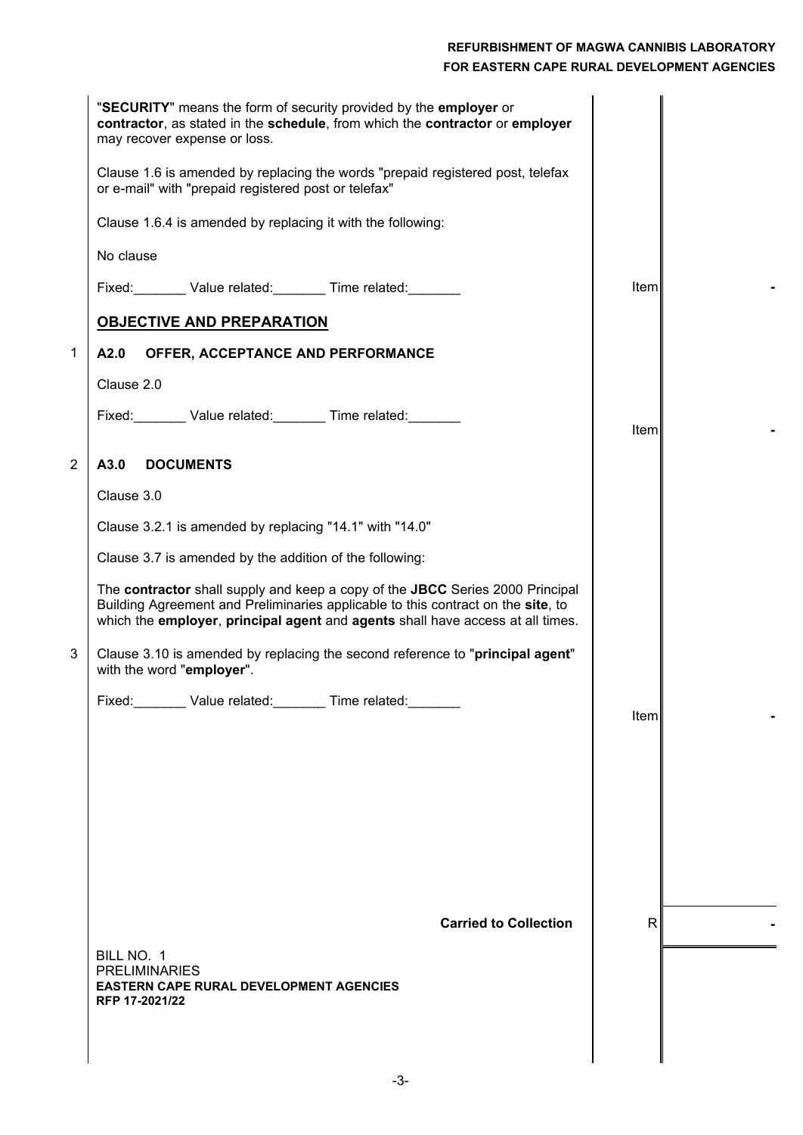|                | "SECURITY" means the form of security provided by the employer or<br>contractor, as stated in the schedule, from which the contractor or employer<br>may recover expense or loss.                                                                   |             |  |
|----------------|-----------------------------------------------------------------------------------------------------------------------------------------------------------------------------------------------------------------------------------------------------|-------------|--|
|                | Clause 1.6 is amended by replacing the words "prepaid registered post, telefax<br>or e-mail" with "prepaid registered post or telefax"                                                                                                              |             |  |
|                | Clause 1.6.4 is amended by replacing it with the following:                                                                                                                                                                                         |             |  |
|                | No clause                                                                                                                                                                                                                                           |             |  |
|                | Fixed: Value related: Time related: Value related:                                                                                                                                                                                                  | <b>Item</b> |  |
|                | <b>OBJECTIVE AND PREPARATION</b>                                                                                                                                                                                                                    |             |  |
| $\mathbf 1$    | A2.0<br>OFFER, ACCEPTANCE AND PERFORMANCE                                                                                                                                                                                                           |             |  |
|                | Clause 2.0                                                                                                                                                                                                                                          |             |  |
|                | Fixed: Value related: Time related: Value related:                                                                                                                                                                                                  |             |  |
|                |                                                                                                                                                                                                                                                     | Item        |  |
| $\overline{2}$ | A3.0<br><b>DOCUMENTS</b>                                                                                                                                                                                                                            |             |  |
|                | Clause 3.0                                                                                                                                                                                                                                          |             |  |
|                | Clause 3.2.1 is amended by replacing "14.1" with "14.0"                                                                                                                                                                                             |             |  |
|                | Clause 3.7 is amended by the addition of the following:                                                                                                                                                                                             |             |  |
|                | The contractor shall supply and keep a copy of the JBCC Series 2000 Principal<br>Building Agreement and Preliminaries applicable to this contract on the site, to<br>which the employer, principal agent and agents shall have access at all times. |             |  |
| 3              | Clause 3.10 is amended by replacing the second reference to "principal agent"<br>with the word "employer".                                                                                                                                          |             |  |
|                | Fixed: Value related: Time related:                                                                                                                                                                                                                 | Item        |  |
|                |                                                                                                                                                                                                                                                     |             |  |
|                |                                                                                                                                                                                                                                                     |             |  |
|                |                                                                                                                                                                                                                                                     |             |  |
|                |                                                                                                                                                                                                                                                     |             |  |
|                |                                                                                                                                                                                                                                                     |             |  |
|                |                                                                                                                                                                                                                                                     |             |  |
|                | <b>Carried to Collection</b>                                                                                                                                                                                                                        | R           |  |
|                | BILL NO. 1                                                                                                                                                                                                                                          |             |  |
|                | <b>PRELIMINARIES</b><br><b>EASTERN CAPE RURAL DEVELOPMENT AGENCIES</b>                                                                                                                                                                              |             |  |
|                | RFP 17-2021/22                                                                                                                                                                                                                                      |             |  |
|                |                                                                                                                                                                                                                                                     |             |  |
|                |                                                                                                                                                                                                                                                     |             |  |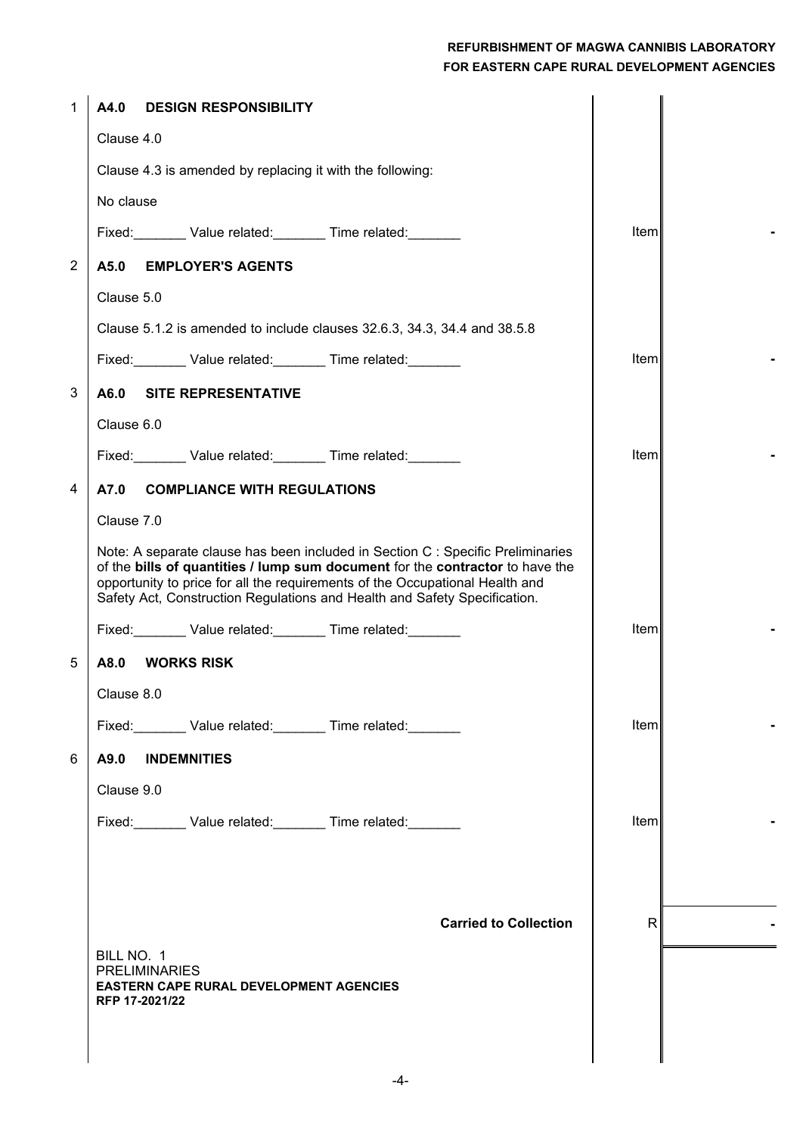| 1              | A4.0<br><b>DESIGN RESPONSIBILITY</b>                                                                                                                                                                                                                                                                                          |              |  |
|----------------|-------------------------------------------------------------------------------------------------------------------------------------------------------------------------------------------------------------------------------------------------------------------------------------------------------------------------------|--------------|--|
|                | Clause 4.0                                                                                                                                                                                                                                                                                                                    |              |  |
|                | Clause 4.3 is amended by replacing it with the following:                                                                                                                                                                                                                                                                     |              |  |
|                | No clause                                                                                                                                                                                                                                                                                                                     |              |  |
|                | Fixed: Value related: Time related:                                                                                                                                                                                                                                                                                           | Item         |  |
| $\overline{2}$ | <b>EMPLOYER'S AGENTS</b><br>A5.0                                                                                                                                                                                                                                                                                              |              |  |
|                | Clause 5.0                                                                                                                                                                                                                                                                                                                    |              |  |
|                | Clause 5.1.2 is amended to include clauses 32.6.3, 34.3, 34.4 and 38.5.8                                                                                                                                                                                                                                                      |              |  |
|                | Fixed: Value related: Time related:                                                                                                                                                                                                                                                                                           | Item         |  |
| 3              | <b>SITE REPRESENTATIVE</b><br>A6.0                                                                                                                                                                                                                                                                                            |              |  |
|                | Clause 6.0                                                                                                                                                                                                                                                                                                                    |              |  |
|                | Fixed: Value related: Time related:                                                                                                                                                                                                                                                                                           | Item         |  |
| 4              | A7.0<br><b>COMPLIANCE WITH REGULATIONS</b>                                                                                                                                                                                                                                                                                    |              |  |
|                | Clause 7.0                                                                                                                                                                                                                                                                                                                    |              |  |
|                | Note: A separate clause has been included in Section C : Specific Preliminaries<br>of the bills of quantities / lump sum document for the contractor to have the<br>opportunity to price for all the requirements of the Occupational Health and<br>Safety Act, Construction Regulations and Health and Safety Specification. |              |  |
|                | Fixed: Value related: Time related:                                                                                                                                                                                                                                                                                           | Item         |  |
| 5              | A8.0<br><b>WORKS RISK</b>                                                                                                                                                                                                                                                                                                     |              |  |
|                | Clause 8.0                                                                                                                                                                                                                                                                                                                    |              |  |
|                | Fixed: Value related: Time related: Value related:                                                                                                                                                                                                                                                                            | Item         |  |
| 6              | A9.0<br><b>INDEMNITIES</b>                                                                                                                                                                                                                                                                                                    |              |  |
|                | Clause 9.0                                                                                                                                                                                                                                                                                                                    |              |  |
|                | Fixed: Value related: Time related:                                                                                                                                                                                                                                                                                           | Item         |  |
|                |                                                                                                                                                                                                                                                                                                                               |              |  |
|                |                                                                                                                                                                                                                                                                                                                               |              |  |
|                | <b>Carried to Collection</b>                                                                                                                                                                                                                                                                                                  | $\mathsf{R}$ |  |
|                | BILL NO. 1                                                                                                                                                                                                                                                                                                                    |              |  |
|                | <b>PRELIMINARIES</b><br><b>EASTERN CAPE RURAL DEVELOPMENT AGENCIES</b>                                                                                                                                                                                                                                                        |              |  |
|                | RFP 17-2021/22                                                                                                                                                                                                                                                                                                                |              |  |
|                |                                                                                                                                                                                                                                                                                                                               |              |  |
|                |                                                                                                                                                                                                                                                                                                                               |              |  |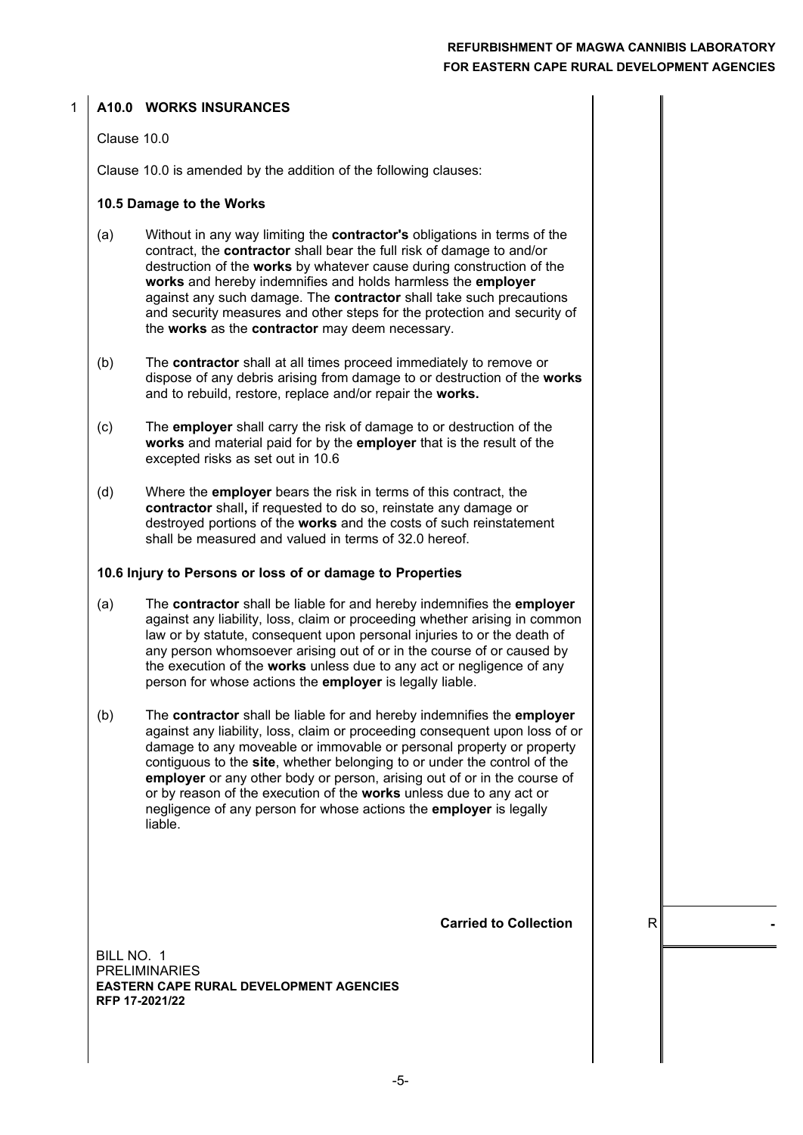#### **A10.0 WORKS INSURANCES**

#### Clause 10.0

1

Clause 10.0 is amended by the addition of the following clauses:

#### **10.5 Damage to the Works**

- (a) Without in any way limiting the **contractor's** obligations in terms of the contract, the **contractor** shall bear the full risk of damage to and/or destruction of the **works** by whatever cause during construction of the **works** and hereby indemnifies and holds harmless the **employer** against any such damage. The **contractor** shall take such precautions and security measures and other steps for the protection and security of the **works** as the **contractor** may deem necessary.
- (b) The **contractor** shall at all times proceed immediately to remove or dispose of any debris arising from damage to or destruction of the **works** and to rebuild, restore, replace and/or repair the **works.**
- (c) The **employer** shall carry the risk of damage to or destruction of the **works** and material paid for by the **employer** that is the result of the excepted risks as set out in 10.6
- (d) Where the **employer** bears the risk in terms of this contract, the **contractor** shall**,** if requested to do so, reinstate any damage or destroyed portions of the **works** and the costs of such reinstatement shall be measured and valued in terms of 32.0 hereof.

#### **10.6 Injury to Persons or loss of or damage to Properties**

- (a) The **contractor** shall be liable for and hereby indemnifies the **employer** against any liability, loss, claim or proceeding whether arising in common law or by statute, consequent upon personal injuries to or the death of any person whomsoever arising out of or in the course of or caused by the execution of the **works** unless due to any act or negligence of any person for whose actions the **employer** is legally liable.
- (b) The **contractor** shall be liable for and hereby indemnifies the **employer** against any liability, loss, claim or proceeding consequent upon loss of or damage to any moveable or immovable or personal property or property contiguous to the **site**, whether belonging to or under the control of the **employer** or any other body or person, arising out of or in the course of or by reason of the execution of the **works** unless due to any act or negligence of any person for whose actions the **employer** is legally liable.

**Carried to Collection**  R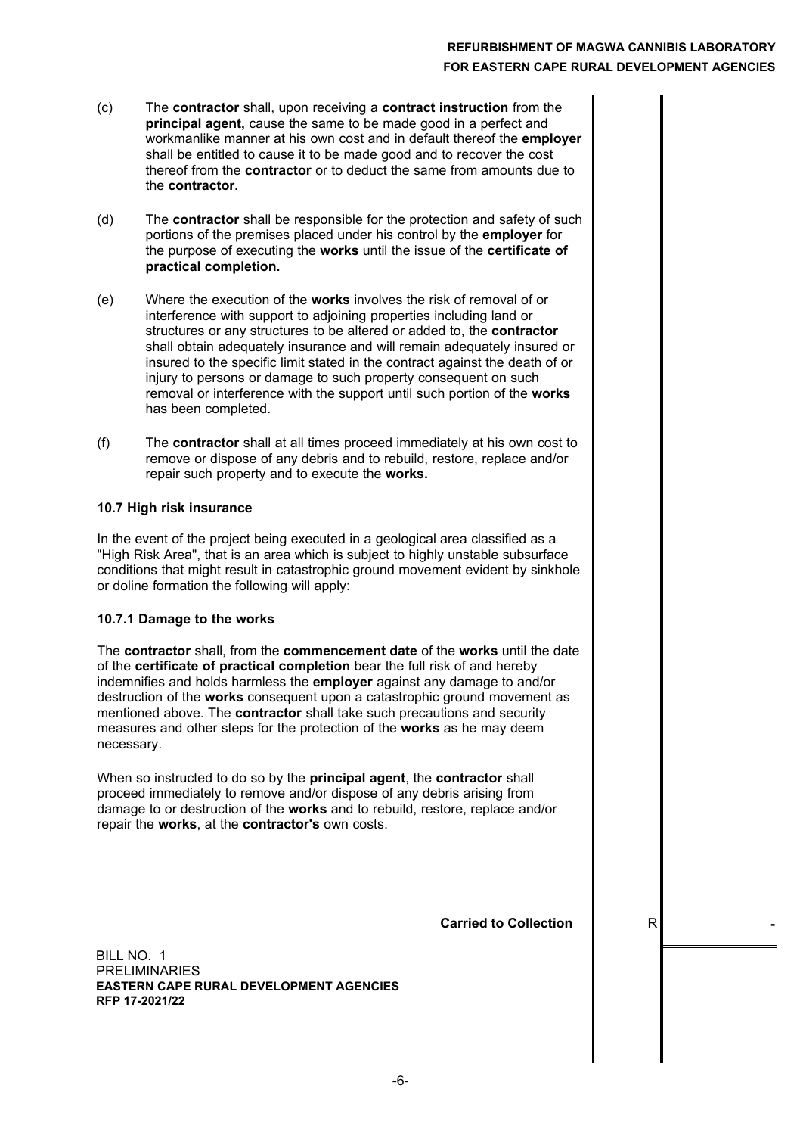- (c) The **contractor** shall, upon receiving a **contract instruction** from the **principal agent,** cause the same to be made good in a perfect and workmanlike manner at his own cost and in default thereof the **employer** shall be entitled to cause it to be made good and to recover the cost thereof from the **contractor** or to deduct the same from amounts due to the **contractor.**
- (d) The **contractor** shall be responsible for the protection and safety of such portions of the premises placed under his control by the **employer** for the purpose of executing the **works** until the issue of the **certificate of practical completion.**
- (e) Where the execution of the **works** involves the risk of removal of or interference with support to adjoining properties including land or structures or any structures to be altered or added to, the **contractor** shall obtain adequately insurance and will remain adequately insured or insured to the specific limit stated in the contract against the death of or injury to persons or damage to such property consequent on such removal or interference with the support until such portion of the **works** has been completed.
- (f) The **contractor** shall at all times proceed immediately at his own cost to remove or dispose of any debris and to rebuild, restore, replace and/or repair such property and to execute the **works.**

#### **10.7 High risk insurance**

In the event of the project being executed in a geological area classified as a "High Risk Area", that is an area which is subject to highly unstable subsurface conditions that might result in catastrophic ground movement evident by sinkhole or doline formation the following will apply:

#### **10.7.1 Damage to the works**

The **contractor** shall, from the **commencement date** of the **works** until the date of the **certificate of practical completion** bear the full risk of and hereby indemnifies and holds harmless the **employer** against any damage to and/or destruction of the **works** consequent upon a catastrophic ground movement as mentioned above. The **contractor** shall take such precautions and security measures and other steps for the protection of the **works** as he may deem necessary.

When so instructed to do so by the **principal agent**, the **contractor** shall proceed immediately to remove and/or dispose of any debris arising from damage to or destruction of the **works** and to rebuild, restore, replace and/or repair the **works**, at the **contractor's** own costs.

**Carried to Collection**  $\parallel$  R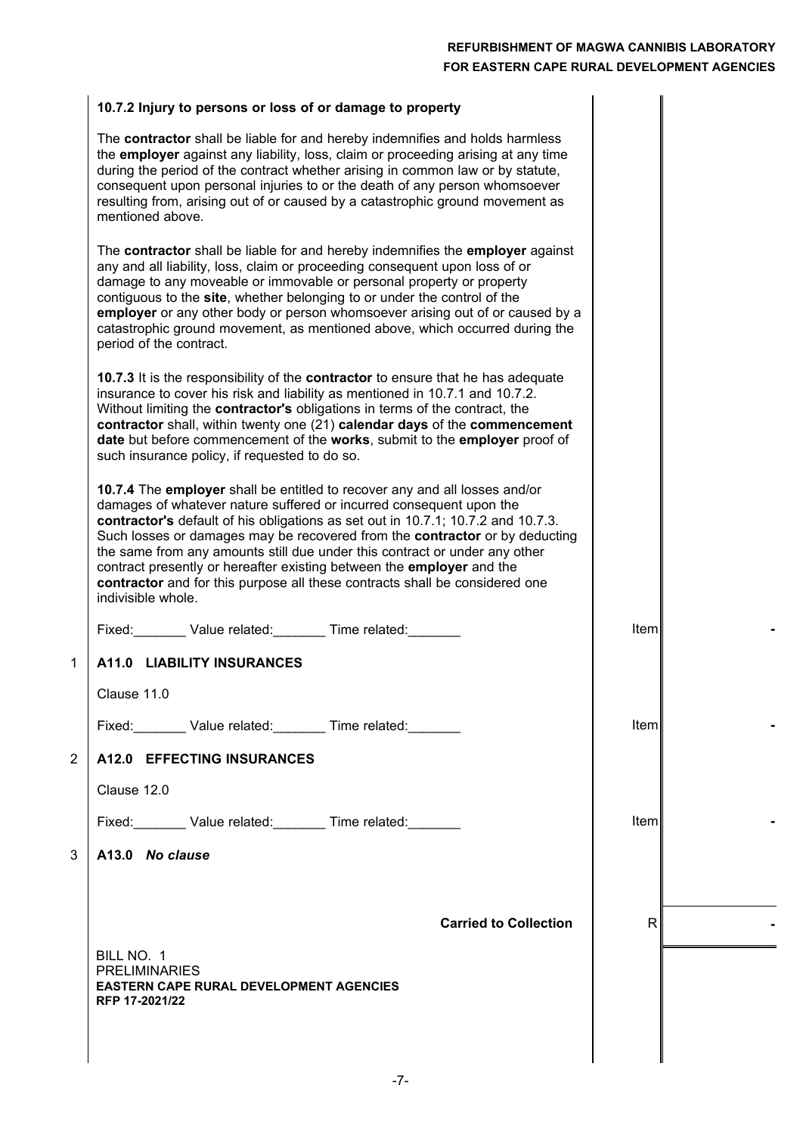$\parallel$ 

 $\overline{1}$ 

# **10.7.2 Injury to persons or loss of or damage to property**

|             | The contractor shall be liable for and hereby indemnifies and holds harmless<br>the employer against any liability, loss, claim or proceeding arising at any time<br>during the period of the contract whether arising in common law or by statute,<br>consequent upon personal injuries to or the death of any person whomsoever<br>resulting from, arising out of or caused by a catastrophic ground movement as<br>mentioned above.                                                                                                                                           |       |  |
|-------------|----------------------------------------------------------------------------------------------------------------------------------------------------------------------------------------------------------------------------------------------------------------------------------------------------------------------------------------------------------------------------------------------------------------------------------------------------------------------------------------------------------------------------------------------------------------------------------|-------|--|
|             | The contractor shall be liable for and hereby indemnifies the employer against<br>any and all liability, loss, claim or proceeding consequent upon loss of or<br>damage to any moveable or immovable or personal property or property<br>contiguous to the site, whether belonging to or under the control of the<br>employer or any other body or person whomsoever arising out of or caused by a<br>catastrophic ground movement, as mentioned above, which occurred during the<br>period of the contract.                                                                     |       |  |
|             | <b>10.7.3</b> It is the responsibility of the <b>contractor</b> to ensure that he has adequate<br>insurance to cover his risk and liability as mentioned in 10.7.1 and 10.7.2.<br>Without limiting the contractor's obligations in terms of the contract, the<br>contractor shall, within twenty one (21) calendar days of the commencement<br>date but before commencement of the works, submit to the employer proof of<br>such insurance policy, if requested to do so.                                                                                                       |       |  |
|             | 10.7.4 The employer shall be entitled to recover any and all losses and/or<br>damages of whatever nature suffered or incurred consequent upon the<br>contractor's default of his obligations as set out in 10.7.1; 10.7.2 and 10.7.3.<br>Such losses or damages may be recovered from the contractor or by deducting<br>the same from any amounts still due under this contract or under any other<br>contract presently or hereafter existing between the employer and the<br>contractor and for this purpose all these contracts shall be considered one<br>indivisible whole. |       |  |
|             | Fixed: Value related: Time related:                                                                                                                                                                                                                                                                                                                                                                                                                                                                                                                                              | Item  |  |
| $\mathbf 1$ | A11.0 LIABILITY INSURANCES                                                                                                                                                                                                                                                                                                                                                                                                                                                                                                                                                       |       |  |
|             | Clause 11.0                                                                                                                                                                                                                                                                                                                                                                                                                                                                                                                                                                      |       |  |
|             | Fixed: Value related: Time related:                                                                                                                                                                                                                                                                                                                                                                                                                                                                                                                                              | ltem  |  |
| 2           | A12.0 EFFECTING INSURANCES                                                                                                                                                                                                                                                                                                                                                                                                                                                                                                                                                       |       |  |
|             | Clause 12.0                                                                                                                                                                                                                                                                                                                                                                                                                                                                                                                                                                      |       |  |
|             | Fixed: Value related: Time related:                                                                                                                                                                                                                                                                                                                                                                                                                                                                                                                                              | lteml |  |
| 3           | A13.0 No clause                                                                                                                                                                                                                                                                                                                                                                                                                                                                                                                                                                  |       |  |
|             |                                                                                                                                                                                                                                                                                                                                                                                                                                                                                                                                                                                  |       |  |
|             | <b>Carried to Collection</b>                                                                                                                                                                                                                                                                                                                                                                                                                                                                                                                                                     | R.    |  |
|             | BILL NO. 1<br><b>PRELIMINARIES</b><br><b>EASTERN CAPE RURAL DEVELOPMENT AGENCIES</b><br>RFP 17-2021/22                                                                                                                                                                                                                                                                                                                                                                                                                                                                           |       |  |
|             |                                                                                                                                                                                                                                                                                                                                                                                                                                                                                                                                                                                  |       |  |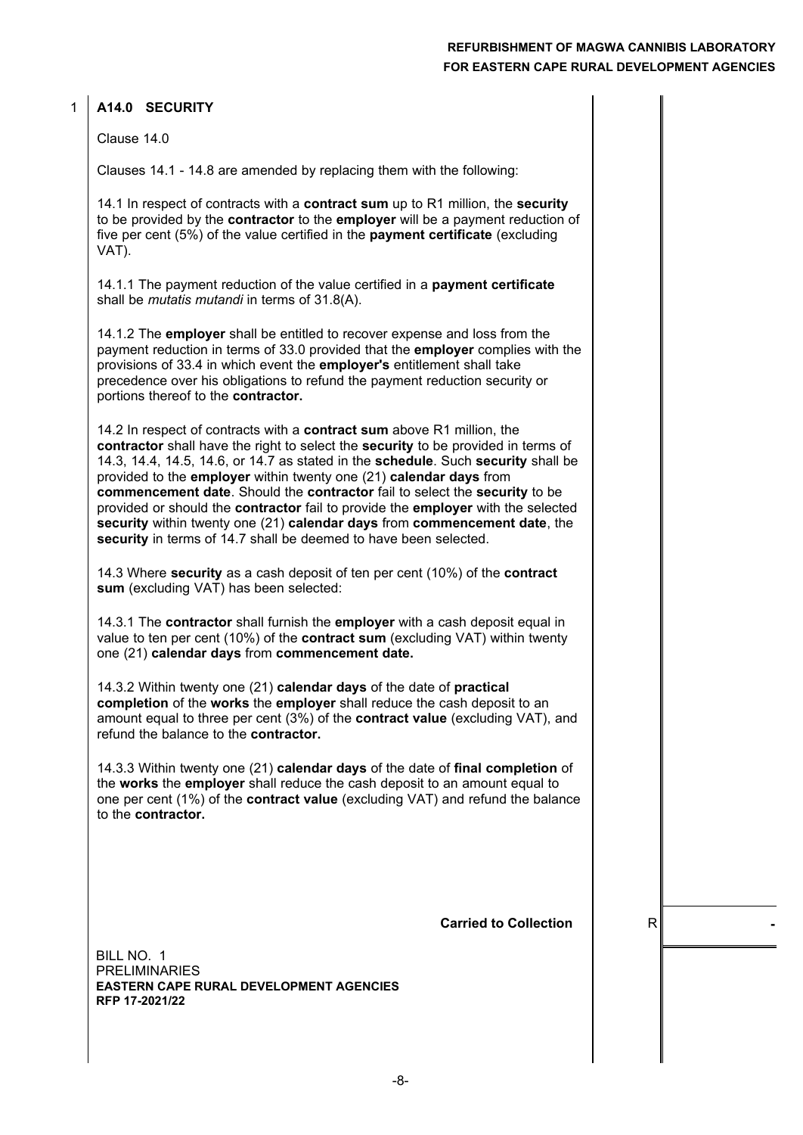#### **A14.0 SECURITY** 1

Clause 14.0

Clauses 14.1 - 14.8 are amended by replacing them with the following:

14.1 In respect of contracts with a **contract sum** up to R1 million, the **security** to be provided by the **contractor** to the **employer** will be a payment reduction of five per cent (5%) of the value certified in the **payment certificate** (excluding VAT).

14.1.1 The payment reduction of the value certified in a **payment certificate** shall be *mutatis mutandi* in terms of 31.8(A).

14.1.2 The **employer** shall be entitled to recover expense and loss from the payment reduction in terms of 33.0 provided that the **employer** complies with the provisions of 33.4 in which event the **employer's** entitlement shall take precedence over his obligations to refund the payment reduction security or portions thereof to the **contractor.**

14.2 In respect of contracts with a **contract sum** above R1 million, the **contractor** shall have the right to select the **security** to be provided in terms of 14.3, 14.4, 14.5, 14.6, or 14.7 as stated in the **schedule**. Such **security** shall be provided to the **employer** within twenty one (21) **calendar days** from **commencement date**. Should the **contractor** fail to select the **security** to be provided or should the **contractor** fail to provide the **employer** with the selected **security** within twenty one (21) **calendar days** from **commencement date**, the **security** in terms of 14.7 shall be deemed to have been selected.

14.3 Where **security** as a cash deposit of ten per cent (10%) of the **contract sum** (excluding VAT) has been selected:

14.3.1 The **contractor** shall furnish the **employer** with a cash deposit equal in value to ten per cent (10%) of the **contract sum** (excluding VAT) within twenty one (21) **calendar days** from **commencement date.**

14.3.2 Within twenty one (21) **calendar days** of the date of **practical completion** of the **works** the **employer** shall reduce the cash deposit to an amount equal to three per cent (3%) of the **contract value** (excluding VAT), and refund the balance to the **contractor.**

14.3.3 Within twenty one (21) **calendar days** of the date of **final completion** of the **works** the **employer** shall reduce the cash deposit to an amount equal to one per cent (1%) of the **contract value** (excluding VAT) and refund the balance to the **contractor.**

**Carried to Collection**  $\parallel$  R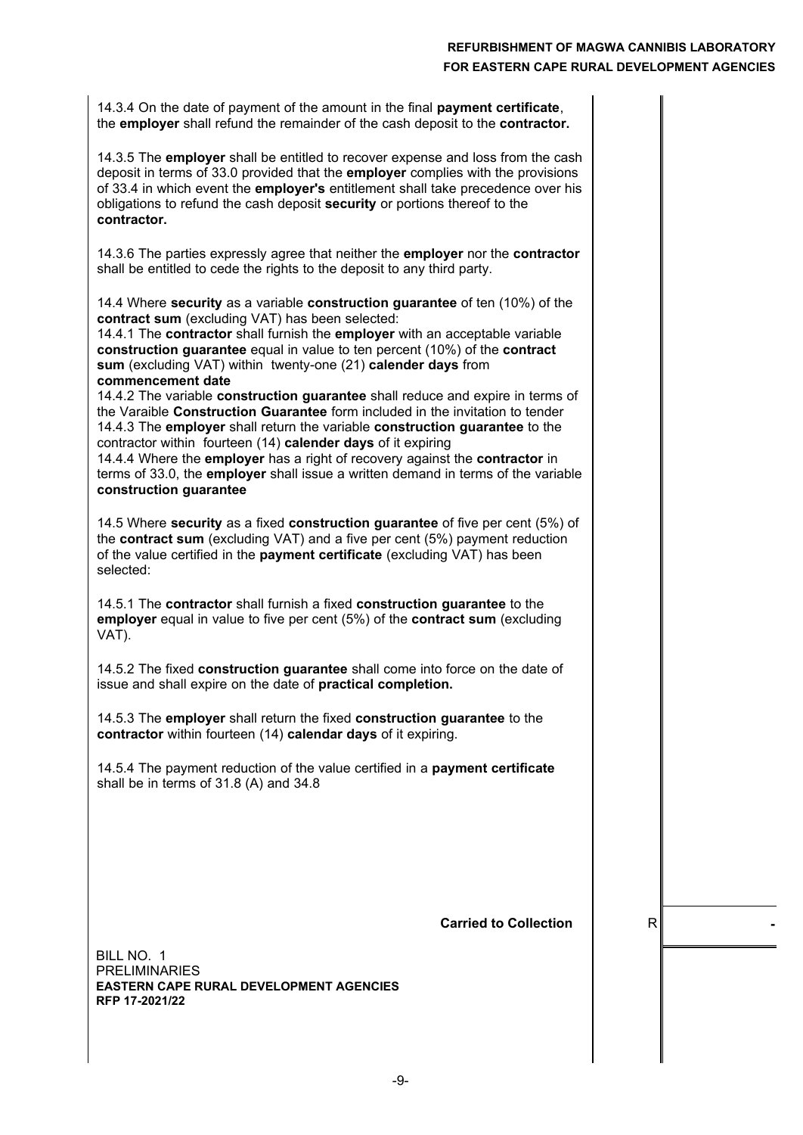14.3.4 On the date of payment of the amount in the final **payment certificate**, the **employer** shall refund the remainder of the cash deposit to the **contractor.**

14.3.5 The **employer** shall be entitled to recover expense and loss from the cash deposit in terms of 33.0 provided that the **employer** complies with the provisions of 33.4 in which event the **employer's** entitlement shall take precedence over his obligations to refund the cash deposit **security** or portions thereof to the **contractor.**

14.3.6 The parties expressly agree that neither the **employer** nor the **contractor** shall be entitled to cede the rights to the deposit to any third party.

14.4 Where **security** as a variable **construction guarantee** of ten (10%) of the **contract sum** (excluding VAT) has been selected:

14.4.1 The **contractor** shall furnish the **employer** with an acceptable variable **construction guarantee** equal in value to ten percent (10%) of the **contract sum** (excluding VAT) within twenty-one (21) **calender days** from **commencement date**

14.4.2 The variable **construction guarantee** shall reduce and expire in terms of the Varaible **Construction Guarantee** form included in the invitation to tender 14.4.3 The **employer** shall return the variable **construction guarantee** to the contractor within fourteen (14) **calender days** of it expiring

14.4.4 Where the **employer** has a right of recovery against the **contractor** in terms of 33.0, the **employer** shall issue a written demand in terms of the variable **construction guarantee**

14.5 Where **security** as a fixed **construction guarantee** of five per cent (5%) of the **contract sum** (excluding VAT) and a five per cent (5%) payment reduction of the value certified in the **payment certificate** (excluding VAT) has been selected:

14.5.1 The **contractor** shall furnish a fixed **construction guarantee** to the **employer** equal in value to five per cent (5%) of the **contract sum** (excluding VAT).

14.5.2 The fixed **construction guarantee** shall come into force on the date of issue and shall expire on the date of **practical completion.**

14.5.3 The **employer** shall return the fixed **construction guarantee** to the **contractor** within fourteen (14) **calendar days** of it expiring.

14.5.4 The payment reduction of the value certified in a **payment certificate** shall be in terms of 31.8 (A) and 34.8

**Carried to Collection**  $\parallel$  R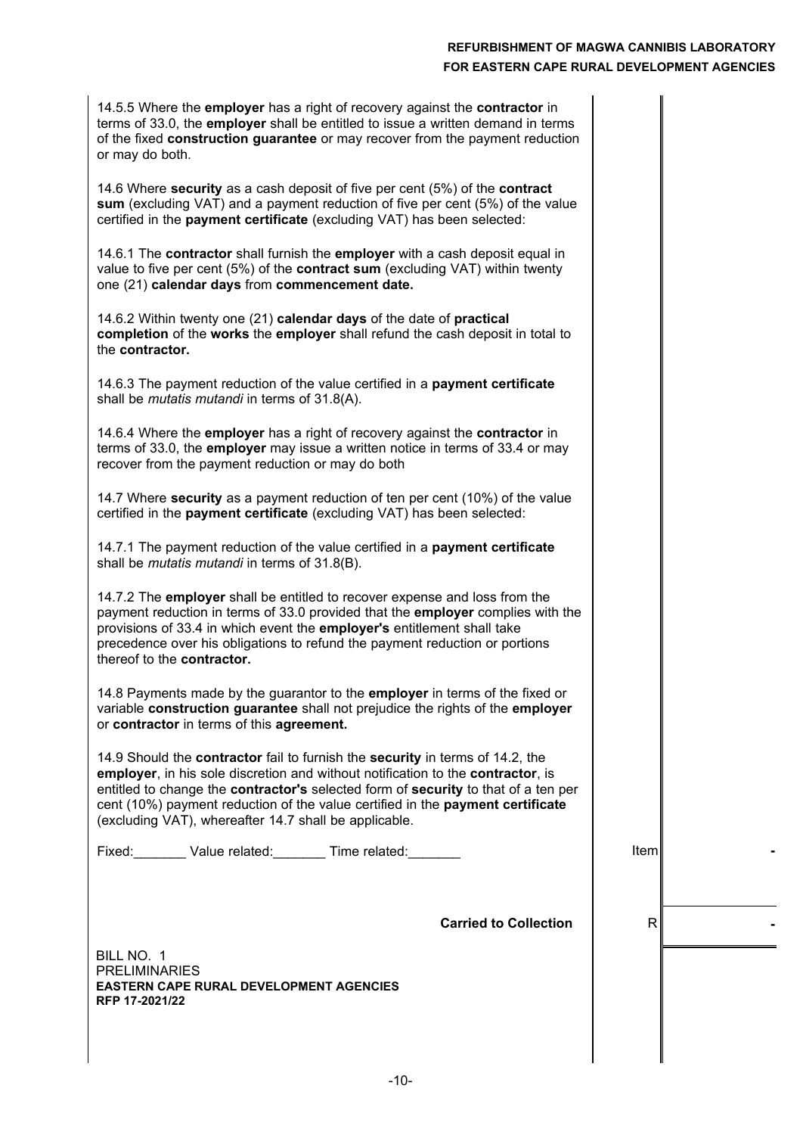14.5.5 Where the **employer** has a right of recovery against the **contractor** in terms of 33.0, the **employer** shall be entitled to issue a written demand in terms of the fixed **construction guarantee** or may recover from the payment reduction or may do both.

14.6 Where **security** as a cash deposit of five per cent (5%) of the **contract sum** (excluding VAT) and a payment reduction of five per cent (5%) of the value certified in the **payment certificate** (excluding VAT) has been selected:

14.6.1 The **contractor** shall furnish the **employer** with a cash deposit equal in value to five per cent (5%) of the **contract sum** (excluding VAT) within twenty one (21) **calendar days** from **commencement date.**

14.6.2 Within twenty one (21) **calendar days** of the date of **practical completion** of the **works** the **employer** shall refund the cash deposit in total to the **contractor.**

14.6.3 The payment reduction of the value certified in a **payment certificate** shall be *mutatis mutandi* in terms of 31.8(A).

14.6.4 Where the **employer** has a right of recovery against the **contractor** in terms of 33.0, the **employer** may issue a written notice in terms of 33.4 or may recover from the payment reduction or may do both

14.7 Where **security** as a payment reduction of ten per cent (10%) of the value certified in the **payment certificate** (excluding VAT) has been selected:

14.7.1 The payment reduction of the value certified in a **payment certificate** shall be *mutatis mutandi* in terms of 31.8(B).

14.7.2 The **employer** shall be entitled to recover expense and loss from the payment reduction in terms of 33.0 provided that the **employer** complies with the provisions of 33.4 in which event the **employer's** entitlement shall take precedence over his obligations to refund the payment reduction or portions thereof to the **contractor.**

14.8 Payments made by the guarantor to the **employer** in terms of the fixed or variable **construction guarantee** shall not prejudice the rights of the **employer** or **contractor** in terms of this **agreement.**

14.9 Should the **contractor** fail to furnish the **security** in terms of 14.2, the **employer**, in his sole discretion and without notification to the **contractor**, is entitled to change the **contractor's** selected form of **security** to that of a ten per cent (10%) payment reduction of the value certified in the **payment certificate** (excluding VAT), whereafter 14.7 shall be applicable.

Fixed: Value related: Time related:

Item **-**

**Carried to Collection**  $\vert$  R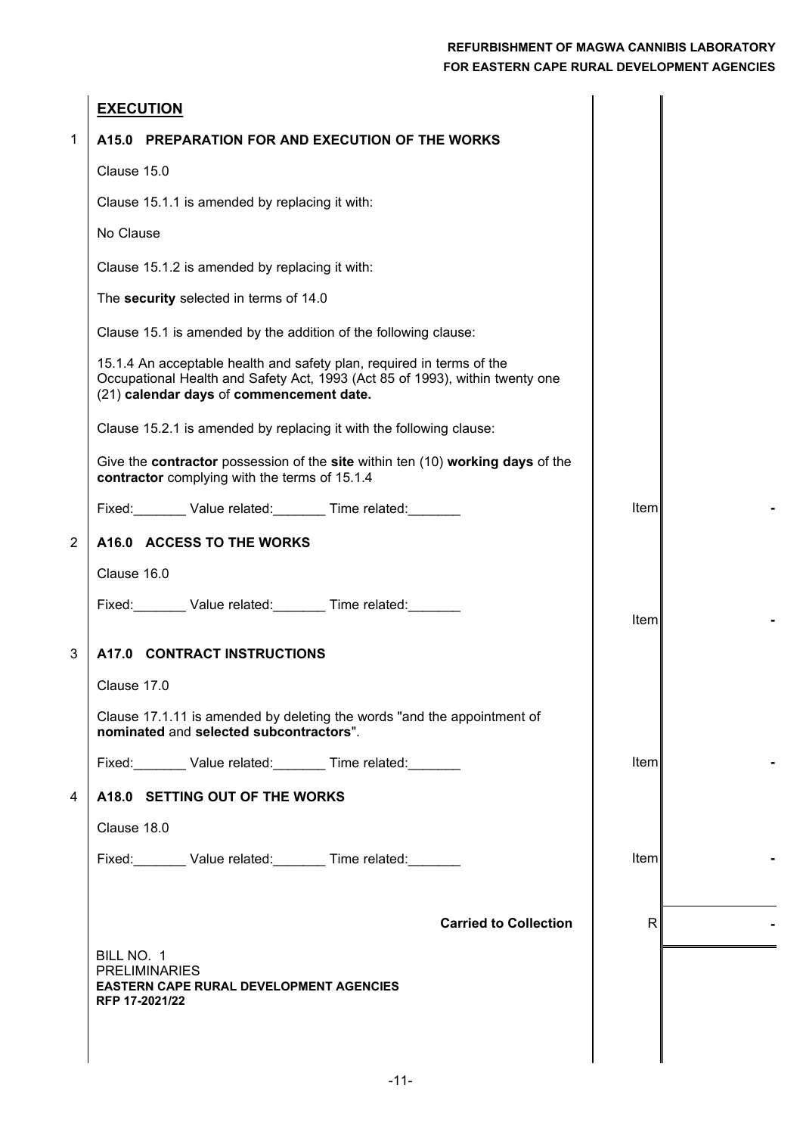|                | <b>EXECUTION</b>                                                                                                                                                                                  |             |  |
|----------------|---------------------------------------------------------------------------------------------------------------------------------------------------------------------------------------------------|-------------|--|
| 1              | A15.0 PREPARATION FOR AND EXECUTION OF THE WORKS                                                                                                                                                  |             |  |
|                | Clause 15.0                                                                                                                                                                                       |             |  |
|                | Clause 15.1.1 is amended by replacing it with:                                                                                                                                                    |             |  |
|                | No Clause                                                                                                                                                                                         |             |  |
|                | Clause 15.1.2 is amended by replacing it with:                                                                                                                                                    |             |  |
|                | The security selected in terms of 14.0                                                                                                                                                            |             |  |
|                | Clause 15.1 is amended by the addition of the following clause:                                                                                                                                   |             |  |
|                | 15.1.4 An acceptable health and safety plan, required in terms of the<br>Occupational Health and Safety Act, 1993 (Act 85 of 1993), within twenty one<br>(21) calendar days of commencement date. |             |  |
|                | Clause 15.2.1 is amended by replacing it with the following clause:                                                                                                                               |             |  |
|                | Give the contractor possession of the site within ten (10) working days of the<br>contractor complying with the terms of 15.1.4                                                                   |             |  |
|                | Fixed: Value related: Time related:                                                                                                                                                               | Item        |  |
| $\overline{2}$ | A16.0 ACCESS TO THE WORKS                                                                                                                                                                         |             |  |
|                | Clause 16.0                                                                                                                                                                                       |             |  |
|                | Fixed: Value related: Time related: Value related:                                                                                                                                                | <b>Item</b> |  |
| 3              | A17.0 CONTRACT INSTRUCTIONS                                                                                                                                                                       |             |  |
|                | Clause 17.0                                                                                                                                                                                       |             |  |
|                | Clause 17.1.11 is amended by deleting the words "and the appointment of<br>nominated and selected subcontractors".                                                                                |             |  |
|                | Fixed: Value related: Time related: Value related:                                                                                                                                                | Iteml       |  |
| 4              | A18.0 SETTING OUT OF THE WORKS                                                                                                                                                                    |             |  |
|                | Clause 18.0                                                                                                                                                                                       |             |  |
|                | Fixed: Value related: Time related:                                                                                                                                                               | lteml       |  |
|                |                                                                                                                                                                                                   |             |  |
|                | <b>Carried to Collection</b>                                                                                                                                                                      | R           |  |
|                | BILL NO. 1                                                                                                                                                                                        |             |  |
|                | <b>PRELIMINARIES</b><br><b>EASTERN CAPE RURAL DEVELOPMENT AGENCIES</b><br>RFP 17-2021/22                                                                                                          |             |  |
|                |                                                                                                                                                                                                   |             |  |
|                |                                                                                                                                                                                                   |             |  |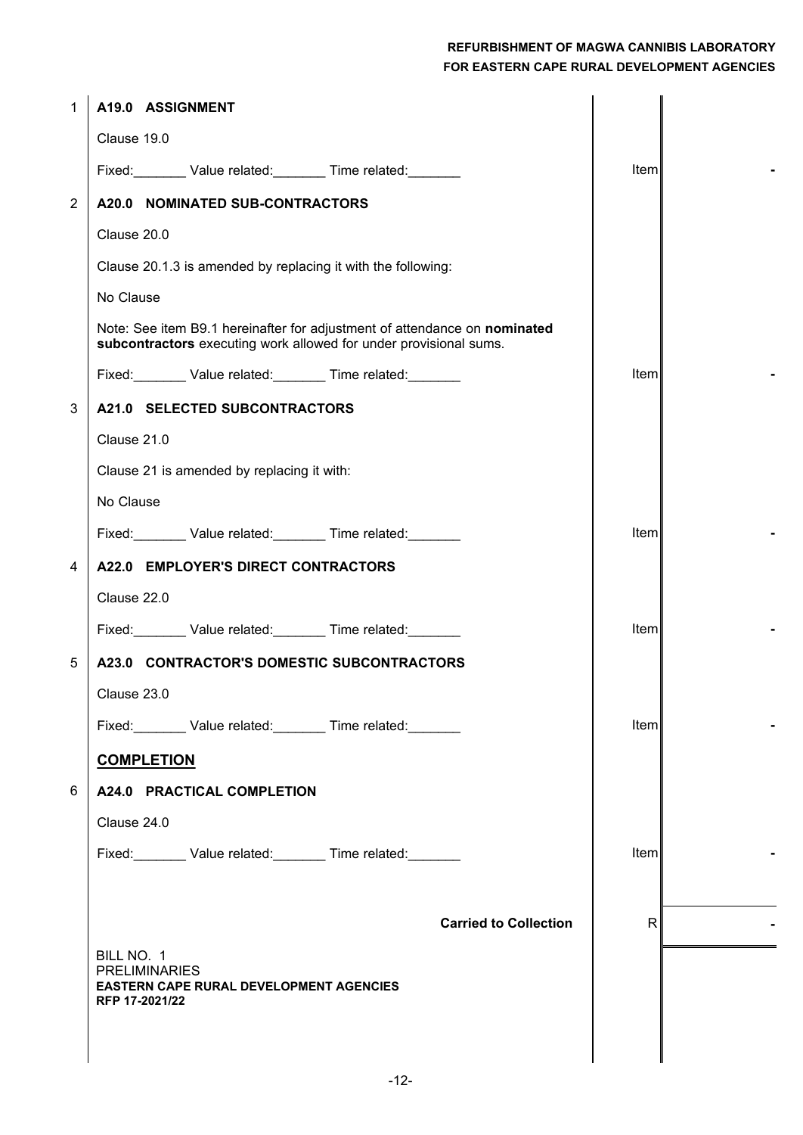| $\mathbf{1}$   | A19.0 ASSIGNMENT                                                                                                                               |              |  |
|----------------|------------------------------------------------------------------------------------------------------------------------------------------------|--------------|--|
|                | Clause 19.0                                                                                                                                    |              |  |
|                | Fixed: Value related: Time related: Value related:                                                                                             | Item         |  |
| $\overline{2}$ | A20.0 NOMINATED SUB-CONTRACTORS                                                                                                                |              |  |
|                | Clause 20.0                                                                                                                                    |              |  |
|                | Clause 20.1.3 is amended by replacing it with the following:                                                                                   |              |  |
|                | No Clause                                                                                                                                      |              |  |
|                | Note: See item B9.1 hereinafter for adjustment of attendance on nominated<br>subcontractors executing work allowed for under provisional sums. |              |  |
|                | Fixed: Value related: Time related: Value related:                                                                                             | Item         |  |
| 3              | A21.0 SELECTED SUBCONTRACTORS                                                                                                                  |              |  |
|                | Clause 21.0                                                                                                                                    |              |  |
|                | Clause 21 is amended by replacing it with:                                                                                                     |              |  |
|                | No Clause                                                                                                                                      |              |  |
|                | Fixed: Value related: Time related: Value related:                                                                                             | Item         |  |
| $\overline{4}$ | A22.0 EMPLOYER'S DIRECT CONTRACTORS                                                                                                            |              |  |
|                | Clause 22.0                                                                                                                                    |              |  |
|                | Fixed: Value related: Time related: Value related:                                                                                             | Item         |  |
| 5              | A23.0 CONTRACTOR'S DOMESTIC SUBCONTRACTORS                                                                                                     |              |  |
|                | Clause 23.0                                                                                                                                    |              |  |
|                | Fixed: Value related: Time related:                                                                                                            | Item         |  |
|                | <b>COMPLETION</b>                                                                                                                              |              |  |
| 6              | A24.0 PRACTICAL COMPLETION                                                                                                                     |              |  |
|                | Clause 24.0                                                                                                                                    |              |  |
|                | Fixed: Value related: Time related: Value related:                                                                                             | <b>Item</b>  |  |
|                |                                                                                                                                                |              |  |
|                | <b>Carried to Collection</b>                                                                                                                   | $\mathsf{R}$ |  |
|                | BILL NO. 1                                                                                                                                     |              |  |
|                | <b>PRELIMINARIES</b><br><b>EASTERN CAPE RURAL DEVELOPMENT AGENCIES</b>                                                                         |              |  |
|                | RFP 17-2021/22                                                                                                                                 |              |  |
|                |                                                                                                                                                |              |  |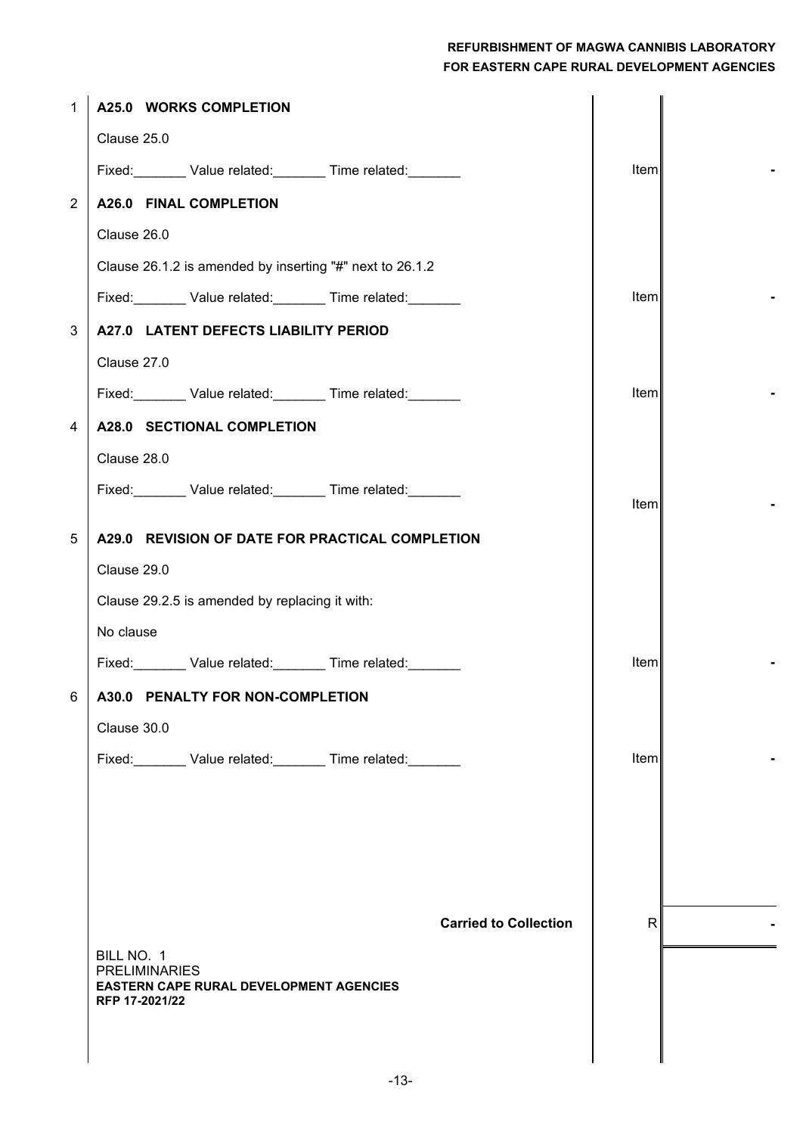| $\mathbf{1}$   | A25.0 WORKS COMPLETION                                                 |       |  |
|----------------|------------------------------------------------------------------------|-------|--|
|                | Clause 25.0                                                            |       |  |
|                | Fixed: Value related: Time related: Value related:                     | Item  |  |
| $\overline{2}$ | <b>A26.0 FINAL COMPLETION</b>                                          |       |  |
|                | Clause 26.0                                                            |       |  |
|                | Clause 26.1.2 is amended by inserting "#" next to 26.1.2               |       |  |
|                | Fixed: Value related: Time related:                                    | Item  |  |
| 3              | A27.0 LATENT DEFECTS LIABILITY PERIOD                                  |       |  |
|                | Clause 27.0                                                            |       |  |
|                | Fixed: Value related: Time related:                                    | Item  |  |
| 4              | A28.0 SECTIONAL COMPLETION                                             |       |  |
|                | Clause 28.0                                                            |       |  |
|                | Fixed: Value related: Time related:                                    | Item  |  |
| 5              | A29.0 REVISION OF DATE FOR PRACTICAL COMPLETION                        |       |  |
|                | Clause 29.0                                                            |       |  |
|                | Clause 29.2.5 is amended by replacing it with:                         |       |  |
|                | No clause                                                              |       |  |
|                | Fixed: Value related: Time related:                                    | Item  |  |
| 6              | A30.0 PENALTY FOR NON-COMPLETION                                       |       |  |
|                | Clause 30.0                                                            |       |  |
|                | Fixed: Value related: Time related: Value related:                     | Iteml |  |
|                |                                                                        |       |  |
|                |                                                                        |       |  |
|                |                                                                        |       |  |
|                |                                                                        |       |  |
|                | <b>Carried to Collection</b>                                           | R     |  |
|                | BILL NO. 1                                                             |       |  |
|                | <b>PRELIMINARIES</b><br><b>EASTERN CAPE RURAL DEVELOPMENT AGENCIES</b> |       |  |
|                | RFP 17-2021/22                                                         |       |  |
|                |                                                                        |       |  |
|                |                                                                        |       |  |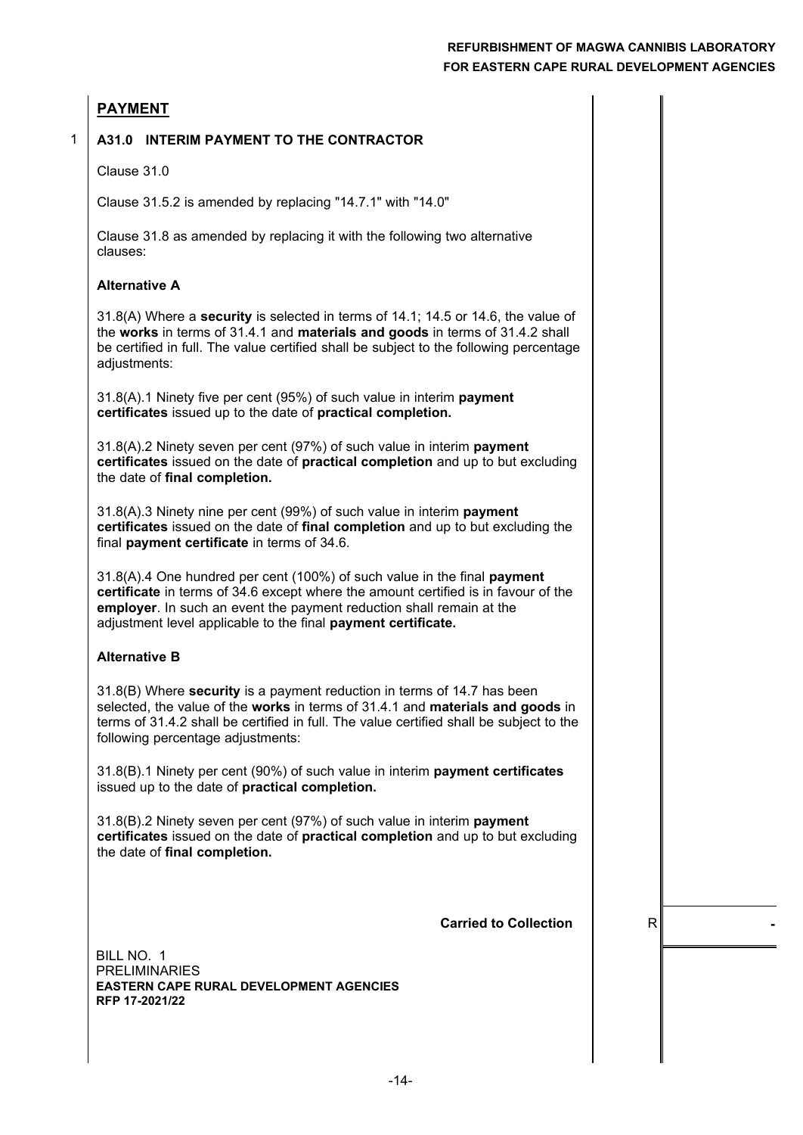#### **PAYMENT**

1

#### **A31.0 INTERIM PAYMENT TO THE CONTRACTOR**

Clause 31.0

Clause 31.5.2 is amended by replacing "14.7.1" with "14.0"

Clause 31.8 as amended by replacing it with the following two alternative clauses:

#### **Alternative A**

31.8(A) Where a **security** is selected in terms of 14.1; 14.5 or 14.6, the value of the **works** in terms of 31.4.1 and **materials and goods** in terms of 31.4.2 shall be certified in full. The value certified shall be subject to the following percentage adiustments:

31.8(A).1 Ninety five per cent (95%) of such value in interim **payment certificates** issued up to the date of **practical completion.**

31.8(A).2 Ninety seven per cent (97%) of such value in interim **payment certificates** issued on the date of **practical completion** and up to but excluding the date of **final completion.**

31.8(A).3 Ninety nine per cent (99%) of such value in interim **payment certificates** issued on the date of **final completion** and up to but excluding the final **payment certificate** in terms of 34.6.

31.8(A).4 One hundred per cent (100%) of such value in the final **payment certificate** in terms of 34.6 except where the amount certified is in favour of the **employer**. In such an event the payment reduction shall remain at the adjustment level applicable to the final **payment certificate.**

#### **Alternative B**

31.8(B) Where **security** is a payment reduction in terms of 14.7 has been selected, the value of the **works** in terms of 31.4.1 and **materials and goods** in terms of 31.4.2 shall be certified in full. The value certified shall be subject to the following percentage adjustments:

31.8(B).1 Ninety per cent (90%) of such value in interim **payment certificates** issued up to the date of **practical completion.**

31.8(B).2 Ninety seven per cent (97%) of such value in interim **payment certificates** issued on the date of **practical completion** and up to but excluding the date of **final completion.**

**Carried to Collection**  $\parallel$  R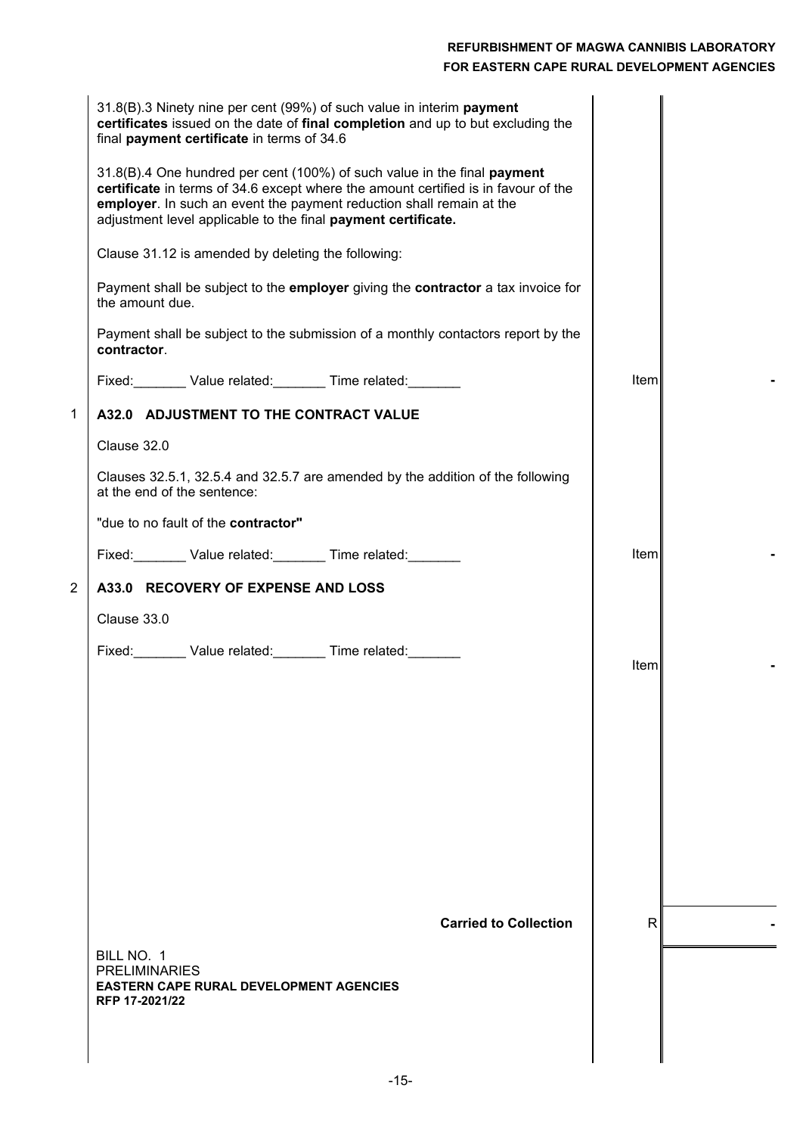|                | 31.8(B).3 Ninety nine per cent (99%) of such value in interim payment<br>certificates issued on the date of final completion and up to but excluding the<br>final payment certificate in terms of 34.6                                                                                                  |             |  |
|----------------|---------------------------------------------------------------------------------------------------------------------------------------------------------------------------------------------------------------------------------------------------------------------------------------------------------|-------------|--|
|                | 31.8(B).4 One hundred per cent (100%) of such value in the final payment<br>certificate in terms of 34.6 except where the amount certified is in favour of the<br>employer. In such an event the payment reduction shall remain at the<br>adjustment level applicable to the final payment certificate. |             |  |
|                | Clause 31.12 is amended by deleting the following:                                                                                                                                                                                                                                                      |             |  |
|                | Payment shall be subject to the employer giving the contractor a tax invoice for<br>the amount due.                                                                                                                                                                                                     |             |  |
|                | Payment shall be subject to the submission of a monthly contactors report by the<br>contractor.                                                                                                                                                                                                         |             |  |
|                | Fixed: Value related: Time related: Value related:                                                                                                                                                                                                                                                      | <b>Item</b> |  |
| $\mathbf 1$    | A32.0 ADJUSTMENT TO THE CONTRACT VALUE                                                                                                                                                                                                                                                                  |             |  |
|                | Clause 32.0                                                                                                                                                                                                                                                                                             |             |  |
|                | Clauses 32.5.1, 32.5.4 and 32.5.7 are amended by the addition of the following<br>at the end of the sentence:                                                                                                                                                                                           |             |  |
|                | "due to no fault of the contractor"                                                                                                                                                                                                                                                                     |             |  |
|                | Fixed: Value related: Time related:                                                                                                                                                                                                                                                                     | <b>Item</b> |  |
| $\overline{2}$ | A33.0 RECOVERY OF EXPENSE AND LOSS                                                                                                                                                                                                                                                                      |             |  |
|                | Clause 33.0                                                                                                                                                                                                                                                                                             |             |  |
|                |                                                                                                                                                                                                                                                                                                         | Item        |  |
|                |                                                                                                                                                                                                                                                                                                         |             |  |
|                |                                                                                                                                                                                                                                                                                                         |             |  |
|                |                                                                                                                                                                                                                                                                                                         |             |  |
|                |                                                                                                                                                                                                                                                                                                         |             |  |
|                |                                                                                                                                                                                                                                                                                                         |             |  |
|                |                                                                                                                                                                                                                                                                                                         |             |  |
|                |                                                                                                                                                                                                                                                                                                         |             |  |
|                | <b>Carried to Collection</b>                                                                                                                                                                                                                                                                            | R.          |  |
|                | BILL NO. 1                                                                                                                                                                                                                                                                                              |             |  |
|                | <b>PRELIMINARIES</b><br><b>EASTERN CAPE RURAL DEVELOPMENT AGENCIES</b>                                                                                                                                                                                                                                  |             |  |
|                | RFP 17-2021/22                                                                                                                                                                                                                                                                                          |             |  |
|                |                                                                                                                                                                                                                                                                                                         |             |  |
|                |                                                                                                                                                                                                                                                                                                         |             |  |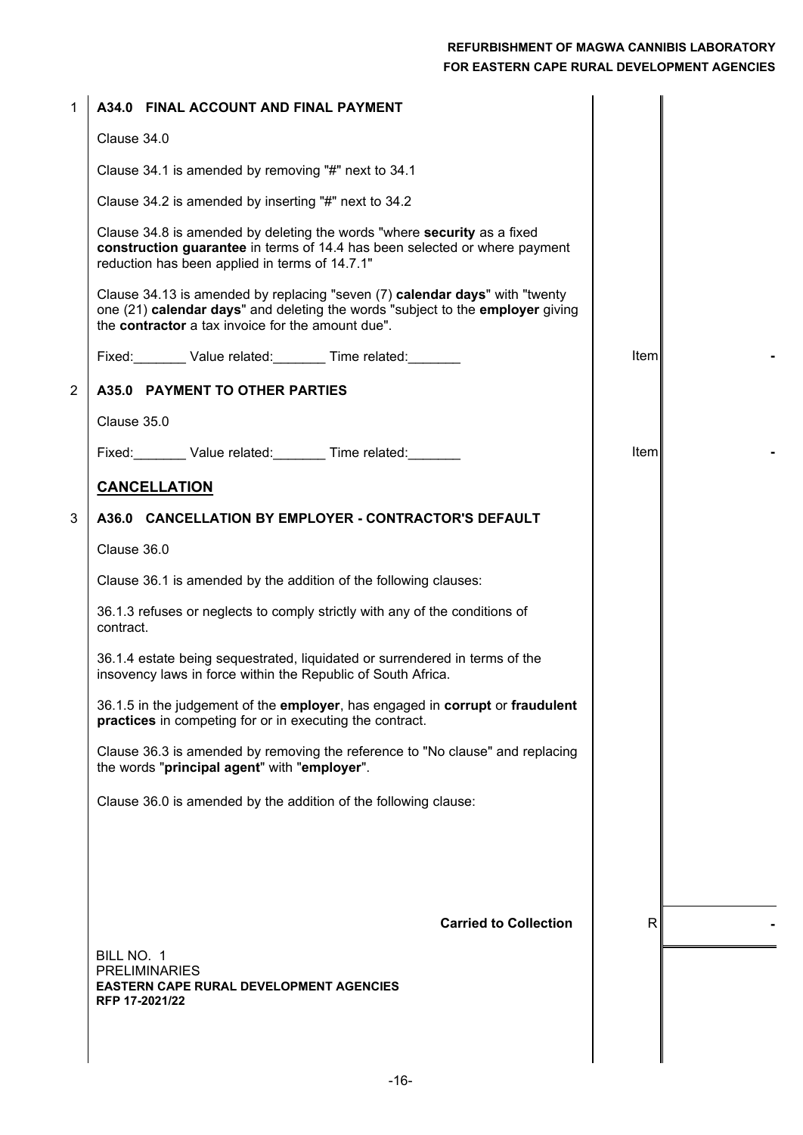| $\mathbf 1$    | A34.0 FINAL ACCOUNT AND FINAL PAYMENT                                                                                                                                                                              |             |  |
|----------------|--------------------------------------------------------------------------------------------------------------------------------------------------------------------------------------------------------------------|-------------|--|
|                | Clause 34.0                                                                                                                                                                                                        |             |  |
|                | Clause 34.1 is amended by removing "#" next to 34.1                                                                                                                                                                |             |  |
|                | Clause 34.2 is amended by inserting "#" next to 34.2                                                                                                                                                               |             |  |
|                | Clause 34.8 is amended by deleting the words "where security as a fixed<br>construction guarantee in terms of 14.4 has been selected or where payment<br>reduction has been applied in terms of 14.7.1"            |             |  |
|                | Clause 34.13 is amended by replacing "seven (7) calendar days" with "twenty<br>one (21) calendar days" and deleting the words "subject to the employer giving<br>the contractor a tax invoice for the amount due". |             |  |
|                | Fixed: Value related: Time related: Value related:                                                                                                                                                                 | Item        |  |
| $\overline{2}$ | A35.0 PAYMENT TO OTHER PARTIES                                                                                                                                                                                     |             |  |
|                | Clause 35.0                                                                                                                                                                                                        |             |  |
|                | Fixed: Value related: Time related: Value related:                                                                                                                                                                 | <b>Item</b> |  |
|                | <b>CANCELLATION</b>                                                                                                                                                                                                |             |  |
| 3              | A36.0 CANCELLATION BY EMPLOYER - CONTRACTOR'S DEFAULT                                                                                                                                                              |             |  |
|                | Clause 36.0                                                                                                                                                                                                        |             |  |
|                | Clause 36.1 is amended by the addition of the following clauses:                                                                                                                                                   |             |  |
|                | 36.1.3 refuses or neglects to comply strictly with any of the conditions of<br>contract.                                                                                                                           |             |  |
|                | 36.1.4 estate being sequestrated, liquidated or surrendered in terms of the<br>insovency laws in force within the Republic of South Africa.                                                                        |             |  |
|                | 36.1.5 in the judgement of the employer, has engaged in corrupt or fraudulent<br>practices in competing for or in executing the contract.                                                                          |             |  |
|                | Clause 36.3 is amended by removing the reference to "No clause" and replacing<br>the words "principal agent" with "employer".                                                                                      |             |  |
|                | Clause 36.0 is amended by the addition of the following clause:                                                                                                                                                    |             |  |
|                |                                                                                                                                                                                                                    |             |  |
|                |                                                                                                                                                                                                                    |             |  |
|                |                                                                                                                                                                                                                    |             |  |
|                | <b>Carried to Collection</b>                                                                                                                                                                                       | R.          |  |
|                | BILL NO. 1<br><b>PRELIMINARIES</b><br>EASTERN CAPE RURAL DEVELOPMENT AGENCIES<br>RFP 17-2021/22                                                                                                                    |             |  |
|                |                                                                                                                                                                                                                    |             |  |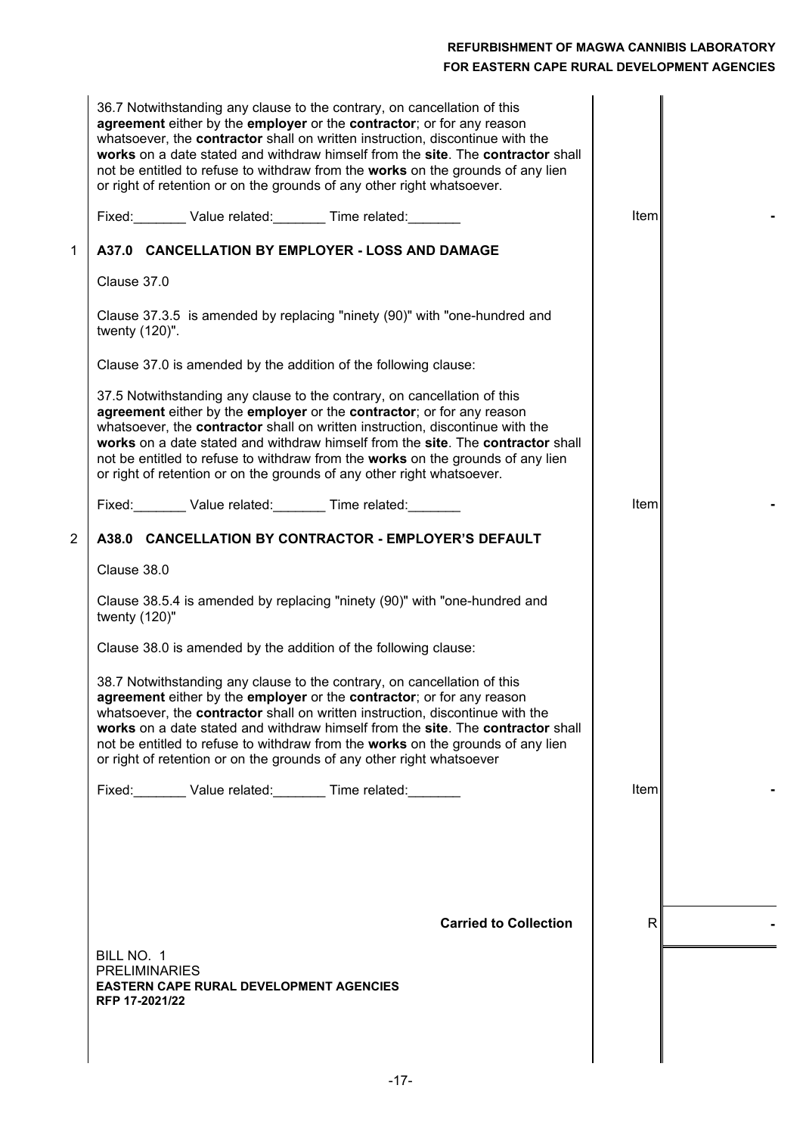|                | 36.7 Notwithstanding any clause to the contrary, on cancellation of this<br>agreement either by the employer or the contractor; or for any reason<br>whatsoever, the contractor shall on written instruction, discontinue with the<br>works on a date stated and withdraw himself from the site. The contractor shall<br>not be entitled to refuse to withdraw from the works on the grounds of any lien<br>or right of retention or on the grounds of any other right whatsoever.<br>Fixed: Value related: Time related: | Item         |  |
|----------------|---------------------------------------------------------------------------------------------------------------------------------------------------------------------------------------------------------------------------------------------------------------------------------------------------------------------------------------------------------------------------------------------------------------------------------------------------------------------------------------------------------------------------|--------------|--|
| 1              | A37.0 CANCELLATION BY EMPLOYER - LOSS AND DAMAGE                                                                                                                                                                                                                                                                                                                                                                                                                                                                          |              |  |
|                | Clause 37.0                                                                                                                                                                                                                                                                                                                                                                                                                                                                                                               |              |  |
|                | Clause 37.3.5 is amended by replacing "ninety (90)" with "one-hundred and<br>twenty (120)".                                                                                                                                                                                                                                                                                                                                                                                                                               |              |  |
|                | Clause 37.0 is amended by the addition of the following clause:                                                                                                                                                                                                                                                                                                                                                                                                                                                           |              |  |
|                | 37.5 Notwithstanding any clause to the contrary, on cancellation of this<br>agreement either by the employer or the contractor; or for any reason<br>whatsoever, the contractor shall on written instruction, discontinue with the<br>works on a date stated and withdraw himself from the site. The contractor shall<br>not be entitled to refuse to withdraw from the works on the grounds of any lien<br>or right of retention or on the grounds of any other right whatsoever.                                        |              |  |
|                | Fixed: Value related: Time related: Value related:                                                                                                                                                                                                                                                                                                                                                                                                                                                                        | Iteml        |  |
| $\overline{2}$ | A38.0 CANCELLATION BY CONTRACTOR - EMPLOYER'S DEFAULT                                                                                                                                                                                                                                                                                                                                                                                                                                                                     |              |  |
|                | Clause 38.0                                                                                                                                                                                                                                                                                                                                                                                                                                                                                                               |              |  |
|                | Clause 38.5.4 is amended by replacing "ninety (90)" with "one-hundred and<br>twenty $(120)$ "                                                                                                                                                                                                                                                                                                                                                                                                                             |              |  |
|                | Clause 38.0 is amended by the addition of the following clause:                                                                                                                                                                                                                                                                                                                                                                                                                                                           |              |  |
|                | 38.7 Notwithstanding any clause to the contrary, on cancellation of this<br>agreement either by the employer or the contractor; or for any reason<br>whatsoever, the contractor shall on written instruction, discontinue with the<br>works on a date stated and withdraw himself from the site. The contractor shall<br>not be entitled to refuse to withdraw from the works on the grounds of any lien<br>or right of retention or on the grounds of any other right whatsoever                                         |              |  |
|                | Fixed: Value related: Time related: Value related:                                                                                                                                                                                                                                                                                                                                                                                                                                                                        | <b>Iteml</b> |  |
|                |                                                                                                                                                                                                                                                                                                                                                                                                                                                                                                                           |              |  |
|                | <b>Carried to Collection</b>                                                                                                                                                                                                                                                                                                                                                                                                                                                                                              | $\mathsf{R}$ |  |
|                | BILL NO. 1<br><b>PRELIMINARIES</b><br><b>EASTERN CAPE RURAL DEVELOPMENT AGENCIES</b><br>RFP 17-2021/22                                                                                                                                                                                                                                                                                                                                                                                                                    |              |  |
|                |                                                                                                                                                                                                                                                                                                                                                                                                                                                                                                                           |              |  |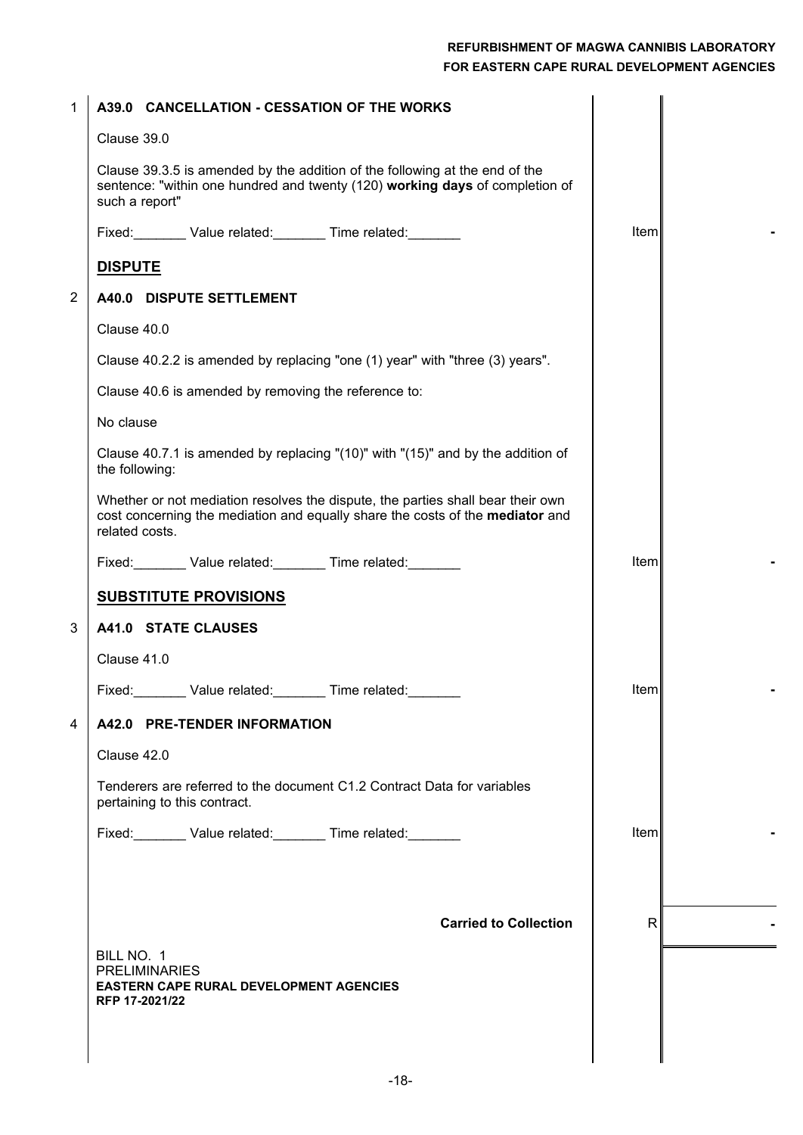| 1              | A39.0 CANCELLATION - CESSATION OF THE WORKS                                                                                                                                        |              |  |
|----------------|------------------------------------------------------------------------------------------------------------------------------------------------------------------------------------|--------------|--|
|                | Clause 39.0                                                                                                                                                                        |              |  |
|                | Clause 39.3.5 is amended by the addition of the following at the end of the<br>sentence: "within one hundred and twenty (120) working days of completion of<br>such a report"      |              |  |
|                | Fixed: Value related: Time related:                                                                                                                                                | Item         |  |
|                | <b>DISPUTE</b>                                                                                                                                                                     |              |  |
| $\overline{2}$ | A40.0 DISPUTE SETTLEMENT                                                                                                                                                           |              |  |
|                | Clause 40.0                                                                                                                                                                        |              |  |
|                | Clause 40.2.2 is amended by replacing "one (1) year" with "three (3) years".                                                                                                       |              |  |
|                | Clause 40.6 is amended by removing the reference to:                                                                                                                               |              |  |
|                | No clause                                                                                                                                                                          |              |  |
|                | Clause 40.7.1 is amended by replacing " $(10)$ " with " $(15)$ " and by the addition of<br>the following:                                                                          |              |  |
|                | Whether or not mediation resolves the dispute, the parties shall bear their own<br>cost concerning the mediation and equally share the costs of the mediator and<br>related costs. |              |  |
|                | Fixed: Value related: Time related: Value related:                                                                                                                                 | Item         |  |
|                | <b>SUBSTITUTE PROVISIONS</b>                                                                                                                                                       |              |  |
| 3              | A41.0 STATE CLAUSES                                                                                                                                                                |              |  |
|                | Clause 41.0                                                                                                                                                                        |              |  |
|                | Time related:<br>Fixed:<br>Value related:                                                                                                                                          | ltem         |  |
| 4              | A42.0 PRE-TENDER INFORMATION                                                                                                                                                       |              |  |
|                | Clause 42.0                                                                                                                                                                        |              |  |
|                | Tenderers are referred to the document C1.2 Contract Data for variables<br>pertaining to this contract.                                                                            |              |  |
|                | Fixed: Value related: Time related:                                                                                                                                                | <b>Item</b>  |  |
|                |                                                                                                                                                                                    |              |  |
|                | <b>Carried to Collection</b>                                                                                                                                                       | $\mathsf{R}$ |  |
|                |                                                                                                                                                                                    |              |  |
|                | BILL NO. 1<br><b>PRELIMINARIES</b><br><b>EASTERN CAPE RURAL DEVELOPMENT AGENCIES</b>                                                                                               |              |  |
|                | RFP 17-2021/22                                                                                                                                                                     |              |  |
|                |                                                                                                                                                                                    |              |  |
|                |                                                                                                                                                                                    |              |  |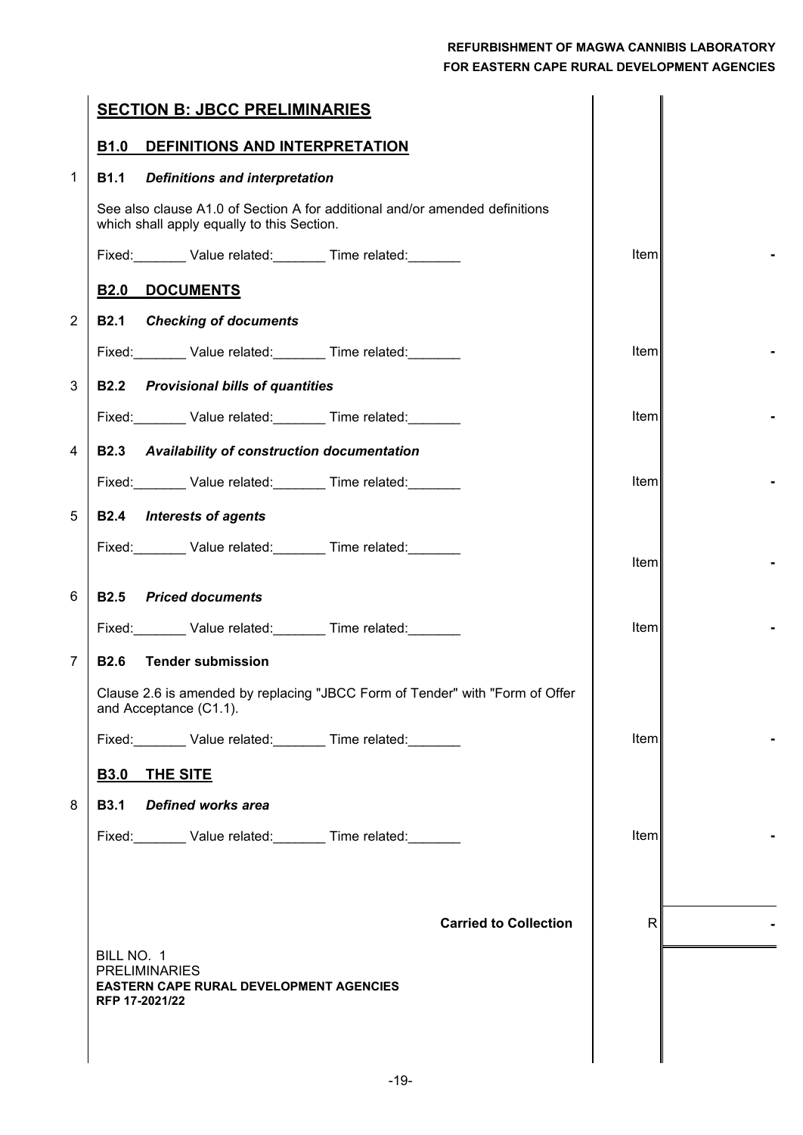|                | <b>SECTION B: JBCC PRELIMINARIES</b>                                                                                      |       |  |
|----------------|---------------------------------------------------------------------------------------------------------------------------|-------|--|
|                | <b>B1.0</b><br>DEFINITIONS AND INTERPRETATION                                                                             |       |  |
| $\mathbf 1$    | <b>Definitions and interpretation</b><br><b>B1.1</b>                                                                      |       |  |
|                | See also clause A1.0 of Section A for additional and/or amended definitions<br>which shall apply equally to this Section. |       |  |
|                | Fixed: Value related: Time related:                                                                                       | Item  |  |
|                | <b>B2.0</b><br><b>DOCUMENTS</b>                                                                                           |       |  |
| $\overline{2}$ | <b>B2.1 Checking of documents</b>                                                                                         |       |  |
|                | Fixed: Value related: Time related: Value related:                                                                        | Iteml |  |
| 3              | <b>Provisional bills of quantities</b><br><b>B2.2</b>                                                                     |       |  |
|                | Fixed: Value related: Time related: Value related:                                                                        | Iteml |  |
| 4              | <b>Availability of construction documentation</b><br><b>B2.3</b>                                                          |       |  |
|                | Fixed: Value related: Time related:                                                                                       | Item  |  |
| 5              | <b>B2.4</b> Interests of agents                                                                                           |       |  |
|                | Fixed: Value related: Time related:                                                                                       |       |  |
|                |                                                                                                                           | Item  |  |
| 6              | <b>B2.5</b> Priced documents                                                                                              |       |  |
|                | Fixed: Value related: Time related: Value related:                                                                        | Item  |  |
| $\overline{7}$ | <b>B2.6 Tender submission</b>                                                                                             |       |  |
|                | Clause 2.6 is amended by replacing "JBCC Form of Tender" with "Form of Offer<br>and Acceptance (C1.1).                    |       |  |
|                | Fixed: Value related: Time related:                                                                                       | Item  |  |
|                | <b>THE SITE</b><br><b>B3.0</b>                                                                                            |       |  |
| 8              | <b>B3.1</b><br><b>Defined works area</b>                                                                                  |       |  |
|                | Fixed: Value related: Time related: Value related:                                                                        | Item  |  |
|                |                                                                                                                           |       |  |
|                |                                                                                                                           |       |  |
|                | <b>Carried to Collection</b>                                                                                              | R     |  |
|                | BILL NO. 1<br><b>PRELIMINARIES</b>                                                                                        |       |  |
|                | <b>EASTERN CAPE RURAL DEVELOPMENT AGENCIES</b><br>RFP 17-2021/22                                                          |       |  |
|                |                                                                                                                           |       |  |
|                |                                                                                                                           |       |  |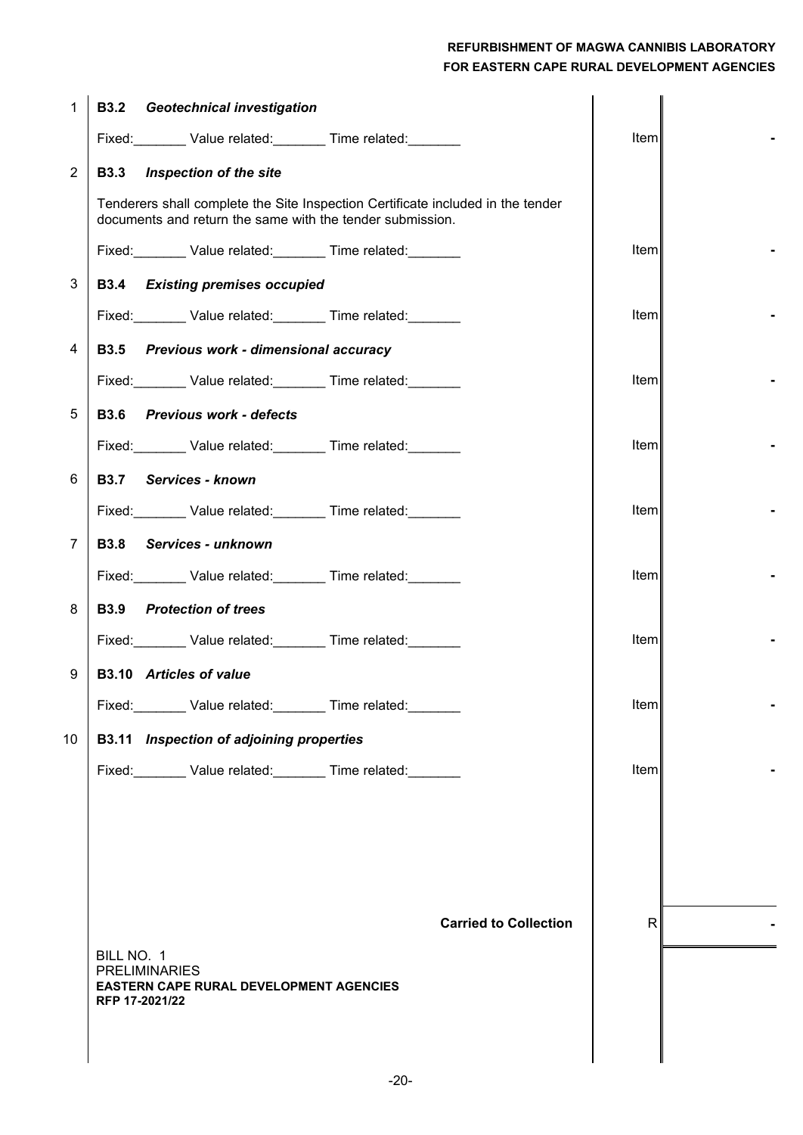| 1              | <b>Geotechnical investigation</b><br><b>B3.2</b>                                                                                             |              |  |
|----------------|----------------------------------------------------------------------------------------------------------------------------------------------|--------------|--|
|                | Fixed: Value related: Time related:                                                                                                          | Item         |  |
| $\overline{2}$ | Inspection of the site<br><b>B3.3</b>                                                                                                        |              |  |
|                | Tenderers shall complete the Site Inspection Certificate included in the tender<br>documents and return the same with the tender submission. |              |  |
|                | Fixed: Value related: Time related: Value related:                                                                                           | Item         |  |
| 3              | <b>B3.4 Existing premises occupied</b>                                                                                                       |              |  |
|                | Fixed: Value related: Time related:                                                                                                          | Item         |  |
| 4              | <b>B3.5</b><br>Previous work - dimensional accuracy                                                                                          |              |  |
|                | Fixed: Value related: Time related:                                                                                                          | Item         |  |
| 5              | <b>B3.6</b> Previous work - defects                                                                                                          |              |  |
|                | Fixed: Value related: Time related:                                                                                                          | Item         |  |
| 6              | Services - known<br><b>B3.7</b>                                                                                                              |              |  |
|                | Fixed: Value related: Time related: Value related:                                                                                           | Item         |  |
| $\overline{7}$ | <b>B3.8</b><br>Services - unknown                                                                                                            |              |  |
|                | Fixed: Value related: Time related:                                                                                                          | Item         |  |
| 8              | <b>B3.9</b><br><b>Protection of trees</b>                                                                                                    |              |  |
|                | Fixed: Value related: Time related:                                                                                                          | Item         |  |
| 9              | <b>B3.10</b> Articles of value                                                                                                               |              |  |
|                | Fixed: Value related: Time related:                                                                                                          | Item         |  |
| 10             | Inspection of adjoining properties<br><b>B3.11</b>                                                                                           |              |  |
|                | Fixed: Value related: Time related:                                                                                                          | Item         |  |
|                |                                                                                                                                              |              |  |
|                |                                                                                                                                              |              |  |
|                |                                                                                                                                              |              |  |
|                |                                                                                                                                              |              |  |
|                | <b>Carried to Collection</b>                                                                                                                 | $\mathsf{R}$ |  |
|                | BILL NO. 1<br><b>PRELIMINARIES</b>                                                                                                           |              |  |
|                | <b>EASTERN CAPE RURAL DEVELOPMENT AGENCIES</b><br>RFP 17-2021/22                                                                             |              |  |
|                |                                                                                                                                              |              |  |
|                |                                                                                                                                              |              |  |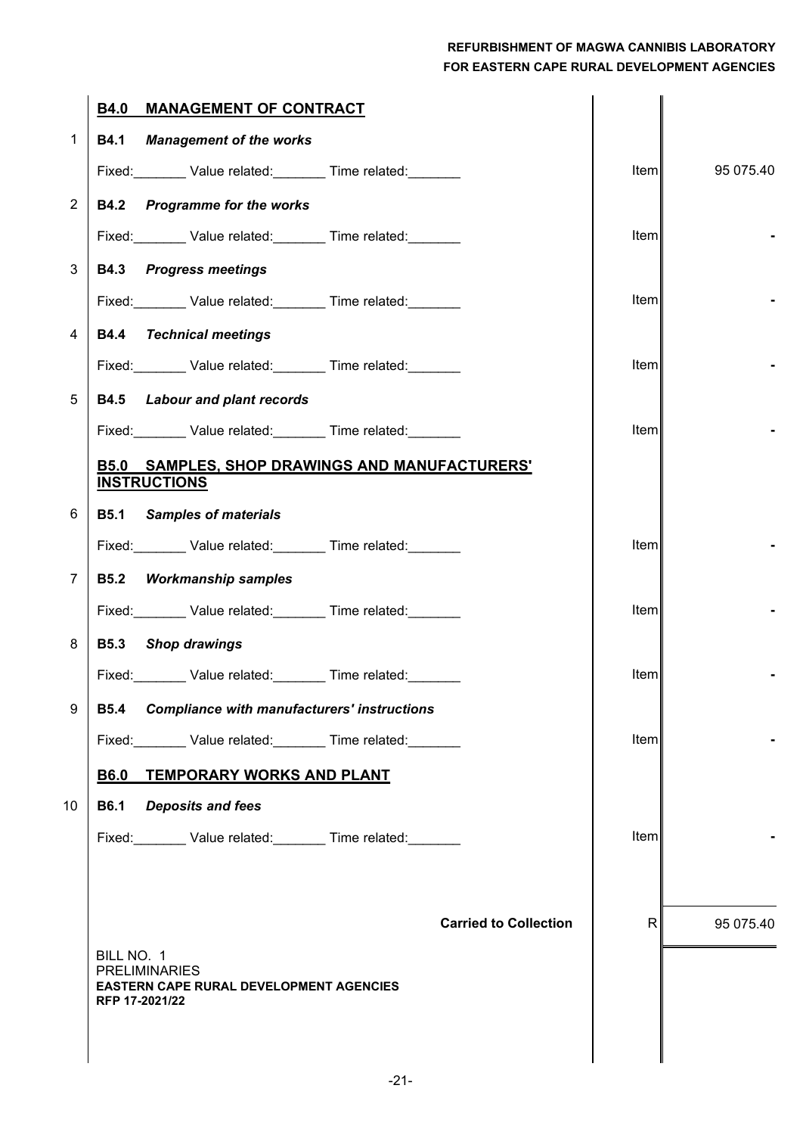|                | <b>B4.0</b><br><b>MANAGEMENT OF CONTRACT</b>                           |              |           |
|----------------|------------------------------------------------------------------------|--------------|-----------|
| $\mathbf 1$    | <b>Management of the works</b><br><b>B4.1</b>                          |              |           |
|                | Fixed: Value related: Time related: Value related:                     | Item         | 95 075.40 |
| $\overline{2}$ | <b>Programme for the works</b><br><b>B4.2</b>                          |              |           |
|                | Fixed: Value related: Time related: Value related:                     | Item         |           |
| 3              | <b>B4.3</b> Progress meetings                                          |              |           |
|                | Fixed: Value related: Time related: Value related:                     | Item         |           |
| 4              | <b>Technical meetings</b><br><b>B4.4</b>                               |              |           |
|                | Fixed: Value related: Time related:                                    | Item         |           |
| 5              | <b>Labour and plant records</b><br><b>B4.5</b>                         |              |           |
|                | Fixed: Value related: Time related:                                    | Item         |           |
|                | <b>SAMPLES, SHOP DRAWINGS AND MANUFACTURERS'</b><br><b>B5.0</b>        |              |           |
|                | <b>INSTRUCTIONS</b>                                                    |              |           |
| 6              | <b>B5.1</b><br><b>Samples of materials</b>                             |              |           |
|                | Fixed: Value related: Time related:                                    | Item         |           |
| $\overline{7}$ | <b>Workmanship samples</b><br><b>B5.2</b>                              |              |           |
|                | Fixed: Value related: Time related: Value related:                     | Item         |           |
| 8              | <b>B5.3</b><br><b>Shop drawings</b>                                    |              |           |
|                | Fixed: Value related: Time related:                                    | Item         |           |
| 9              | <b>Compliance with manufacturers' instructions</b><br><b>B5.4</b>      |              |           |
|                | Fixed: Value related: Time related: Value related:                     | Item         |           |
|                | TEMPORARY WORKS AND PLANT<br><b>B6.0</b>                               |              |           |
| 10             | <b>B6.1</b><br><b>Deposits and fees</b>                                |              |           |
|                | Fixed: Value related: Time related:                                    | Item         |           |
|                |                                                                        |              |           |
|                | <b>Carried to Collection</b>                                           | $\mathsf{R}$ | 95 075.40 |
|                | BILL NO. 1                                                             |              |           |
|                | <b>PRELIMINARIES</b><br><b>EASTERN CAPE RURAL DEVELOPMENT AGENCIES</b> |              |           |
|                | RFP 17-2021/22                                                         |              |           |
|                |                                                                        |              |           |
|                |                                                                        |              |           |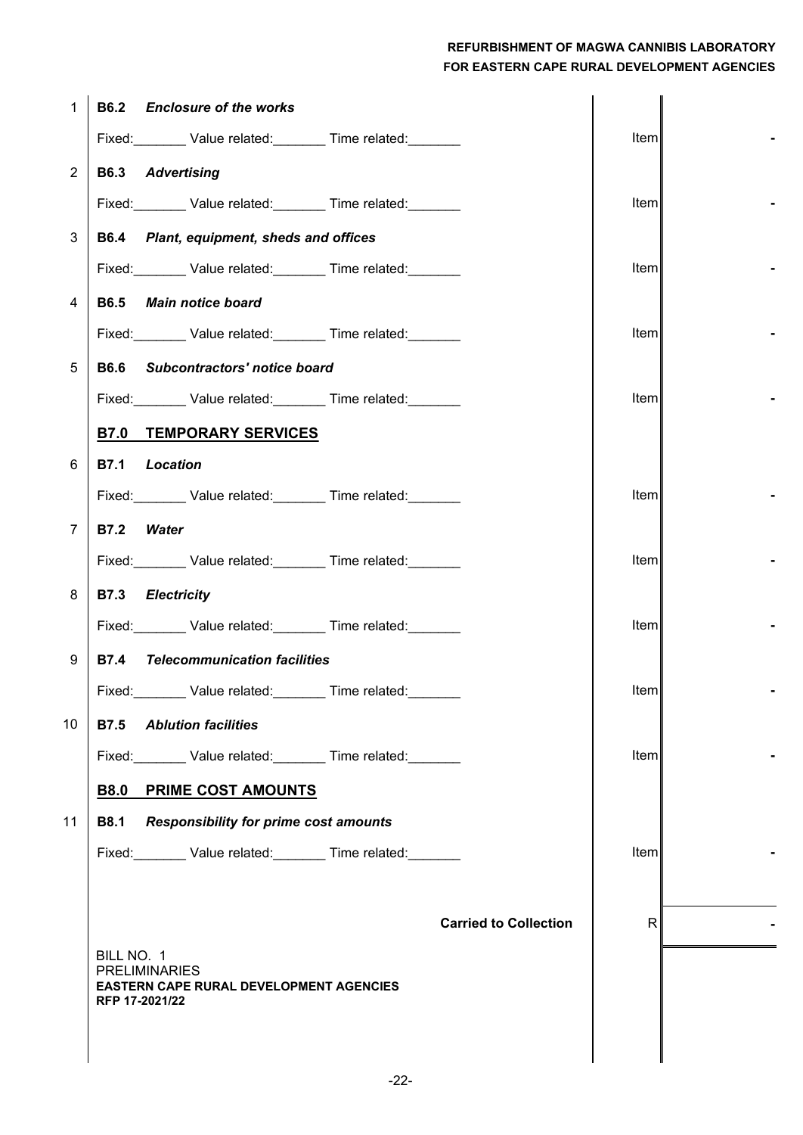| 1              | <b>B6.2</b> Enclosure of the works                                                       |              |  |
|----------------|------------------------------------------------------------------------------------------|--------------|--|
|                | Fixed: Value related: Time related:                                                      | Item         |  |
| $\overline{c}$ | <b>B6.3</b> Advertising                                                                  |              |  |
|                | Fixed: Value related: Time related: Value related:                                       | ltem         |  |
| 3              | B6.4 Plant, equipment, sheds and offices                                                 |              |  |
|                | Fixed: Value related: Time related:                                                      | ltem         |  |
| 4              | <b>B6.5</b><br><b>Main notice board</b>                                                  |              |  |
|                | Fixed: Value related: Time related:                                                      | ltem         |  |
| 5              | <b>B6.6</b><br>Subcontractors' notice board                                              |              |  |
|                | Fixed: Value related: Time related: Value related:                                       | <b>Iteml</b> |  |
|                | <b>B7.0 TEMPORARY SERVICES</b>                                                           |              |  |
| 6              | <b>B7.1</b><br><b>Location</b>                                                           |              |  |
|                | Fixed: Value related: Time related: Value related:                                       | ltem         |  |
| $\overline{7}$ | <b>B7.2</b><br><b>Water</b>                                                              |              |  |
|                | Fixed: Value related: Time related: Value related:                                       | ltem         |  |
| 8              | <b>B7.3</b><br><b>Electricity</b>                                                        |              |  |
|                | Fixed: Value related: Time related: Value related:                                       | Item         |  |
| 9              | <b>Telecommunication facilities</b><br><b>B7.4</b>                                       |              |  |
|                | Value related: Time related:<br>Fixed:                                                   | Item         |  |
| 10             | <b>Ablution facilities</b><br><b>B7.5</b>                                                |              |  |
|                | Fixed: Value related: Time related:                                                      | Item         |  |
|                | <b>B8.0 PRIME COST AMOUNTS</b>                                                           |              |  |
| 11             | <b>B8.1</b><br><b>Responsibility for prime cost amounts</b>                              |              |  |
|                | Fixed: Value related: Time related:                                                      | Item         |  |
|                |                                                                                          |              |  |
|                | <b>Carried to Collection</b>                                                             | $\mathsf{R}$ |  |
|                | BILL NO. 1                                                                               |              |  |
|                | <b>PRELIMINARIES</b><br><b>EASTERN CAPE RURAL DEVELOPMENT AGENCIES</b><br>RFP 17-2021/22 |              |  |
|                |                                                                                          |              |  |
|                |                                                                                          |              |  |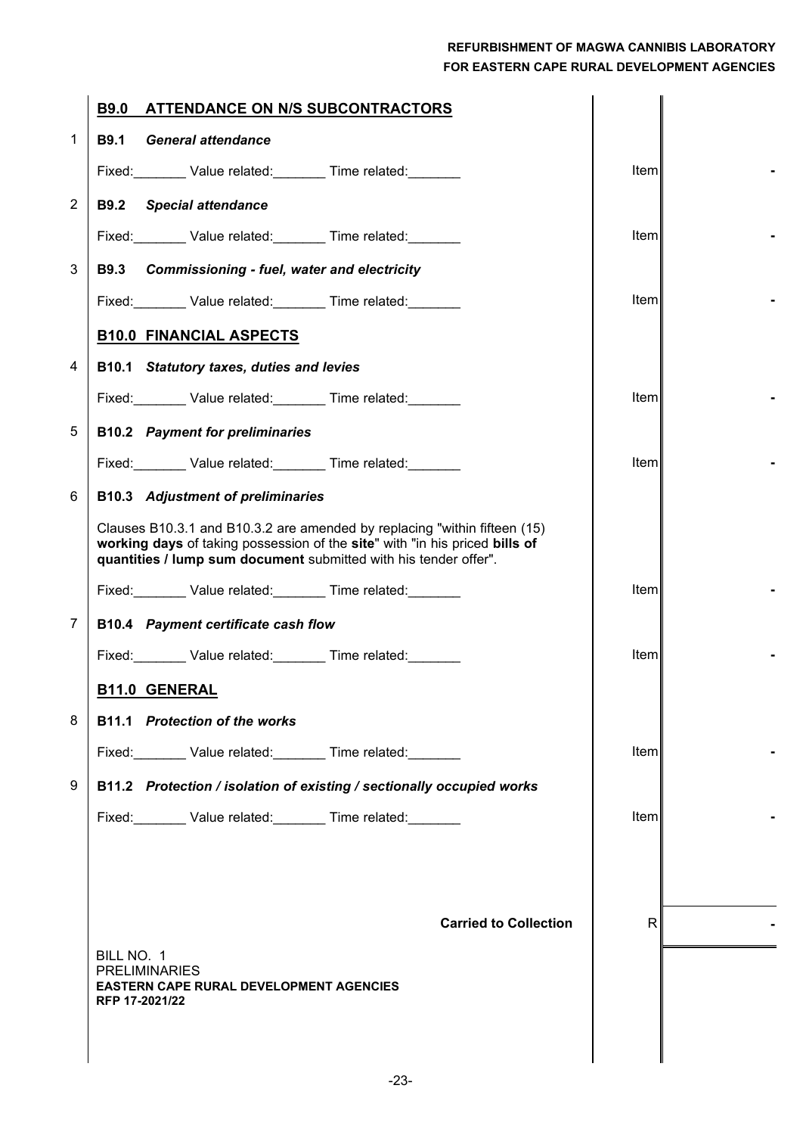|                | <b>B9.0</b><br><b>ATTENDANCE ON N/S SUBCONTRACTORS</b>                                                                                                                                                                       |             |  |
|----------------|------------------------------------------------------------------------------------------------------------------------------------------------------------------------------------------------------------------------------|-------------|--|
| $\mathbf{1}$   | <b>B9.1</b><br><b>General attendance</b>                                                                                                                                                                                     |             |  |
|                | Fixed: Value related: Time related:                                                                                                                                                                                          | Item        |  |
| $\overline{2}$ | <b>Special attendance</b><br><b>B9.2</b>                                                                                                                                                                                     |             |  |
|                | Fixed: Value related: Time related:                                                                                                                                                                                          | Item        |  |
| 3              | <b>Commissioning - fuel, water and electricity</b><br><b>B9.3</b>                                                                                                                                                            |             |  |
|                | Fixed: Value related: Time related:                                                                                                                                                                                          | Item        |  |
|                | <b>B10.0 FINANCIAL ASPECTS</b>                                                                                                                                                                                               |             |  |
| 4              | B10.1 Statutory taxes, duties and levies                                                                                                                                                                                     |             |  |
|                | Fixed: Value related: Time related:                                                                                                                                                                                          | Item        |  |
| 5              | <b>B10.2</b> Payment for preliminaries                                                                                                                                                                                       |             |  |
|                | Fixed: Value related: Time related:                                                                                                                                                                                          | Item        |  |
| 6              | <b>B10.3</b> Adjustment of preliminaries                                                                                                                                                                                     |             |  |
|                | Clauses B10.3.1 and B10.3.2 are amended by replacing "within fifteen (15)<br>working days of taking possession of the site" with "in his priced bills of<br>quantities / lump sum document submitted with his tender offer". |             |  |
|                | Fixed: Value related: Time related:                                                                                                                                                                                          | Item        |  |
| $\overline{7}$ | <b>B10.4 Payment certificate cash flow</b>                                                                                                                                                                                   |             |  |
|                | Fixed: Value related: Time related:                                                                                                                                                                                          | Item        |  |
|                | <b>B11.0 GENERAL</b>                                                                                                                                                                                                         |             |  |
| 8              | <b>B11.1</b> Protection of the works                                                                                                                                                                                         |             |  |
|                | Fixed: Value related: Time related: Value related:                                                                                                                                                                           | <b>Item</b> |  |
| 9              | B11.2 Protection / isolation of existing / sectionally occupied works                                                                                                                                                        |             |  |
|                | Fixed: Value related: Time related:                                                                                                                                                                                          | Item        |  |
|                |                                                                                                                                                                                                                              |             |  |
|                |                                                                                                                                                                                                                              |             |  |
|                | <b>Carried to Collection</b>                                                                                                                                                                                                 | R           |  |
|                | BILL NO. 1                                                                                                                                                                                                                   |             |  |
|                | <b>PRELIMINARIES</b><br><b>EASTERN CAPE RURAL DEVELOPMENT AGENCIES</b>                                                                                                                                                       |             |  |
|                | RFP 17-2021/22                                                                                                                                                                                                               |             |  |
|                |                                                                                                                                                                                                                              |             |  |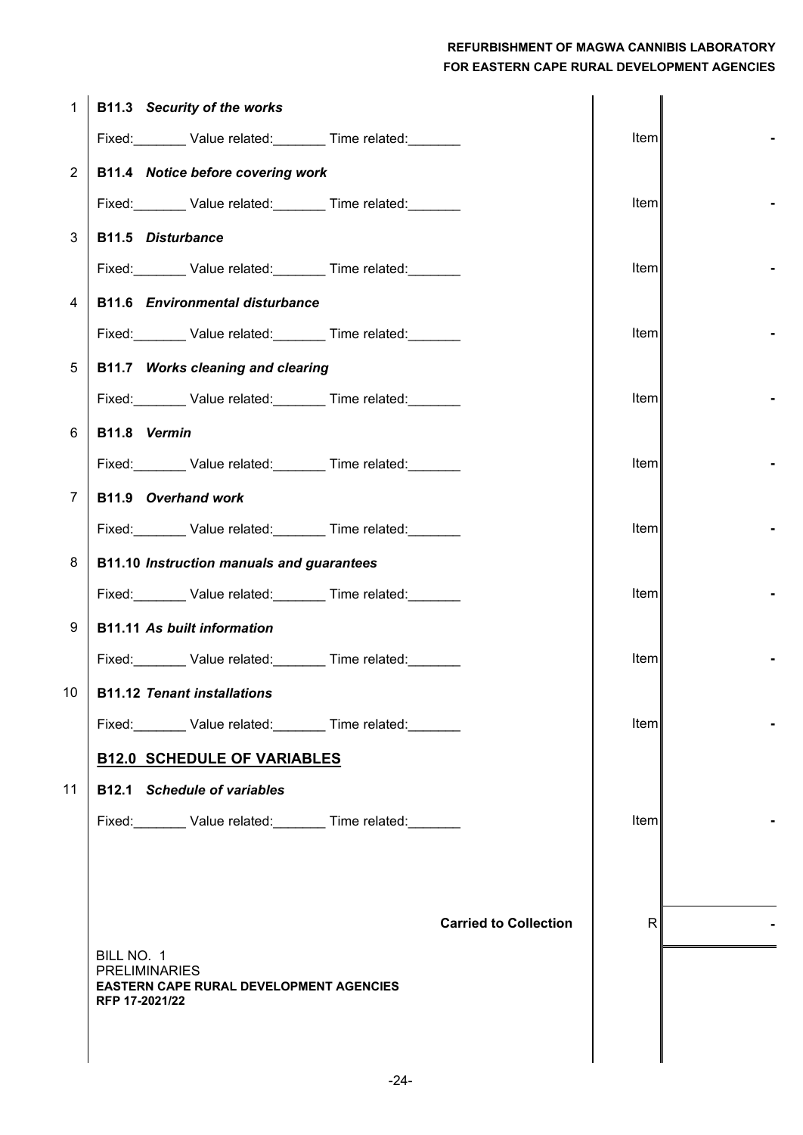| $\mathbf{1}$    | B11.3 Security of the works                                      |      |  |
|-----------------|------------------------------------------------------------------|------|--|
|                 | Fixed: Value related: Time related: Value related:               | Item |  |
| $\overline{2}$  | B11.4 Notice before covering work                                |      |  |
|                 | Fixed: Value related: Time related: Value related:               | Item |  |
| 3               | <b>B11.5 Disturbance</b>                                         |      |  |
|                 | Fixed: Value related: Time related:                              | tem  |  |
| 4               | <b>B11.6 Environmental disturbance</b>                           |      |  |
|                 | Fixed: Value related: Time related:                              | Item |  |
| 5               | B11.7 Works cleaning and clearing                                |      |  |
|                 | Fixed: Value related: Time related: Value related:               | Item |  |
| 6               | B11.8 Vermin                                                     |      |  |
|                 | Fixed: Value related: Time related: Value related:               | Item |  |
| 7               | B11.9 Overhand work                                              |      |  |
|                 | Fixed: Value related: Time related: Value related:               | Item |  |
| 8               | <b>B11.10 Instruction manuals and guarantees</b>                 |      |  |
|                 | Fixed: Value related: Time related: Value related:               | Item |  |
| 9               | <b>B11.11 As built information</b>                               |      |  |
|                 | Fixed: Value related: Time related:                              | Item |  |
| 10 <sup>1</sup> | <b>B11.12 Tenant installations</b>                               |      |  |
|                 | Fixed: Value related: Time related:                              | Item |  |
|                 | <b>B12.0 SCHEDULE OF VARIABLES</b>                               |      |  |
| 11              | <b>B12.1</b> Schedule of variables                               |      |  |
|                 | Fixed: Value related: Time related:                              | Item |  |
|                 |                                                                  |      |  |
|                 |                                                                  |      |  |
|                 | <b>Carried to Collection</b>                                     | R    |  |
|                 | BILL NO. 1<br><b>PRELIMINARIES</b>                               |      |  |
|                 | <b>EASTERN CAPE RURAL DEVELOPMENT AGENCIES</b><br>RFP 17-2021/22 |      |  |
|                 |                                                                  |      |  |
|                 |                                                                  |      |  |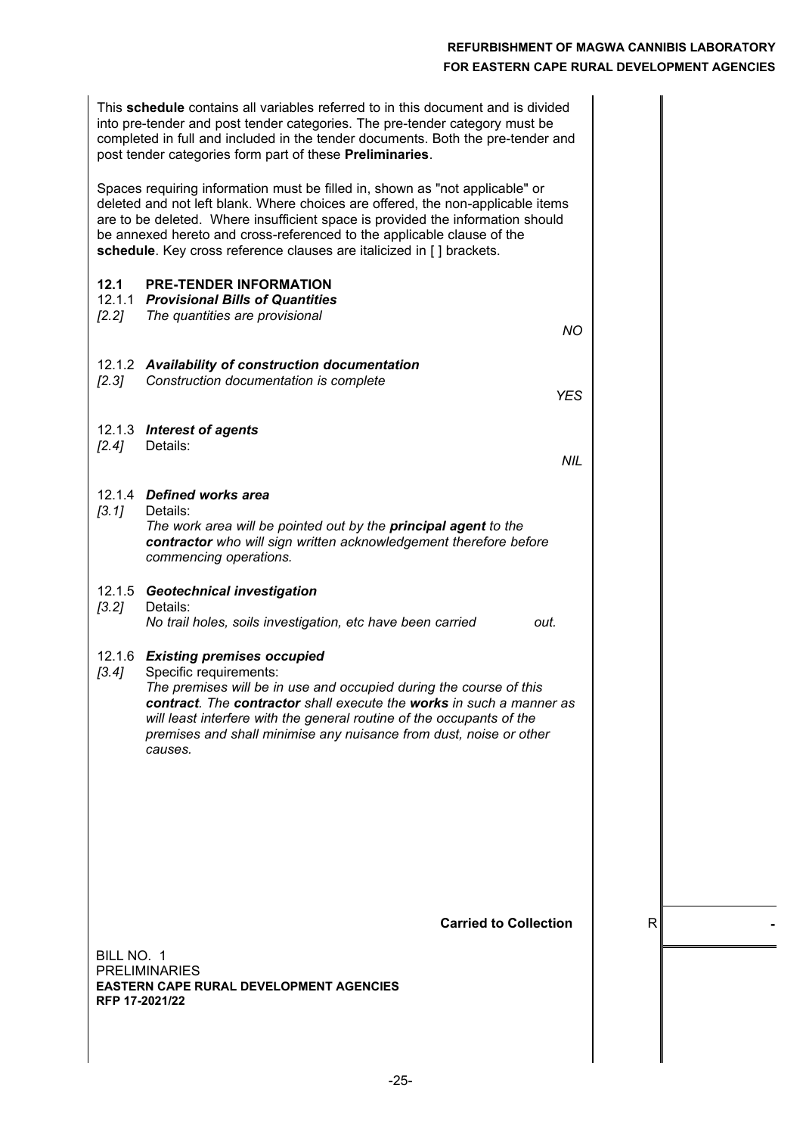| This <b>schedule</b> contains all variables referred to in this document and is divided<br>into pre-tender and post tender categories. The pre-tender category must be<br>completed in full and included in the tender documents. Both the pre-tender and<br>post tender categories form part of these Preliminaries.                                                                               |              |  |
|-----------------------------------------------------------------------------------------------------------------------------------------------------------------------------------------------------------------------------------------------------------------------------------------------------------------------------------------------------------------------------------------------------|--------------|--|
| Spaces requiring information must be filled in, shown as "not applicable" or<br>deleted and not left blank. Where choices are offered, the non-applicable items<br>are to be deleted. Where insufficient space is provided the information should<br>be annexed hereto and cross-referenced to the applicable clause of the<br>schedule. Key cross reference clauses are italicized in [] brackets. |              |  |
| <b>PRE-TENDER INFORMATION</b><br>12.1<br>12.1.1 Provisional Bills of Quantities<br>$[2.2]$<br>The quantities are provisional<br><b>NO</b>                                                                                                                                                                                                                                                           |              |  |
| 12.1.2 Availability of construction documentation<br>Construction documentation is complete<br>$[2.3]$<br><b>YES</b>                                                                                                                                                                                                                                                                                |              |  |
| 12.1.3 Interest of agents<br>Details:<br>[2.4]<br><b>NIL</b>                                                                                                                                                                                                                                                                                                                                        |              |  |
| 12.1.4 Defined works area<br>[3.1]<br>Details:<br>The work area will be pointed out by the principal agent to the<br>contractor who will sign written acknowledgement therefore before<br>commencing operations.                                                                                                                                                                                    |              |  |
| 12.1.5 Geotechnical investigation<br>Details:<br>[3.2]<br>No trail holes, soils investigation, etc have been carried<br>out.                                                                                                                                                                                                                                                                        |              |  |
| 12.1.6 Existing premises occupied<br>Specific requirements:<br>[3.4]<br>The premises will be in use and occupied during the course of this<br>contract. The contractor shall execute the works in such a manner as<br>will least interfere with the general routine of the occupants of the<br>premises and shall minimise any nuisance from dust, noise or other<br>causes.                        |              |  |
| <b>Carried to Collection</b>                                                                                                                                                                                                                                                                                                                                                                        | $\mathsf{R}$ |  |
| BILL NO. 1<br><b>PRELIMINARIES</b><br><b>EASTERN CAPE RURAL DEVELOPMENT AGENCIES</b><br>RFP 17-2021/22                                                                                                                                                                                                                                                                                              |              |  |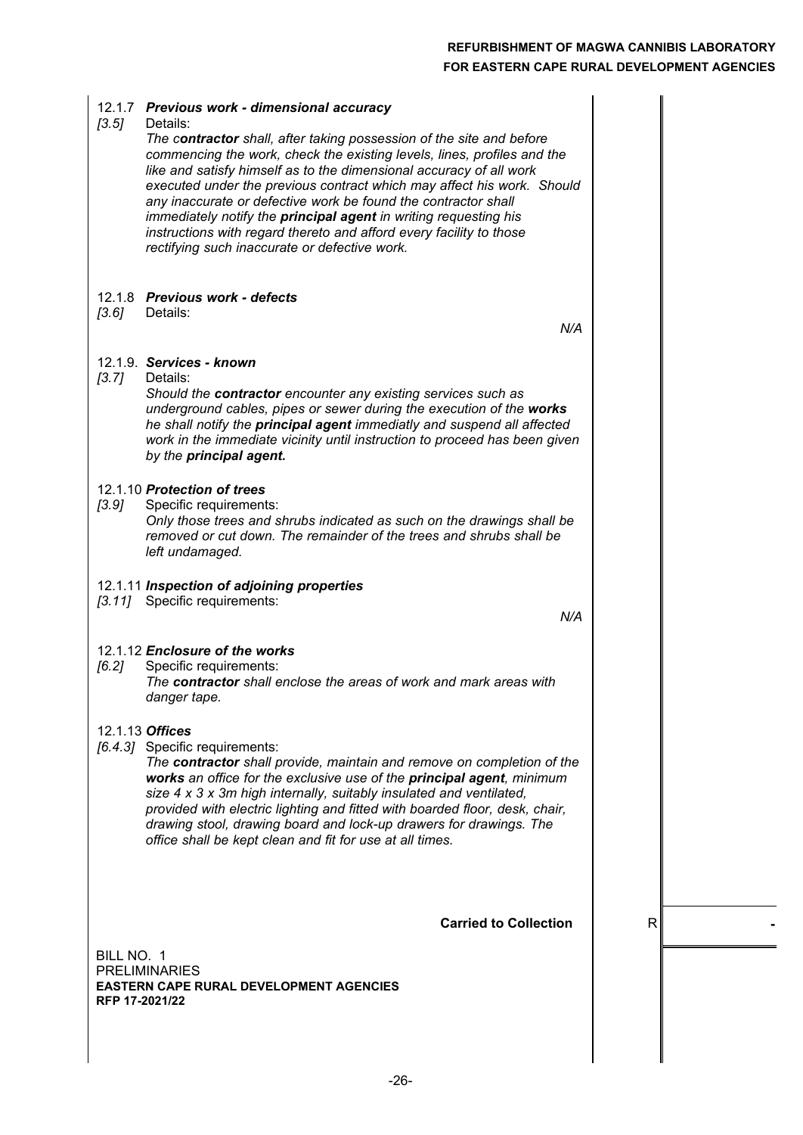| [3.5]                        | 12.1.7 Previous work - dimensional accuracy<br>Details:<br>The contractor shall, after taking possession of the site and before<br>commencing the work, check the existing levels, lines, profiles and the<br>like and satisfy himself as to the dimensional accuracy of all work<br>executed under the previous contract which may affect his work. Should<br>any inaccurate or defective work be found the contractor shall<br>immediately notify the principal agent in writing requesting his<br>instructions with regard thereto and afford every facility to those<br>rectifying such inaccurate or defective work. |   |  |
|------------------------------|---------------------------------------------------------------------------------------------------------------------------------------------------------------------------------------------------------------------------------------------------------------------------------------------------------------------------------------------------------------------------------------------------------------------------------------------------------------------------------------------------------------------------------------------------------------------------------------------------------------------------|---|--|
| [3.6]                        | 12.1.8 Previous work - defects<br>Details:<br>N/A                                                                                                                                                                                                                                                                                                                                                                                                                                                                                                                                                                         |   |  |
| [3.7]                        | 12.1.9. Services - known<br>Details:<br>Should the contractor encounter any existing services such as<br>underground cables, pipes or sewer during the execution of the works<br>he shall notify the principal agent immediatly and suspend all affected<br>work in the immediate vicinity until instruction to proceed has been given<br>by the principal agent.                                                                                                                                                                                                                                                         |   |  |
| [3.9]                        | 12.1.10 Protection of trees<br>Specific requirements:<br>Only those trees and shrubs indicated as such on the drawings shall be<br>removed or cut down. The remainder of the trees and shrubs shall be<br>left undamaged.                                                                                                                                                                                                                                                                                                                                                                                                 |   |  |
|                              | 12.1.11 Inspection of adjoining properties<br>[3.11] Specific requirements:<br>N/A                                                                                                                                                                                                                                                                                                                                                                                                                                                                                                                                        |   |  |
| [6.2]                        | 12.1.12 Enclosure of the works<br>Specific requirements:<br>The contractor shall enclose the areas of work and mark areas with<br>danger tape.                                                                                                                                                                                                                                                                                                                                                                                                                                                                            |   |  |
|                              | 12.1.13 Offices<br>[6.4.3] Specific requirements:<br>The contractor shall provide, maintain and remove on completion of the<br>works an office for the exclusive use of the principal agent, minimum<br>size 4 x 3 x 3m high internally, suitably insulated and ventilated,<br>provided with electric lighting and fitted with boarded floor, desk, chair,<br>drawing stool, drawing board and lock-up drawers for drawings. The<br>office shall be kept clean and fit for use at all times.                                                                                                                              |   |  |
|                              | <b>Carried to Collection</b>                                                                                                                                                                                                                                                                                                                                                                                                                                                                                                                                                                                              | R |  |
| BILL NO. 1<br>RFP 17-2021/22 | <b>PRELIMINARIES</b><br><b>EASTERN CAPE RURAL DEVELOPMENT AGENCIES</b>                                                                                                                                                                                                                                                                                                                                                                                                                                                                                                                                                    |   |  |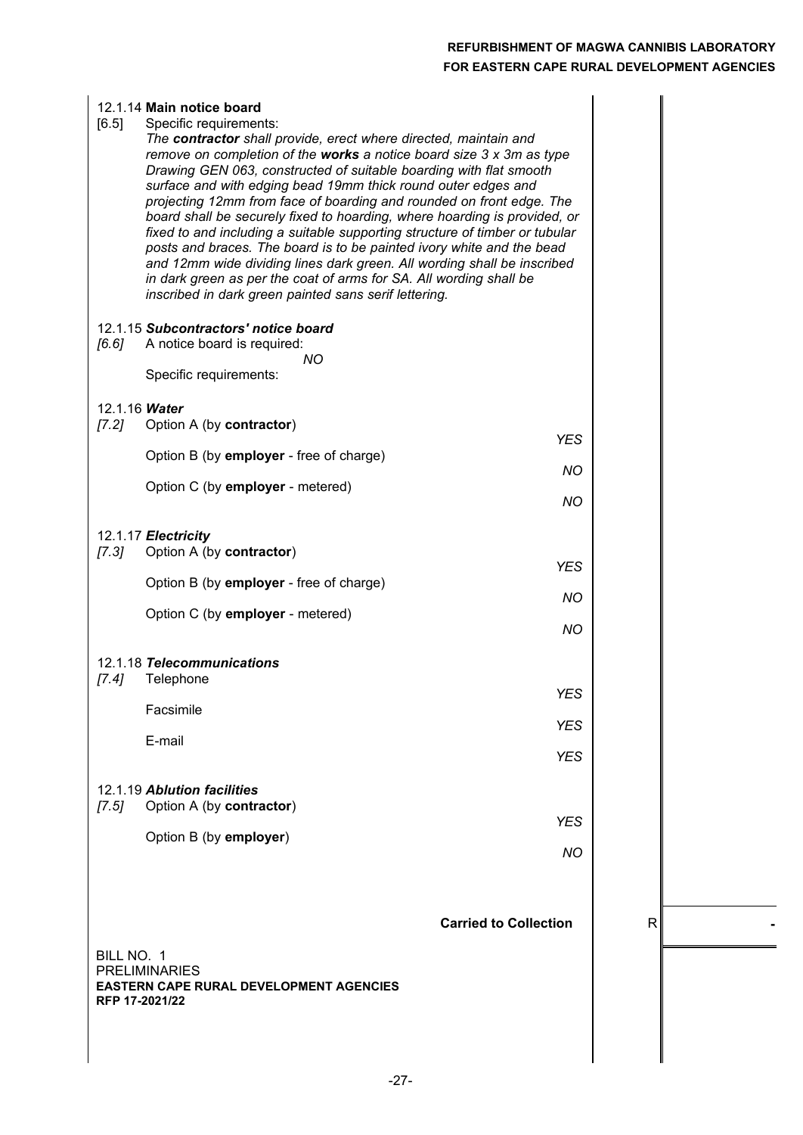| [6.5]   | 12.1.14 Main notice board<br>Specific requirements:<br>The contractor shall provide, erect where directed, maintain and<br>remove on completion of the works a notice board size $3 \times 3m$ as type<br>Drawing GEN 063, constructed of suitable boarding with flat smooth<br>surface and with edging bead 19mm thick round outer edges and<br>projecting 12mm from face of boarding and rounded on front edge. The<br>board shall be securely fixed to hoarding, where hoarding is provided, or<br>fixed to and including a suitable supporting structure of timber or tubular<br>posts and braces. The board is to be painted ivory white and the bead<br>and 12mm wide dividing lines dark green. All wording shall be inscribed<br>in dark green as per the coat of arms for SA. All wording shall be<br>inscribed in dark green painted sans serif lettering. |                              |   |  |
|---------|----------------------------------------------------------------------------------------------------------------------------------------------------------------------------------------------------------------------------------------------------------------------------------------------------------------------------------------------------------------------------------------------------------------------------------------------------------------------------------------------------------------------------------------------------------------------------------------------------------------------------------------------------------------------------------------------------------------------------------------------------------------------------------------------------------------------------------------------------------------------|------------------------------|---|--|
| [6.6]   | 12.1.15 Subcontractors' notice board<br>A notice board is required:<br>ΝO                                                                                                                                                                                                                                                                                                                                                                                                                                                                                                                                                                                                                                                                                                                                                                                            |                              |   |  |
|         | Specific requirements:                                                                                                                                                                                                                                                                                                                                                                                                                                                                                                                                                                                                                                                                                                                                                                                                                                               |                              |   |  |
| $[7.2]$ | 12.1.16 Water<br>Option A (by contractor)                                                                                                                                                                                                                                                                                                                                                                                                                                                                                                                                                                                                                                                                                                                                                                                                                            | <b>YES</b>                   |   |  |
|         | Option B (by employer - free of charge)                                                                                                                                                                                                                                                                                                                                                                                                                                                                                                                                                                                                                                                                                                                                                                                                                              | <b>NO</b>                    |   |  |
|         | Option C (by employer - metered)                                                                                                                                                                                                                                                                                                                                                                                                                                                                                                                                                                                                                                                                                                                                                                                                                                     | <b>NO</b>                    |   |  |
| $[7.3]$ | 12.1.17 Electricity<br>Option A (by contractor)                                                                                                                                                                                                                                                                                                                                                                                                                                                                                                                                                                                                                                                                                                                                                                                                                      |                              |   |  |
|         | Option B (by employer - free of charge)                                                                                                                                                                                                                                                                                                                                                                                                                                                                                                                                                                                                                                                                                                                                                                                                                              | <b>YES</b>                   |   |  |
|         | Option C (by employer - metered)                                                                                                                                                                                                                                                                                                                                                                                                                                                                                                                                                                                                                                                                                                                                                                                                                                     | <b>NO</b>                    |   |  |
|         |                                                                                                                                                                                                                                                                                                                                                                                                                                                                                                                                                                                                                                                                                                                                                                                                                                                                      | <b>NO</b>                    |   |  |
| $[7.4]$ | 12.1.18 Telecommunications<br>Telephone                                                                                                                                                                                                                                                                                                                                                                                                                                                                                                                                                                                                                                                                                                                                                                                                                              |                              |   |  |
|         | Facsimile                                                                                                                                                                                                                                                                                                                                                                                                                                                                                                                                                                                                                                                                                                                                                                                                                                                            | <b>YES</b>                   |   |  |
|         | E-mail                                                                                                                                                                                                                                                                                                                                                                                                                                                                                                                                                                                                                                                                                                                                                                                                                                                               | <b>YES</b>                   |   |  |
|         |                                                                                                                                                                                                                                                                                                                                                                                                                                                                                                                                                                                                                                                                                                                                                                                                                                                                      | <b>YES</b>                   |   |  |
| [7.5]   | 12.1.19 Ablution facilities<br>Option A (by contractor)                                                                                                                                                                                                                                                                                                                                                                                                                                                                                                                                                                                                                                                                                                                                                                                                              |                              |   |  |
|         | Option B (by employer)                                                                                                                                                                                                                                                                                                                                                                                                                                                                                                                                                                                                                                                                                                                                                                                                                                               | <b>YES</b>                   |   |  |
|         |                                                                                                                                                                                                                                                                                                                                                                                                                                                                                                                                                                                                                                                                                                                                                                                                                                                                      | <b>NO</b>                    |   |  |
|         |                                                                                                                                                                                                                                                                                                                                                                                                                                                                                                                                                                                                                                                                                                                                                                                                                                                                      |                              |   |  |
|         |                                                                                                                                                                                                                                                                                                                                                                                                                                                                                                                                                                                                                                                                                                                                                                                                                                                                      | <b>Carried to Collection</b> | R |  |
|         | BILL NO. 1                                                                                                                                                                                                                                                                                                                                                                                                                                                                                                                                                                                                                                                                                                                                                                                                                                                           |                              |   |  |
|         | <b>PRELIMINARIES</b><br><b>EASTERN CAPE RURAL DEVELOPMENT AGENCIES</b><br>RFP 17-2021/22                                                                                                                                                                                                                                                                                                                                                                                                                                                                                                                                                                                                                                                                                                                                                                             |                              |   |  |
|         |                                                                                                                                                                                                                                                                                                                                                                                                                                                                                                                                                                                                                                                                                                                                                                                                                                                                      |                              |   |  |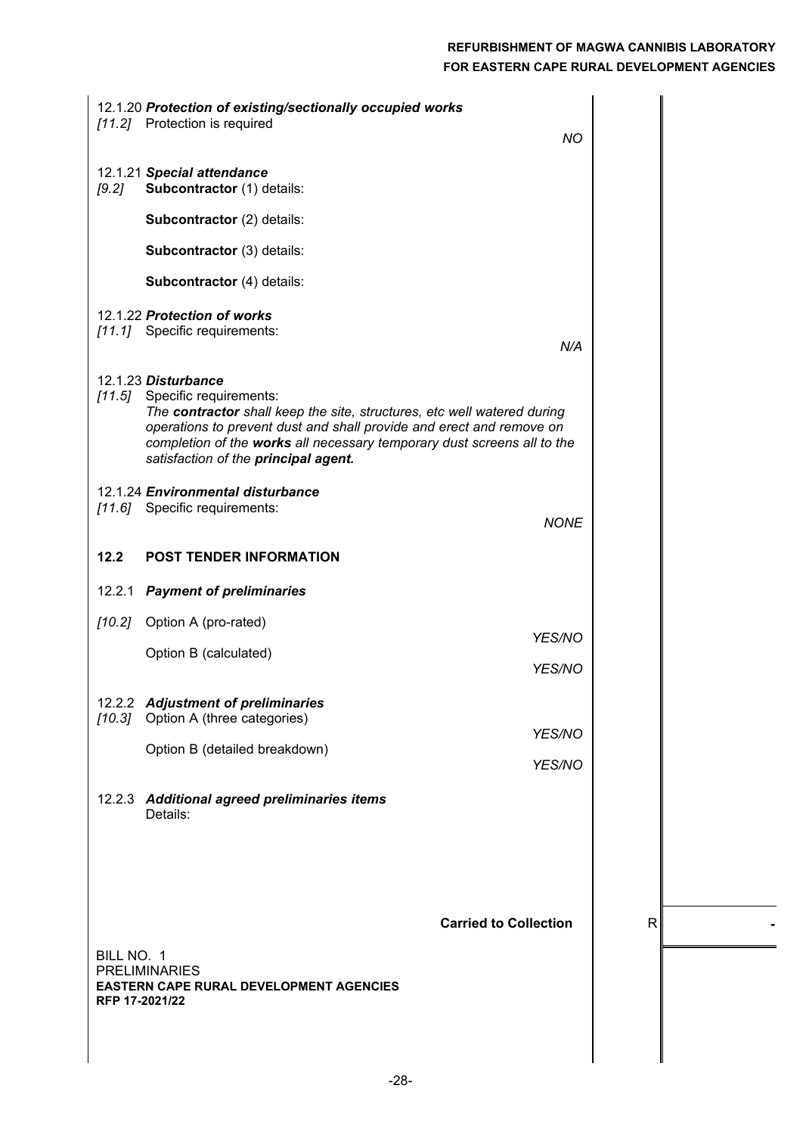|                              | 12.1.20 Protection of existing/sectionally occupied works<br>[11.2] Protection is required<br><b>NO</b>                                                                                                                                                                                                             |              |  |
|------------------------------|---------------------------------------------------------------------------------------------------------------------------------------------------------------------------------------------------------------------------------------------------------------------------------------------------------------------|--------------|--|
| [9.2]                        | 12.1.21 Special attendance<br>Subcontractor (1) details:                                                                                                                                                                                                                                                            |              |  |
|                              | Subcontractor (2) details:                                                                                                                                                                                                                                                                                          |              |  |
|                              | Subcontractor (3) details:                                                                                                                                                                                                                                                                                          |              |  |
|                              | Subcontractor (4) details:                                                                                                                                                                                                                                                                                          |              |  |
|                              | 12.1.22 Protection of works<br>[11.1] Specific requirements:<br>N/A                                                                                                                                                                                                                                                 |              |  |
| [11.5]                       | 12.1.23 Disturbance<br>Specific requirements:<br>The contractor shall keep the site, structures, etc well watered during<br>operations to prevent dust and shall provide and erect and remove on<br>completion of the works all necessary temporary dust screens all to the<br>satisfaction of the principal agent. |              |  |
|                              | 12.1.24 Environmental disturbance<br>[11.6] Specific requirements:<br><b>NONE</b>                                                                                                                                                                                                                                   |              |  |
| 12.2                         | <b>POST TENDER INFORMATION</b>                                                                                                                                                                                                                                                                                      |              |  |
| 12.2.1                       | <b>Payment of preliminaries</b>                                                                                                                                                                                                                                                                                     |              |  |
| $[10.2]$                     | Option A (pro-rated)                                                                                                                                                                                                                                                                                                |              |  |
|                              | YES/NO<br>Option B (calculated)<br>YES/NO                                                                                                                                                                                                                                                                           |              |  |
|                              | 12.2.2 Adjustment of preliminaries                                                                                                                                                                                                                                                                                  |              |  |
|                              | [10.3] Option A (three categories)<br>YES/NO                                                                                                                                                                                                                                                                        |              |  |
|                              | Option B (detailed breakdown)<br>YES/NO                                                                                                                                                                                                                                                                             |              |  |
|                              | 12.2.3 Additional agreed preliminaries items<br>Details:                                                                                                                                                                                                                                                            |              |  |
|                              | <b>Carried to Collection</b>                                                                                                                                                                                                                                                                                        | $\mathsf{R}$ |  |
| BILL NO. 1<br>RFP 17-2021/22 | <b>PRELIMINARIES</b><br><b>EASTERN CAPE RURAL DEVELOPMENT AGENCIES</b>                                                                                                                                                                                                                                              |              |  |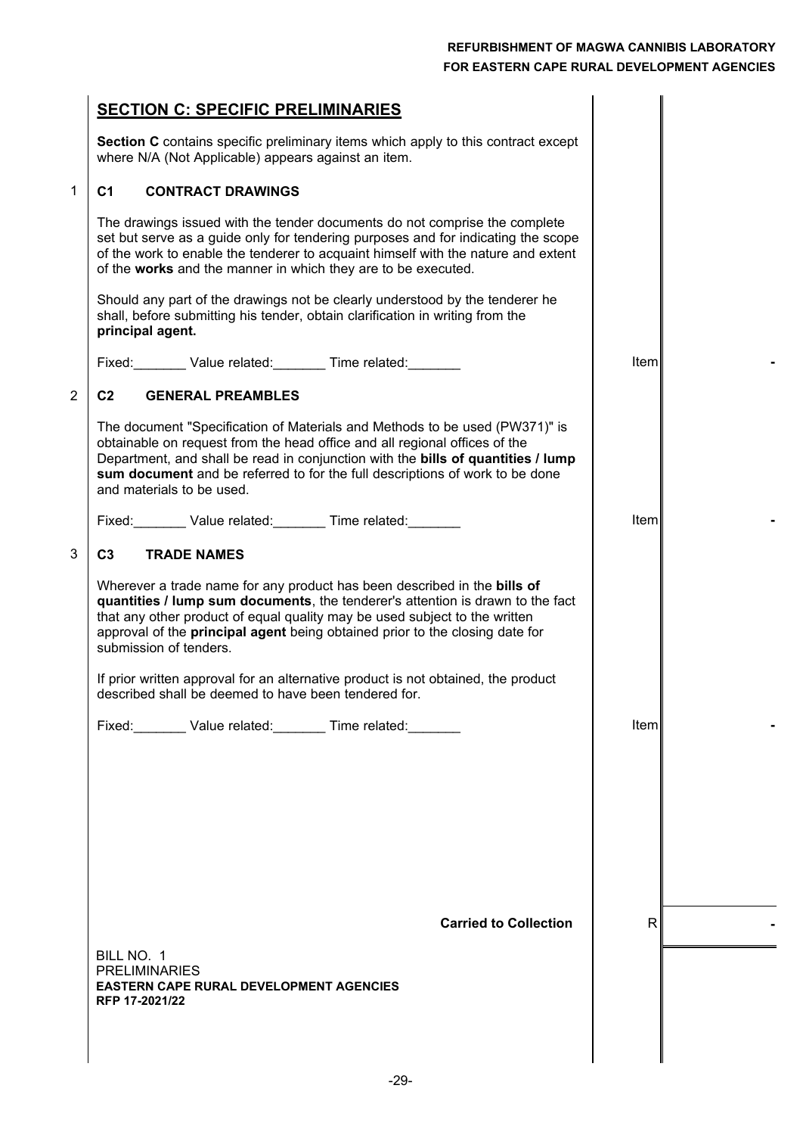|                | <b>SECTION C: SPECIFIC PRELIMINARIES</b>                                                                                                                                                                                                                                                                                                                   |              |  |
|----------------|------------------------------------------------------------------------------------------------------------------------------------------------------------------------------------------------------------------------------------------------------------------------------------------------------------------------------------------------------------|--------------|--|
|                | Section C contains specific preliminary items which apply to this contract except<br>where N/A (Not Applicable) appears against an item.                                                                                                                                                                                                                   |              |  |
| 1              | <b>CONTRACT DRAWINGS</b><br>C <sub>1</sub>                                                                                                                                                                                                                                                                                                                 |              |  |
|                | The drawings issued with the tender documents do not comprise the complete<br>set but serve as a guide only for tendering purposes and for indicating the scope<br>of the work to enable the tenderer to acquaint himself with the nature and extent<br>of the works and the manner in which they are to be executed.                                      |              |  |
|                | Should any part of the drawings not be clearly understood by the tenderer he<br>shall, before submitting his tender, obtain clarification in writing from the<br>principal agent.                                                                                                                                                                          |              |  |
|                | Fixed: Value related: Time related: Value related:                                                                                                                                                                                                                                                                                                         | <b>Iteml</b> |  |
| $\overline{2}$ | C <sub>2</sub><br><b>GENERAL PREAMBLES</b>                                                                                                                                                                                                                                                                                                                 |              |  |
|                | The document "Specification of Materials and Methods to be used (PW371)" is<br>obtainable on request from the head office and all regional offices of the<br>Department, and shall be read in conjunction with the bills of quantities / lump<br>sum document and be referred to for the full descriptions of work to be done<br>and materials to be used. |              |  |
|                |                                                                                                                                                                                                                                                                                                                                                            | Item         |  |
| 3              | C <sub>3</sub><br><b>TRADE NAMES</b>                                                                                                                                                                                                                                                                                                                       |              |  |
|                | Wherever a trade name for any product has been described in the bills of<br>quantities / lump sum documents, the tenderer's attention is drawn to the fact<br>that any other product of equal quality may be used subject to the written<br>approval of the <b>principal agent</b> being obtained prior to the closing date for<br>submission of tenders.  |              |  |
|                | If prior written approval for an alternative product is not obtained, the product<br>described shall be deemed to have been tendered for.                                                                                                                                                                                                                  |              |  |
|                | Fixed: Value related: Time related:                                                                                                                                                                                                                                                                                                                        | <b>Item</b>  |  |
|                |                                                                                                                                                                                                                                                                                                                                                            |              |  |
|                |                                                                                                                                                                                                                                                                                                                                                            |              |  |
|                | <b>Carried to Collection</b>                                                                                                                                                                                                                                                                                                                               | R            |  |
|                | BILL NO. 1<br><b>PRELIMINARIES</b><br><b>EASTERN CAPE RURAL DEVELOPMENT AGENCIES</b><br>RFP 17-2021/22                                                                                                                                                                                                                                                     |              |  |
|                |                                                                                                                                                                                                                                                                                                                                                            |              |  |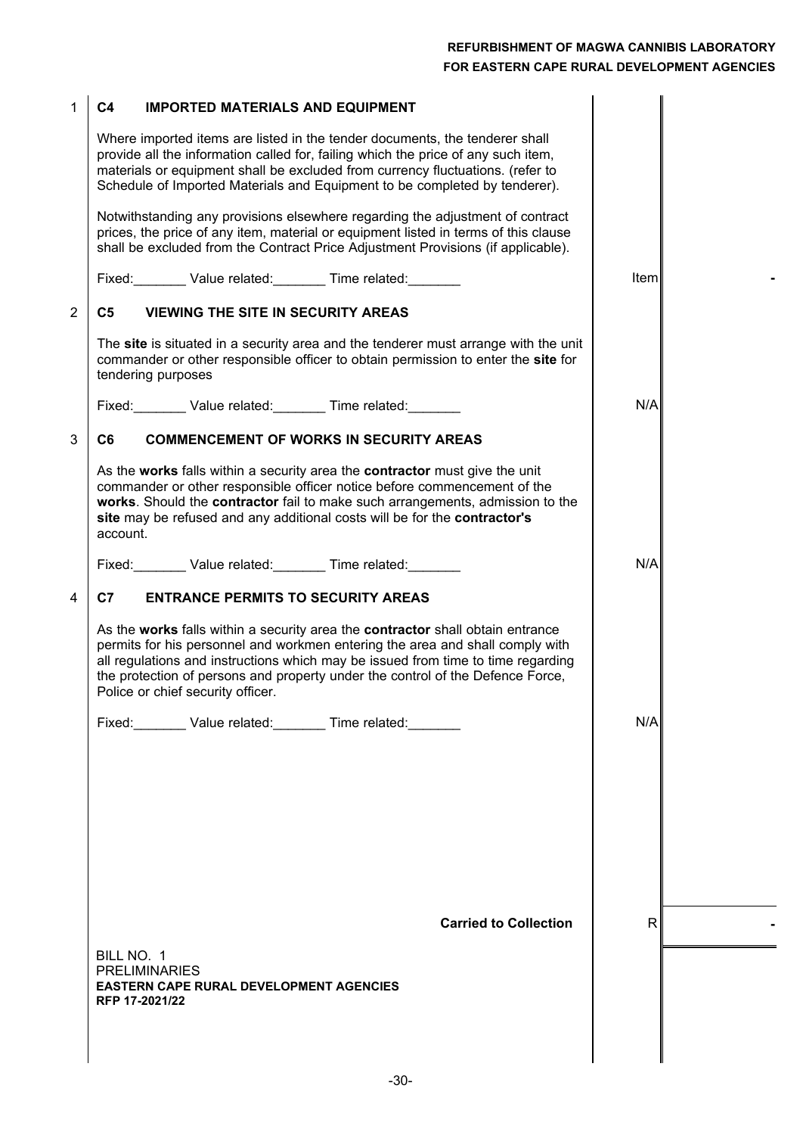| 1              | C <sub>4</sub><br><b>IMPORTED MATERIALS AND EQUIPMENT</b>                                                                                                                                                                                                                                                                                                                  |              |  |
|----------------|----------------------------------------------------------------------------------------------------------------------------------------------------------------------------------------------------------------------------------------------------------------------------------------------------------------------------------------------------------------------------|--------------|--|
|                | Where imported items are listed in the tender documents, the tenderer shall<br>provide all the information called for, failing which the price of any such item,<br>materials or equipment shall be excluded from currency fluctuations. (refer to<br>Schedule of Imported Materials and Equipment to be completed by tenderer).                                           |              |  |
|                | Notwithstanding any provisions elsewhere regarding the adjustment of contract<br>prices, the price of any item, material or equipment listed in terms of this clause<br>shall be excluded from the Contract Price Adjustment Provisions (if applicable).                                                                                                                   |              |  |
|                | Fixed: Value related: Time related:                                                                                                                                                                                                                                                                                                                                        | Item         |  |
| $\overline{2}$ | <b>VIEWING THE SITE IN SECURITY AREAS</b><br>C5                                                                                                                                                                                                                                                                                                                            |              |  |
|                | The site is situated in a security area and the tenderer must arrange with the unit<br>commander or other responsible officer to obtain permission to enter the site for<br>tendering purposes                                                                                                                                                                             |              |  |
|                | Fixed: Value related: Time related: Value related:                                                                                                                                                                                                                                                                                                                         | N/A          |  |
| 3              | C <sub>6</sub><br><b>COMMENCEMENT OF WORKS IN SECURITY AREAS</b>                                                                                                                                                                                                                                                                                                           |              |  |
|                | As the works falls within a security area the contractor must give the unit<br>commander or other responsible officer notice before commencement of the<br>works. Should the contractor fail to make such arrangements, admission to the<br>site may be refused and any additional costs will be for the contractor's<br>account.                                          |              |  |
|                | Fixed: Value related: Time related:                                                                                                                                                                                                                                                                                                                                        | N/A          |  |
| 4              | <b>ENTRANCE PERMITS TO SECURITY AREAS</b><br>C7                                                                                                                                                                                                                                                                                                                            |              |  |
|                | As the works falls within a security area the contractor shall obtain entrance<br>permits for his personnel and workmen entering the area and shall comply with<br>all regulations and instructions which may be issued from time to time regarding<br>the protection of persons and property under the control of the Defence Force,<br>Police or chief security officer. |              |  |
|                | Fixed: Value related: Time related:                                                                                                                                                                                                                                                                                                                                        | N/A          |  |
|                |                                                                                                                                                                                                                                                                                                                                                                            |              |  |
|                | <b>Carried to Collection</b>                                                                                                                                                                                                                                                                                                                                               | $\mathsf{R}$ |  |
|                | BILL NO. 1                                                                                                                                                                                                                                                                                                                                                                 |              |  |
|                | <b>PRELIMINARIES</b><br><b>EASTERN CAPE RURAL DEVELOPMENT AGENCIES</b><br>RFP 17-2021/22                                                                                                                                                                                                                                                                                   |              |  |
|                |                                                                                                                                                                                                                                                                                                                                                                            |              |  |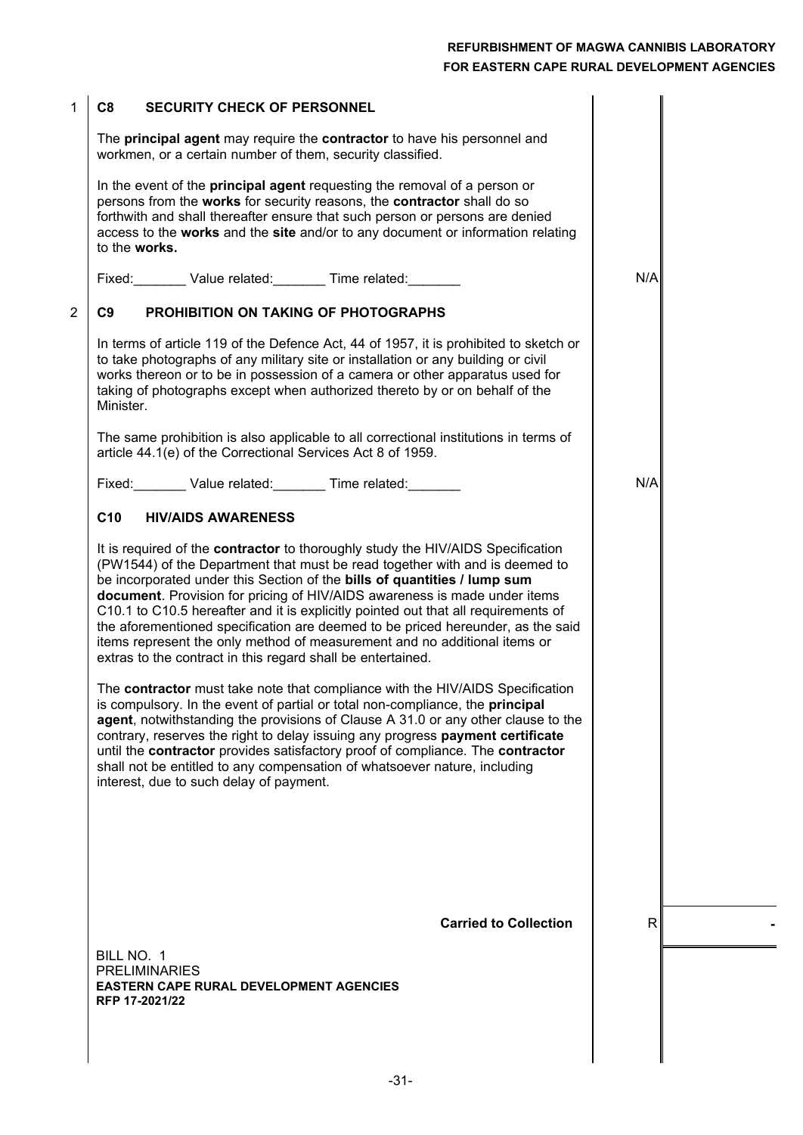| 1              | C <sub>8</sub><br><b>SECURITY CHECK OF PERSONNEL</b>                                                                                                                                                                                                                                                                                                                                                                                                                                                                                                                                                                                         |     |  |
|----------------|----------------------------------------------------------------------------------------------------------------------------------------------------------------------------------------------------------------------------------------------------------------------------------------------------------------------------------------------------------------------------------------------------------------------------------------------------------------------------------------------------------------------------------------------------------------------------------------------------------------------------------------------|-----|--|
|                | The principal agent may require the contractor to have his personnel and<br>workmen, or a certain number of them, security classified.                                                                                                                                                                                                                                                                                                                                                                                                                                                                                                       |     |  |
|                | In the event of the <b>principal agent</b> requesting the removal of a person or<br>persons from the works for security reasons, the contractor shall do so<br>forthwith and shall thereafter ensure that such person or persons are denied<br>access to the works and the site and/or to any document or information relating<br>to the works.                                                                                                                                                                                                                                                                                              |     |  |
|                | Fixed: Value related: Time related:                                                                                                                                                                                                                                                                                                                                                                                                                                                                                                                                                                                                          | N/A |  |
| $\overline{2}$ | C9<br>PROHIBITION ON TAKING OF PHOTOGRAPHS                                                                                                                                                                                                                                                                                                                                                                                                                                                                                                                                                                                                   |     |  |
|                | In terms of article 119 of the Defence Act, 44 of 1957, it is prohibited to sketch or<br>to take photographs of any military site or installation or any building or civil<br>works thereon or to be in possession of a camera or other apparatus used for<br>taking of photographs except when authorized thereto by or on behalf of the<br>Minister.                                                                                                                                                                                                                                                                                       |     |  |
|                | The same prohibition is also applicable to all correctional institutions in terms of<br>article 44.1(e) of the Correctional Services Act 8 of 1959.                                                                                                                                                                                                                                                                                                                                                                                                                                                                                          |     |  |
|                | Fixed: Value related: Time related:                                                                                                                                                                                                                                                                                                                                                                                                                                                                                                                                                                                                          | N/A |  |
|                | C <sub>10</sub><br><b>HIV/AIDS AWARENESS</b>                                                                                                                                                                                                                                                                                                                                                                                                                                                                                                                                                                                                 |     |  |
|                | It is required of the contractor to thoroughly study the HIV/AIDS Specification<br>(PW1544) of the Department that must be read together with and is deemed to<br>be incorporated under this Section of the bills of quantities / lump sum<br>document. Provision for pricing of HIV/AIDS awareness is made under items<br>C10.1 to C10.5 hereafter and it is explicitly pointed out that all requirements of<br>the aforementioned specification are deemed to be priced hereunder, as the said<br>items represent the only method of measurement and no additional items or<br>extras to the contract in this regard shall be entertained. |     |  |
|                | The contractor must take note that compliance with the HIV/AIDS Specification<br>is compulsory. In the event of partial or total non-compliance, the principal<br>agent, notwithstanding the provisions of Clause A 31.0 or any other clause to the<br>contrary, reserves the right to delay issuing any progress payment certificate<br>until the contractor provides satisfactory proof of compliance. The contractor<br>shall not be entitled to any compensation of whatsoever nature, including<br>interest, due to such delay of payment.                                                                                              |     |  |
|                | <b>Carried to Collection</b><br>BILL NO. 1<br><b>PRELIMINARIES</b><br><b>EASTERN CAPE RURAL DEVELOPMENT AGENCIES</b>                                                                                                                                                                                                                                                                                                                                                                                                                                                                                                                         | R   |  |
|                | RFP 17-2021/22                                                                                                                                                                                                                                                                                                                                                                                                                                                                                                                                                                                                                               |     |  |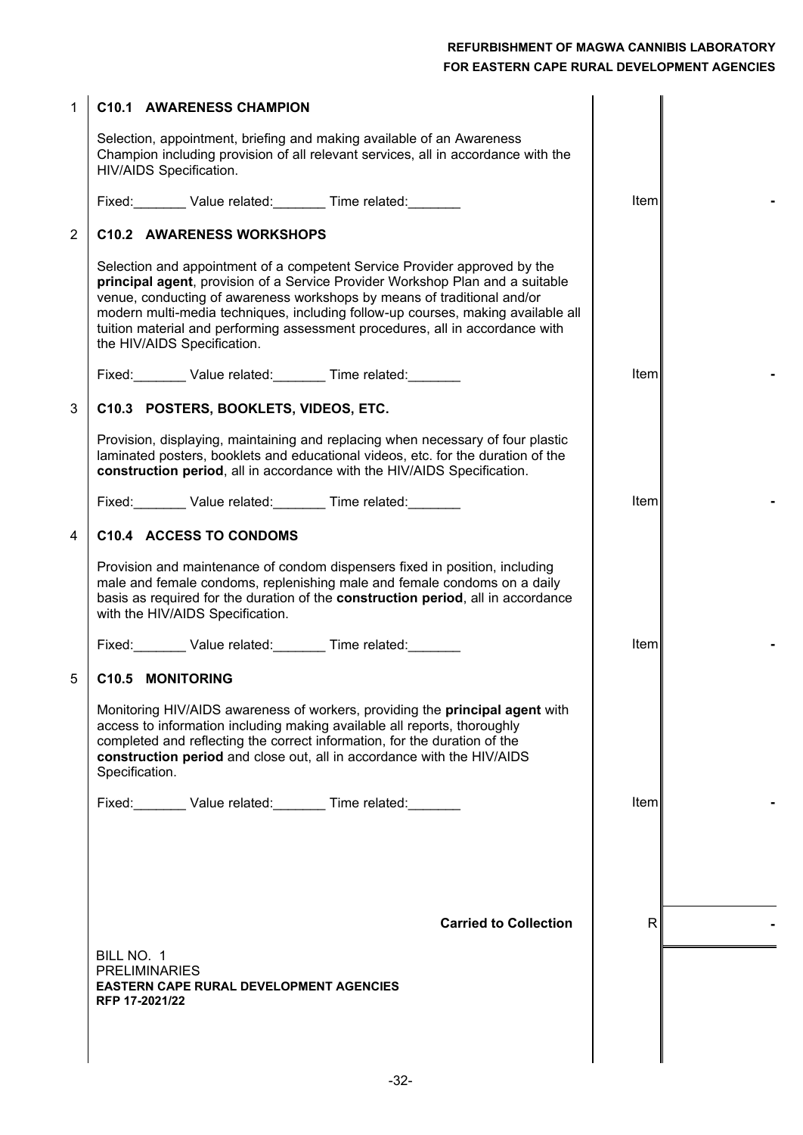| $\mathbf 1$    | <b>C10.1 AWARENESS CHAMPION</b>                                                                                                                                                                                                                                                                                                                                                                                                           |              |  |
|----------------|-------------------------------------------------------------------------------------------------------------------------------------------------------------------------------------------------------------------------------------------------------------------------------------------------------------------------------------------------------------------------------------------------------------------------------------------|--------------|--|
|                | Selection, appointment, briefing and making available of an Awareness<br>Champion including provision of all relevant services, all in accordance with the<br>HIV/AIDS Specification.                                                                                                                                                                                                                                                     |              |  |
|                |                                                                                                                                                                                                                                                                                                                                                                                                                                           | Item         |  |
| $\overline{2}$ | <b>C10.2 AWARENESS WORKSHOPS</b>                                                                                                                                                                                                                                                                                                                                                                                                          |              |  |
|                | Selection and appointment of a competent Service Provider approved by the<br>principal agent, provision of a Service Provider Workshop Plan and a suitable<br>venue, conducting of awareness workshops by means of traditional and/or<br>modern multi-media techniques, including follow-up courses, making available all<br>tuition material and performing assessment procedures, all in accordance with<br>the HIV/AIDS Specification. |              |  |
|                | Fixed: Value related: Time related: ____________                                                                                                                                                                                                                                                                                                                                                                                          | <b>Iteml</b> |  |
| 3              | C10.3 POSTERS, BOOKLETS, VIDEOS, ETC.                                                                                                                                                                                                                                                                                                                                                                                                     |              |  |
|                | Provision, displaying, maintaining and replacing when necessary of four plastic<br>laminated posters, booklets and educational videos, etc. for the duration of the<br>construction period, all in accordance with the HIV/AIDS Specification.                                                                                                                                                                                            |              |  |
|                | Fixed: Value related: Time related:                                                                                                                                                                                                                                                                                                                                                                                                       | Iteml        |  |
| 4              | C10.4 ACCESS TO CONDOMS                                                                                                                                                                                                                                                                                                                                                                                                                   |              |  |
|                | Provision and maintenance of condom dispensers fixed in position, including<br>male and female condoms, replenishing male and female condoms on a daily<br>basis as required for the duration of the construction period, all in accordance<br>with the HIV/AIDS Specification.                                                                                                                                                           |              |  |
|                | Fixed: Value related: Time related:                                                                                                                                                                                                                                                                                                                                                                                                       | Item         |  |
| 5              | <b>C10.5 MONITORING</b>                                                                                                                                                                                                                                                                                                                                                                                                                   |              |  |
|                | Monitoring HIV/AIDS awareness of workers, providing the principal agent with<br>access to information including making available all reports, thoroughly<br>completed and reflecting the correct information, for the duration of the<br>construction period and close out, all in accordance with the HIV/AIDS<br>Specification.                                                                                                         |              |  |
|                | Fixed: Value related: Time related:                                                                                                                                                                                                                                                                                                                                                                                                       | Iteml        |  |
|                |                                                                                                                                                                                                                                                                                                                                                                                                                                           |              |  |
|                | <b>Carried to Collection</b>                                                                                                                                                                                                                                                                                                                                                                                                              | $\mathsf{R}$ |  |
|                | BILL NO. 1                                                                                                                                                                                                                                                                                                                                                                                                                                |              |  |
|                | <b>PRELIMINARIES</b><br><b>EASTERN CAPE RURAL DEVELOPMENT AGENCIES</b><br>RFP 17-2021/22                                                                                                                                                                                                                                                                                                                                                  |              |  |
|                |                                                                                                                                                                                                                                                                                                                                                                                                                                           |              |  |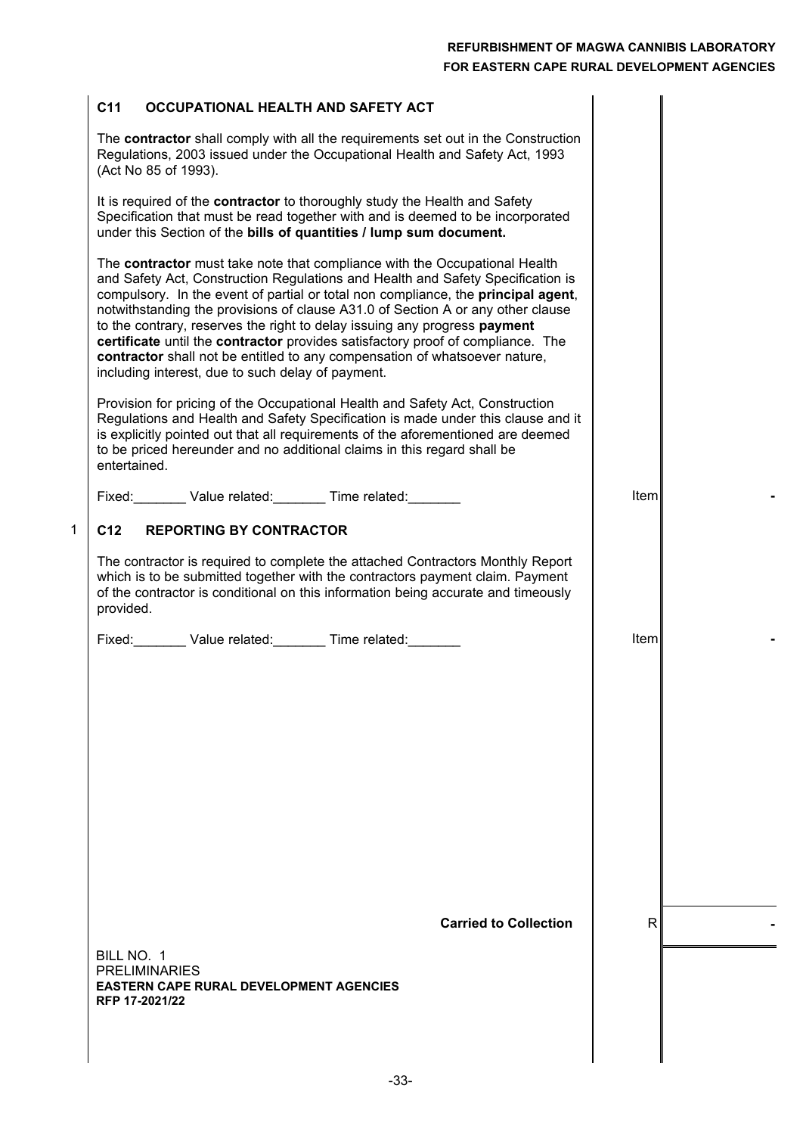Item **-**

Item **-**

#### **C11 OCCUPATIONAL HEALTH AND SAFETY ACT**

The **contractor** shall comply with all the requirements set out in the Construction Regulations, 2003 issued under the Occupational Health and Safety Act, 1993 (Act No 85 of 1993).

It is required of the **contractor** to thoroughly study the Health and Safety Specification that must be read together with and is deemed to be incorporated under this Section of the **bills of quantities / lump sum document.**

The **contractor** must take note that compliance with the Occupational Health and Safety Act, Construction Regulations and Health and Safety Specification is compulsory. In the event of partial or total non compliance, the **principal agent**, notwithstanding the provisions of clause A31.0 of Section A or any other clause to the contrary, reserves the right to delay issuing any progress **payment certificate** until the **contractor** provides satisfactory proof of compliance. The **contractor** shall not be entitled to any compensation of whatsoever nature, including interest, due to such delay of payment.

Provision for pricing of the Occupational Health and Safety Act, Construction Regulations and Health and Safety Specification is made under this clause and it is explicitly pointed out that all requirements of the aforementioned are deemed to be priced hereunder and no additional claims in this regard shall be entertained.

Fixed: Value related: Time related:

#### **C12 REPORTING BY CONTRACTOR**

1

The contractor is required to complete the attached Contractors Monthly Report which is to be submitted together with the contractors payment claim. Payment of the contractor is conditional on this information being accurate and timeously provided.

Fixed: Value related: Time related:

**Carried to Collection**  $\vert$  R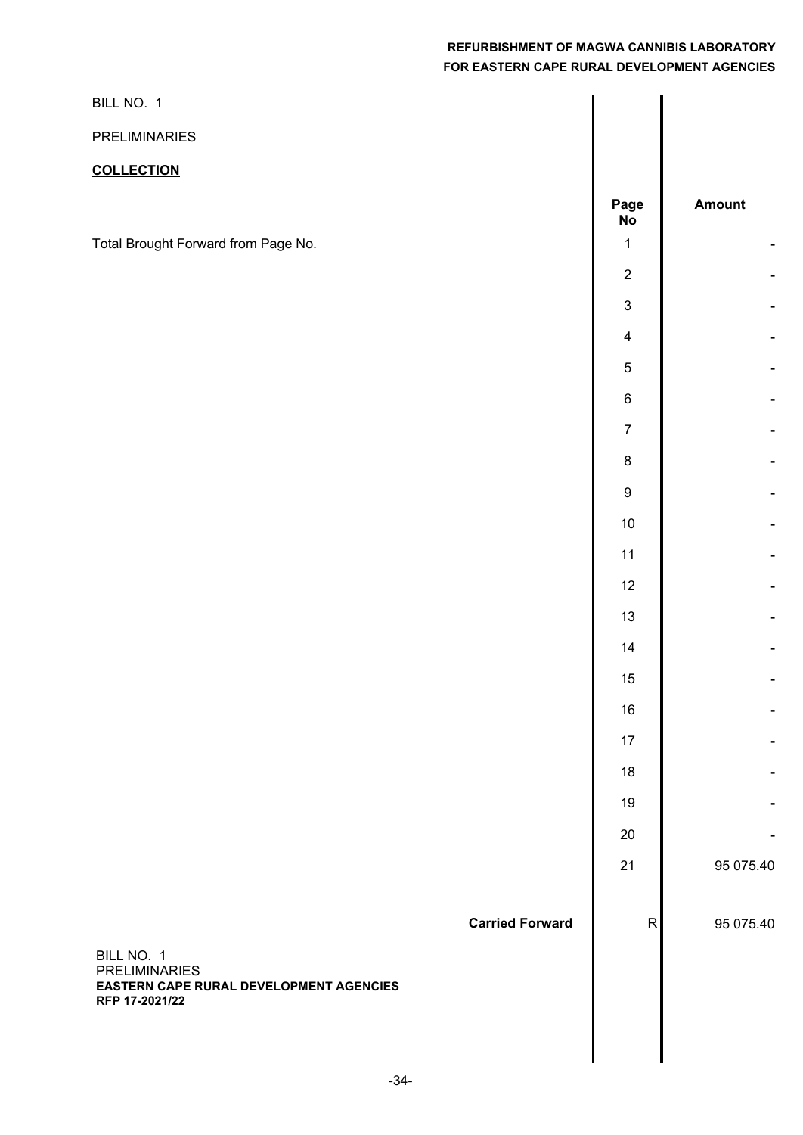| BILL NO. 1                                                                                                                |                         |           |
|---------------------------------------------------------------------------------------------------------------------------|-------------------------|-----------|
| PRELIMINARIES                                                                                                             |                         |           |
| <b>COLLECTION</b>                                                                                                         |                         |           |
|                                                                                                                           | Page<br><b>No</b>       | Amount    |
| Total Brought Forward from Page No.                                                                                       | $\mathbf 1$             |           |
|                                                                                                                           | $\sqrt{2}$              |           |
|                                                                                                                           | $\mathbf{3}$            |           |
|                                                                                                                           | $\overline{\mathbf{4}}$ |           |
|                                                                                                                           | $\,$ 5 $\,$             |           |
|                                                                                                                           | $\,6\,$                 |           |
|                                                                                                                           | $\boldsymbol{7}$        |           |
|                                                                                                                           | $\bf 8$                 |           |
|                                                                                                                           | $\boldsymbol{9}$        |           |
|                                                                                                                           | $10\,$                  |           |
|                                                                                                                           | 11                      |           |
|                                                                                                                           | 12                      |           |
|                                                                                                                           | 13                      |           |
|                                                                                                                           | 14                      |           |
|                                                                                                                           | $15\,$                  |           |
|                                                                                                                           | 16                      |           |
|                                                                                                                           | 17                      |           |
|                                                                                                                           | 18                      |           |
|                                                                                                                           | 19                      |           |
|                                                                                                                           | 20                      |           |
|                                                                                                                           | 21                      | 95 075.40 |
| <b>Carried Forward</b><br>BILL NO. 1<br><b>PRELIMINARIES</b><br>EASTERN CAPE RURAL DEVELOPMENT AGENCIES<br>RFP 17-2021/22 | R                       | 95 075.40 |
|                                                                                                                           |                         |           |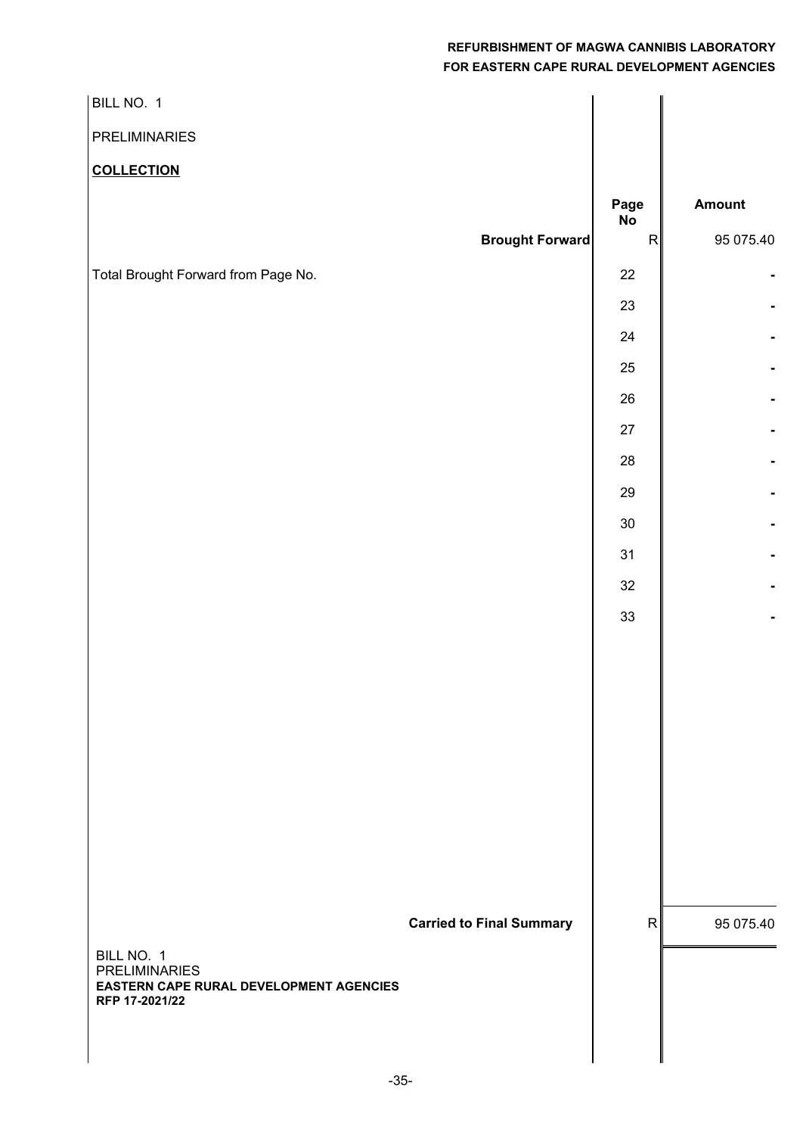| BILL NO. 1                                                      |                           |               |
|-----------------------------------------------------------------|---------------------------|---------------|
| PRELIMINARIES                                                   |                           |               |
| <b>COLLECTION</b>                                               |                           |               |
|                                                                 | Page                      | <b>Amount</b> |
| <b>Brought Forward</b>                                          | <b>No</b><br>$\mathsf{R}$ | 95 075.40     |
| Total Brought Forward from Page No.                             | $22\,$                    |               |
|                                                                 | $23\,$                    |               |
|                                                                 | 24                        |               |
|                                                                 | $25\,$                    |               |
|                                                                 | $26\,$                    |               |
|                                                                 | $27\,$                    |               |
|                                                                 | 28                        |               |
|                                                                 | 29                        |               |
|                                                                 | $30\,$                    |               |
|                                                                 | 31                        |               |
|                                                                 | $32\,$                    |               |
|                                                                 | 33                        |               |
|                                                                 |                           |               |
|                                                                 |                           |               |
|                                                                 |                           |               |
|                                                                 |                           |               |
|                                                                 |                           |               |
|                                                                 |                           |               |
|                                                                 |                           |               |
|                                                                 |                           |               |
| <b>Carried to Final Summary</b>                                 | R                         | 95 075.40     |
| BILL NO. 1                                                      |                           |               |
| <b>PRELIMINARIES</b><br>EASTERN CAPE RURAL DEVELOPMENT AGENCIES |                           |               |
| RFP 17-2021/22                                                  |                           |               |
|                                                                 |                           |               |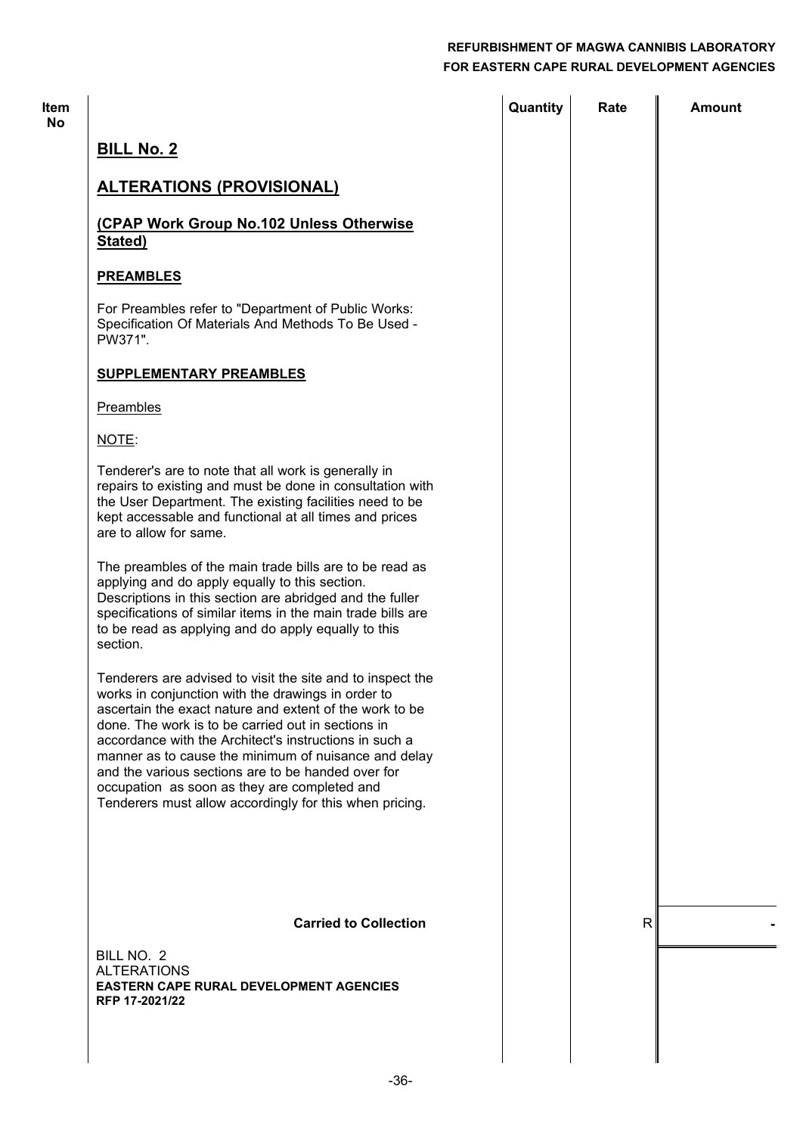| ltem<br>No |                                                                                                                                                                                                                                                                                                                                                                                                                                                                                                                      | Quantity | Rate         | <b>Amount</b> |
|------------|----------------------------------------------------------------------------------------------------------------------------------------------------------------------------------------------------------------------------------------------------------------------------------------------------------------------------------------------------------------------------------------------------------------------------------------------------------------------------------------------------------------------|----------|--------------|---------------|
|            | <b>BILL No. 2</b>                                                                                                                                                                                                                                                                                                                                                                                                                                                                                                    |          |              |               |
|            | <b>ALTERATIONS (PROVISIONAL)</b>                                                                                                                                                                                                                                                                                                                                                                                                                                                                                     |          |              |               |
|            | (CPAP Work Group No.102 Unless Otherwise<br>Stated)                                                                                                                                                                                                                                                                                                                                                                                                                                                                  |          |              |               |
|            | <b>PREAMBLES</b>                                                                                                                                                                                                                                                                                                                                                                                                                                                                                                     |          |              |               |
|            | For Preambles refer to "Department of Public Works:<br>Specification Of Materials And Methods To Be Used -<br>PW371".                                                                                                                                                                                                                                                                                                                                                                                                |          |              |               |
|            | <b>SUPPLEMENTARY PREAMBLES</b>                                                                                                                                                                                                                                                                                                                                                                                                                                                                                       |          |              |               |
|            | Preambles                                                                                                                                                                                                                                                                                                                                                                                                                                                                                                            |          |              |               |
|            | NOTE:                                                                                                                                                                                                                                                                                                                                                                                                                                                                                                                |          |              |               |
|            | Tenderer's are to note that all work is generally in<br>repairs to existing and must be done in consultation with<br>the User Department. The existing facilities need to be<br>kept accessable and functional at all times and prices<br>are to allow for same.                                                                                                                                                                                                                                                     |          |              |               |
|            | The preambles of the main trade bills are to be read as<br>applying and do apply equally to this section.<br>Descriptions in this section are abridged and the fuller<br>specifications of similar items in the main trade bills are<br>to be read as applying and do apply equally to this<br>section.                                                                                                                                                                                                              |          |              |               |
|            | Tenderers are advised to visit the site and to inspect the<br>works in conjunction with the drawings in order to<br>ascertain the exact nature and extent of the work to be<br>done. The work is to be carried out in sections in<br>accordance with the Architect's instructions in such a<br>manner as to cause the minimum of nuisance and delay<br>and the various sections are to be handed over for<br>occupation as soon as they are completed and<br>Tenderers must allow accordingly for this when pricing. |          |              |               |
|            |                                                                                                                                                                                                                                                                                                                                                                                                                                                                                                                      |          |              |               |
|            | <b>Carried to Collection</b>                                                                                                                                                                                                                                                                                                                                                                                                                                                                                         |          | $\mathsf{R}$ |               |
|            | BILL NO. 2<br><b>ALTERATIONS</b><br><b>EASTERN CAPE RURAL DEVELOPMENT AGENCIES</b><br>RFP 17-2021/22                                                                                                                                                                                                                                                                                                                                                                                                                 |          |              |               |
|            |                                                                                                                                                                                                                                                                                                                                                                                                                                                                                                                      |          |              |               |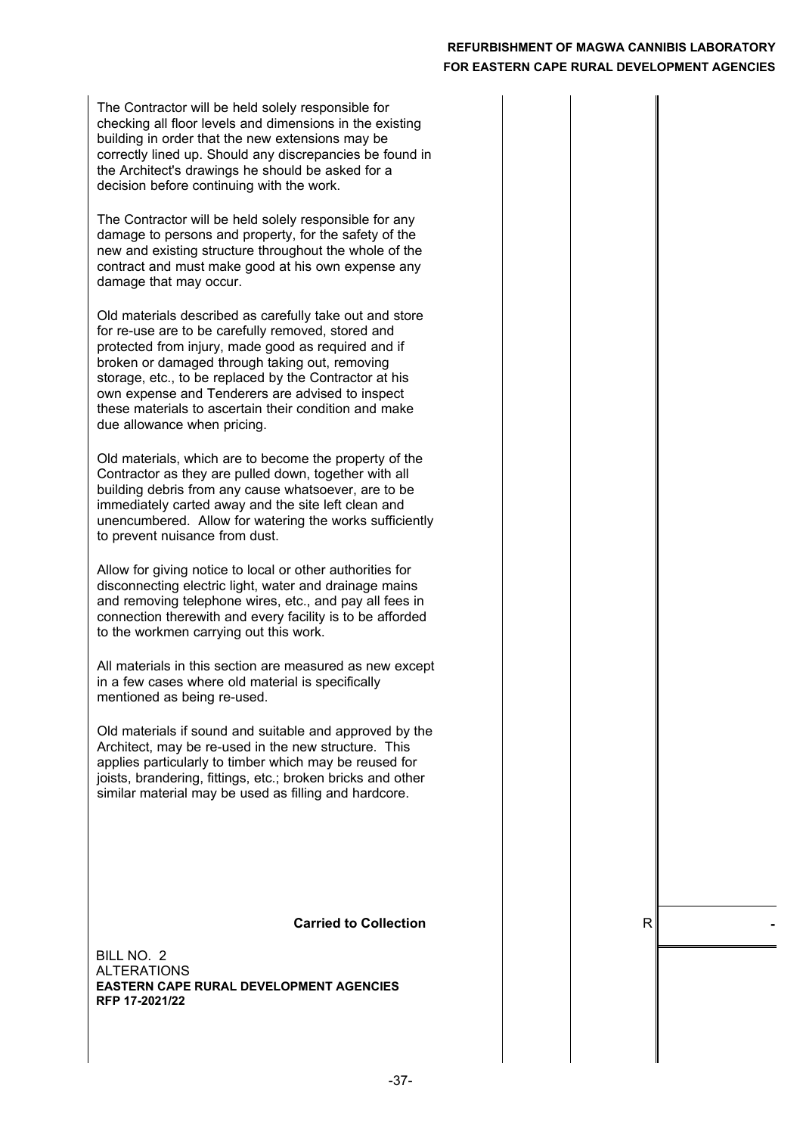The Contractor will be held solely responsible for checking all floor levels and dimensions in the existing building in order that the new extensions may be correctly lined up. Should any discrepancies be found in the Architect's drawings he should be asked for a decision before continuing with the work.

The Contractor will be held solely responsible for any damage to persons and property, for the safety of the new and existing structure throughout the whole of the contract and must make good at his own expense any damage that may occur.

Old materials described as carefully take out and store for re-use are to be carefully removed, stored and protected from injury, made good as required and if broken or damaged through taking out, removing storage, etc., to be replaced by the Contractor at his own expense and Tenderers are advised to inspect these materials to ascertain their condition and make due allowance when pricing.

Old materials, which are to become the property of the Contractor as they are pulled down, together with all building debris from any cause whatsoever, are to be immediately carted away and the site left clean and unencumbered. Allow for watering the works sufficiently to prevent nuisance from dust.

Allow for giving notice to local or other authorities for disconnecting electric light, water and drainage mains and removing telephone wires, etc., and pay all fees in connection therewith and every facility is to be afforded to the workmen carrying out this work.

All materials in this section are measured as new except in a few cases where old material is specifically mentioned as being re-used.

Old materials if sound and suitable and approved by the Architect, may be re-used in the new structure. This applies particularly to timber which may be reused for joists, brandering, fittings, etc.; broken bricks and other similar material may be used as filling and hardcore.

#### **Carried to Collection**  $\qquad$  | R

ALTERATIONS BILL NO. 2 **EASTERN CAPE RURAL DEVELOPMENT AGENCIES RFP 17-2021/22**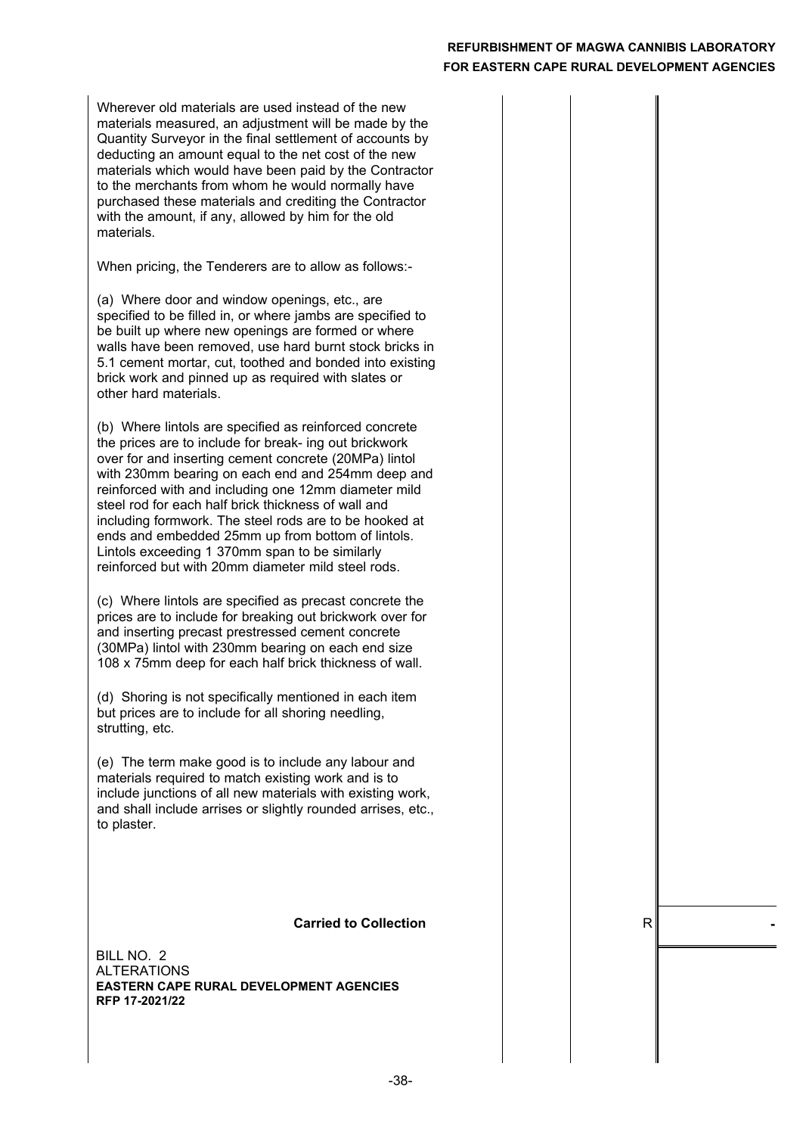Wherever old materials are used instead of the new materials measured, an adjustment will be made by the Quantity Surveyor in the final settlement of accounts by deducting an amount equal to the net cost of the new materials which would have been paid by the Contractor to the merchants from whom he would normally have purchased these materials and crediting the Contractor with the amount, if any, allowed by him for the old materials.

When pricing, the Tenderers are to allow as follows:-

(a) Where door and window openings, etc., are specified to be filled in, or where jambs are specified to be built up where new openings are formed or where walls have been removed, use hard burnt stock bricks in 5.1 cement mortar, cut, toothed and bonded into existing brick work and pinned up as required with slates or other hard materials.

(b) Where lintols are specified as reinforced concrete the prices are to include for break- ing out brickwork over for and inserting cement concrete (20MPa) lintol with 230mm bearing on each end and 254mm deep and reinforced with and including one 12mm diameter mild steel rod for each half brick thickness of wall and including formwork. The steel rods are to be hooked at ends and embedded 25mm up from bottom of lintols. Lintols exceeding 1 370mm span to be similarly reinforced but with 20mm diameter mild steel rods.

(c) Where lintols are specified as precast concrete the prices are to include for breaking out brickwork over for and inserting precast prestressed cement concrete (30MPa) lintol with 230mm bearing on each end size 108 x 75mm deep for each half brick thickness of wall.

(d) Shoring is not specifically mentioned in each item but prices are to include for all shoring needling, strutting, etc.

(e) The term make good is to include any labour and materials required to match existing work and is to include junctions of all new materials with existing work, and shall include arrises or slightly rounded arrises, etc., to plaster.

#### **Carried to Collection**  $\qquad$  | R

ALTERATIONS BILL NO. 2 **EASTERN CAPE RURAL DEVELOPMENT AGENCIES RFP 17-2021/22**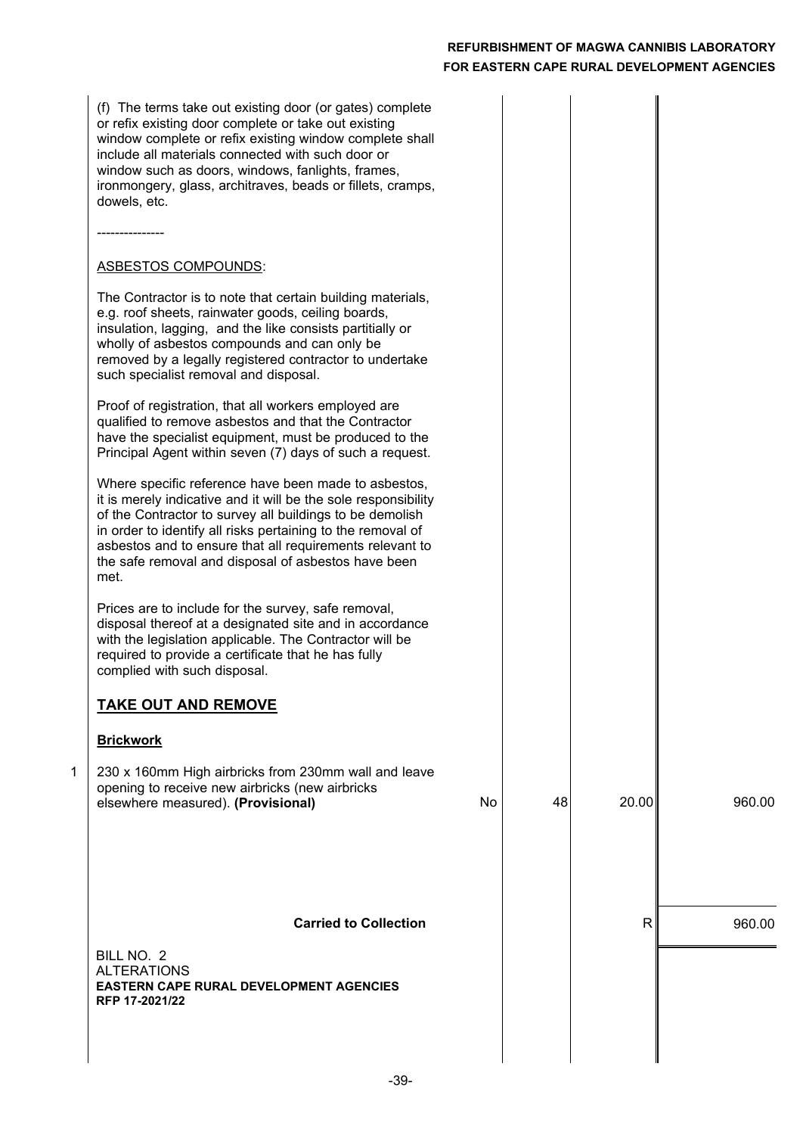|   | (f) The terms take out existing door (or gates) complete<br>or refix existing door complete or take out existing<br>window complete or refix existing window complete shall<br>include all materials connected with such door or<br>window such as doors, windows, fanlights, frames,<br>ironmongery, glass, architraves, beads or fillets, cramps,<br>dowels, etc.          |    |    |       |        |
|---|------------------------------------------------------------------------------------------------------------------------------------------------------------------------------------------------------------------------------------------------------------------------------------------------------------------------------------------------------------------------------|----|----|-------|--------|
|   |                                                                                                                                                                                                                                                                                                                                                                              |    |    |       |        |
|   | <b>ASBESTOS COMPOUNDS:</b>                                                                                                                                                                                                                                                                                                                                                   |    |    |       |        |
|   | The Contractor is to note that certain building materials,<br>e.g. roof sheets, rainwater goods, ceiling boards,<br>insulation, lagging, and the like consists partitially or<br>wholly of asbestos compounds and can only be<br>removed by a legally registered contractor to undertake<br>such specialist removal and disposal.                                            |    |    |       |        |
|   | Proof of registration, that all workers employed are<br>qualified to remove asbestos and that the Contractor<br>have the specialist equipment, must be produced to the<br>Principal Agent within seven (7) days of such a request.                                                                                                                                           |    |    |       |        |
|   | Where specific reference have been made to asbestos,<br>it is merely indicative and it will be the sole responsibility<br>of the Contractor to survey all buildings to be demolish<br>in order to identify all risks pertaining to the removal of<br>asbestos and to ensure that all requirements relevant to<br>the safe removal and disposal of asbestos have been<br>met. |    |    |       |        |
|   | Prices are to include for the survey, safe removal,<br>disposal thereof at a designated site and in accordance<br>with the legislation applicable. The Contractor will be<br>required to provide a certificate that he has fully<br>complied with such disposal.                                                                                                             |    |    |       |        |
|   | <b>TAKE OUT AND REMOVE</b>                                                                                                                                                                                                                                                                                                                                                   |    |    |       |        |
|   | <b>Brickwork</b>                                                                                                                                                                                                                                                                                                                                                             |    |    |       |        |
| 1 | 230 x 160mm High airbricks from 230mm wall and leave<br>opening to receive new airbricks (new airbricks<br>elsewhere measured). (Provisional)                                                                                                                                                                                                                                | No | 48 | 20.00 | 960.00 |
|   |                                                                                                                                                                                                                                                                                                                                                                              |    |    |       |        |
|   | <b>Carried to Collection</b><br>BILL NO. 2<br><b>ALTERATIONS</b><br><b>EASTERN CAPE RURAL DEVELOPMENT AGENCIES</b><br>RFP 17-2021/22                                                                                                                                                                                                                                         |    |    | R     | 960.00 |
|   |                                                                                                                                                                                                                                                                                                                                                                              |    |    |       |        |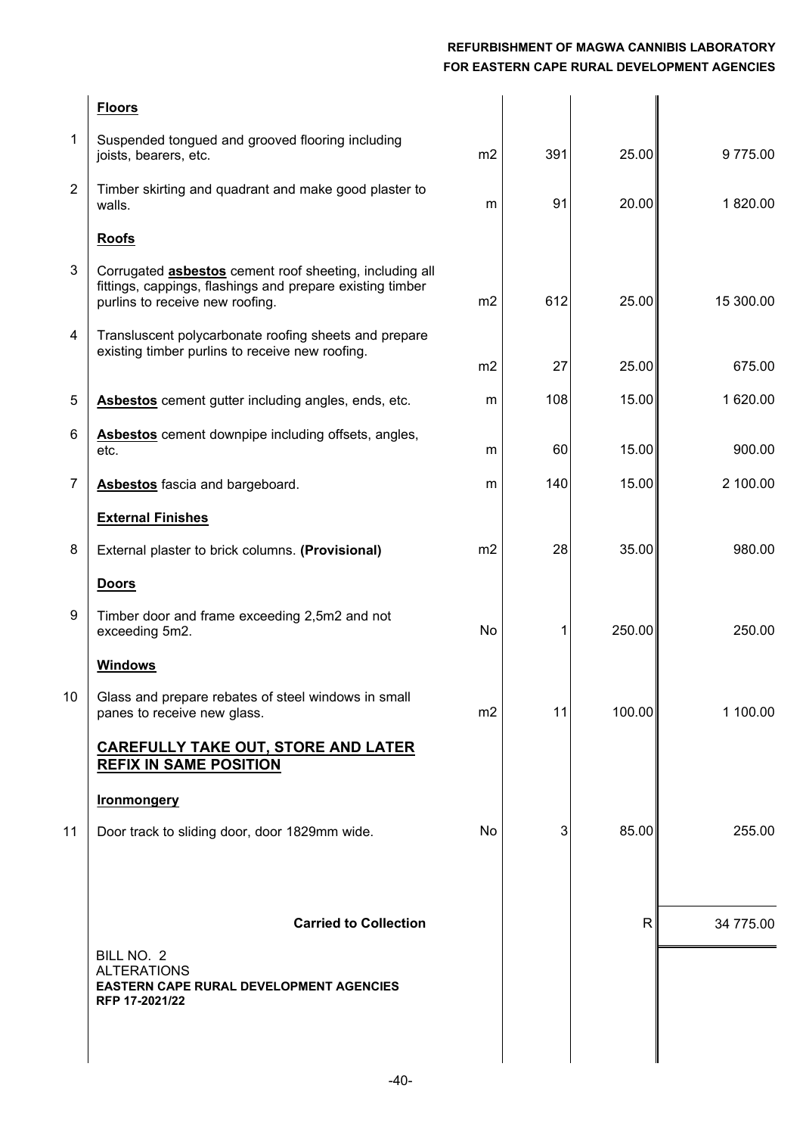|                | <b>Floors</b>                                                                                                                                                  |                |     |        |           |
|----------------|----------------------------------------------------------------------------------------------------------------------------------------------------------------|----------------|-----|--------|-----------|
| $\mathbf 1$    | Suspended tongued and grooved flooring including<br>joists, bearers, etc.                                                                                      | m2             | 391 | 25.00  | 9775.00   |
| $\overline{2}$ | Timber skirting and quadrant and make good plaster to<br>walls.                                                                                                | m              | 91  | 20.00  | 1820.00   |
|                | <b>Roofs</b>                                                                                                                                                   |                |     |        |           |
| 3              | Corrugated <b>asbestos</b> cement roof sheeting, including all<br>fittings, cappings, flashings and prepare existing timber<br>purlins to receive new roofing. | m <sub>2</sub> | 612 | 25.00  | 15 300.00 |
| 4              | Transluscent polycarbonate roofing sheets and prepare<br>existing timber purlins to receive new roofing.                                                       | m <sub>2</sub> | 27  | 25.00  | 675.00    |
| 5              | Asbestos cement gutter including angles, ends, etc.                                                                                                            | m              | 108 | 15.00  | 1 620.00  |
| 6              | Asbestos cement downpipe including offsets, angles,<br>etc.                                                                                                    | m              | 60  | 15.00  | 900.00    |
| $\overline{7}$ | Asbestos fascia and bargeboard.                                                                                                                                | m              | 140 | 15.00  | 2 100.00  |
|                | <b>External Finishes</b>                                                                                                                                       |                |     |        |           |
| 8              | External plaster to brick columns. (Provisional)                                                                                                               | m2             | 28  | 35.00  | 980.00    |
|                | <b>Doors</b>                                                                                                                                                   |                |     |        |           |
| 9              | Timber door and frame exceeding 2,5m2 and not<br>exceeding 5m2.                                                                                                | No             | 1   | 250.00 | 250.00    |
|                | <b>Windows</b>                                                                                                                                                 |                |     |        |           |
| 10             | Glass and prepare rebates of steel windows in small<br>panes to receive new glass.                                                                             | m <sub>2</sub> | 11  | 100.00 | 1 100.00  |
|                | <b>CAREFULLY TAKE OUT, STORE AND LATER</b><br><b>REFIX IN SAME POSITION</b>                                                                                    |                |     |        |           |
|                | <b>Ironmongery</b>                                                                                                                                             |                |     |        |           |
| 11             | Door track to sliding door, door 1829mm wide.                                                                                                                  | No             | 3   | 85.00  | 255.00    |
|                |                                                                                                                                                                |                |     |        |           |
|                | <b>Carried to Collection</b>                                                                                                                                   |                |     | R      | 34 775.00 |
|                | BILL NO. 2<br><b>ALTERATIONS</b><br>EASTERN CAPE RURAL DEVELOPMENT AGENCIES<br>RFP 17-2021/22                                                                  |                |     |        |           |
|                |                                                                                                                                                                |                |     |        |           |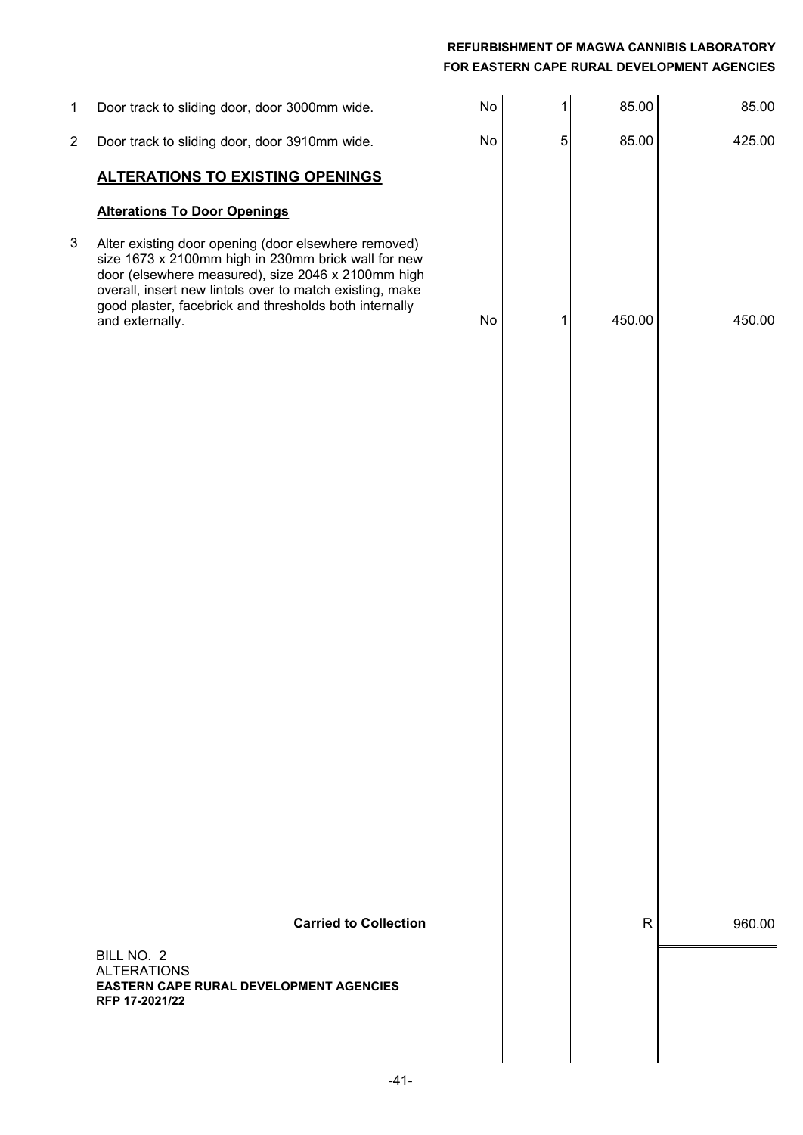| $\mathbf{1}$   | Door track to sliding door, door 3000mm wide.                                                                                                                                                                                                                                                              | No | 1 | 85.00  | 85.00  |
|----------------|------------------------------------------------------------------------------------------------------------------------------------------------------------------------------------------------------------------------------------------------------------------------------------------------------------|----|---|--------|--------|
| $\overline{c}$ | Door track to sliding door, door 3910mm wide.                                                                                                                                                                                                                                                              | No | 5 | 85.00  | 425.00 |
|                | <b>ALTERATIONS TO EXISTING OPENINGS</b>                                                                                                                                                                                                                                                                    |    |   |        |        |
|                | <b>Alterations To Door Openings</b>                                                                                                                                                                                                                                                                        |    |   |        |        |
| 3              | Alter existing door opening (door elsewhere removed)<br>size 1673 x 2100mm high in 230mm brick wall for new<br>door (elsewhere measured), size 2046 x 2100mm high<br>overall, insert new lintols over to match existing, make<br>good plaster, facebrick and thresholds both internally<br>and externally. | No | 1 | 450.00 | 450.00 |
|                |                                                                                                                                                                                                                                                                                                            |    |   |        |        |
|                | <b>Carried to Collection</b>                                                                                                                                                                                                                                                                               |    |   | R      | 960.00 |
|                | BILL NO. 2<br><b>ALTERATIONS</b><br><b>EASTERN CAPE RURAL DEVELOPMENT AGENCIES</b><br>RFP 17-2021/22                                                                                                                                                                                                       |    |   |        |        |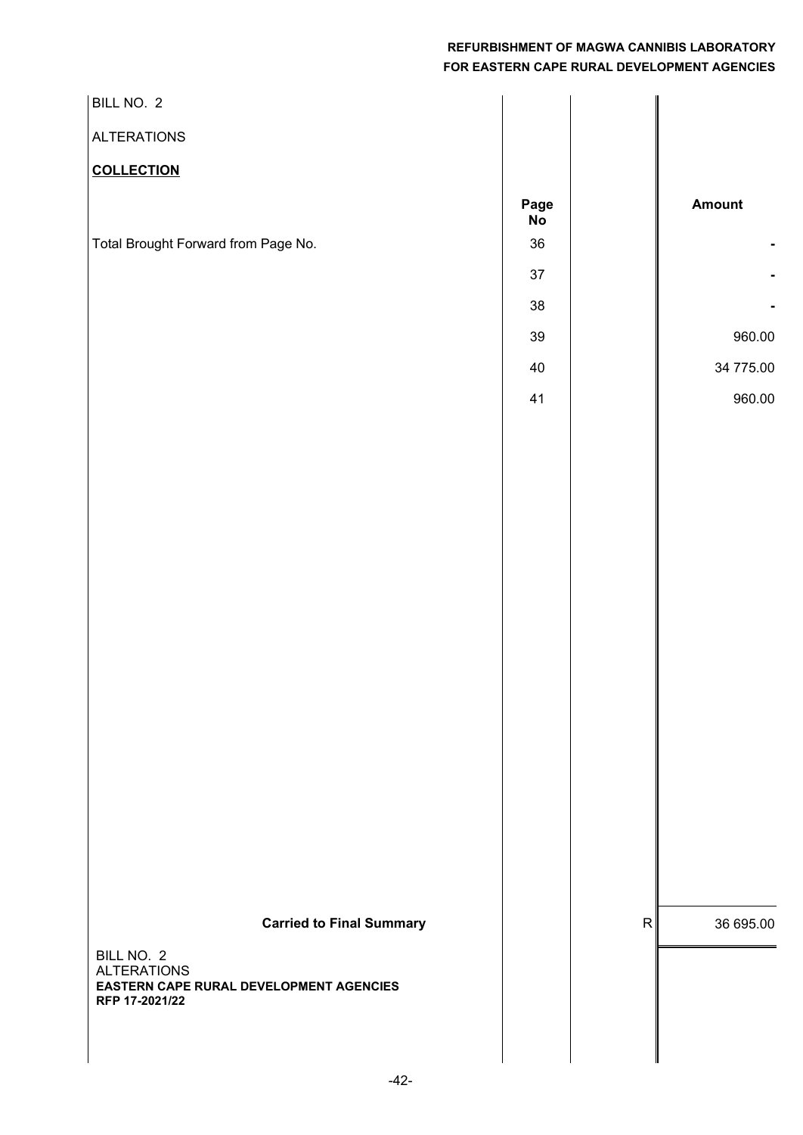| BILL NO. 2                                                                                                                       |                                                                |                                         |
|----------------------------------------------------------------------------------------------------------------------------------|----------------------------------------------------------------|-----------------------------------------|
| <b>ALTERATIONS</b>                                                                                                               |                                                                |                                         |
| <b>COLLECTION</b>                                                                                                                |                                                                |                                         |
| Total Brought Forward from Page No.                                                                                              | Page<br>No<br>$36\,$<br>$37\,$<br>$38\,$<br>$39\,$<br>40<br>41 | Amount<br>960.00<br>34 775.00<br>960.00 |
|                                                                                                                                  |                                                                |                                         |
|                                                                                                                                  |                                                                |                                         |
| <b>Carried to Final Summary</b><br>BILL NO. 2<br><b>ALTERATIONS</b><br>EASTERN CAPE RURAL DEVELOPMENT AGENCIES<br>RFP 17-2021/22 |                                                                | ${\sf R}$<br>36 695.00                  |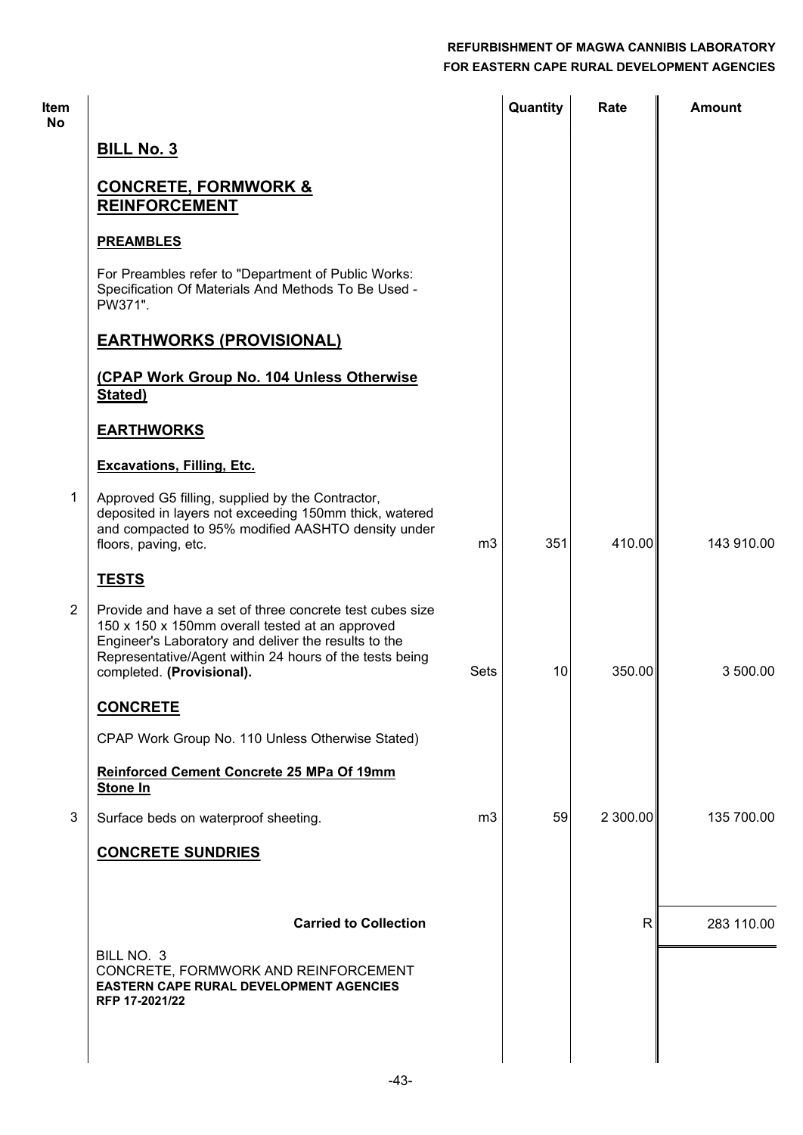| <b>Item</b><br>No |                                                                                                                                                                                                                                                             |                | Quantity | Rate         | <b>Amount</b> |
|-------------------|-------------------------------------------------------------------------------------------------------------------------------------------------------------------------------------------------------------------------------------------------------------|----------------|----------|--------------|---------------|
|                   | <b>BILL No. 3</b>                                                                                                                                                                                                                                           |                |          |              |               |
|                   | <b>CONCRETE, FORMWORK &amp;</b><br><b>REINFORCEMENT</b>                                                                                                                                                                                                     |                |          |              |               |
|                   | <b>PREAMBLES</b>                                                                                                                                                                                                                                            |                |          |              |               |
|                   | For Preambles refer to "Department of Public Works:<br>Specification Of Materials And Methods To Be Used -<br>PW371".                                                                                                                                       |                |          |              |               |
|                   | <b>EARTHWORKS (PROVISIONAL)</b>                                                                                                                                                                                                                             |                |          |              |               |
|                   | (CPAP Work Group No. 104 Unless Otherwise<br>Stated)                                                                                                                                                                                                        |                |          |              |               |
|                   | <b>EARTHWORKS</b>                                                                                                                                                                                                                                           |                |          |              |               |
|                   | <b>Excavations, Filling, Etc.</b>                                                                                                                                                                                                                           |                |          |              |               |
| 1                 | Approved G5 filling, supplied by the Contractor,<br>deposited in layers not exceeding 150mm thick, watered<br>and compacted to 95% modified AASHTO density under<br>floors, paving, etc.                                                                    | m <sub>3</sub> | 351      | 410.00       | 143 910.00    |
|                   | <b>TESTS</b>                                                                                                                                                                                                                                                |                |          |              |               |
| $\overline{2}$    | Provide and have a set of three concrete test cubes size<br>150 x 150 x 150mm overall tested at an approved<br>Engineer's Laboratory and deliver the results to the<br>Representative/Agent within 24 hours of the tests being<br>completed. (Provisional). | Sets           | 10       | 350.00       | 3 500.00      |
|                   | <b>CONCRETE</b>                                                                                                                                                                                                                                             |                |          |              |               |
|                   | CPAP Work Group No. 110 Unless Otherwise Stated)                                                                                                                                                                                                            |                |          |              |               |
|                   | Reinforced Cement Concrete 25 MPa Of 19mm<br>Stone In                                                                                                                                                                                                       |                |          |              |               |
| 3                 | Surface beds on waterproof sheeting.                                                                                                                                                                                                                        | m <sub>3</sub> | 59       | 2 300.00     | 135 700.00    |
|                   | <b>CONCRETE SUNDRIES</b>                                                                                                                                                                                                                                    |                |          |              |               |
|                   |                                                                                                                                                                                                                                                             |                |          |              |               |
|                   | <b>Carried to Collection</b>                                                                                                                                                                                                                                |                |          | $\mathsf{R}$ | 283 110.00    |
|                   | BILL NO. 3<br>CONCRETE, FORMWORK AND REINFORCEMENT<br><b>EASTERN CAPE RURAL DEVELOPMENT AGENCIES</b><br>RFP 17-2021/22                                                                                                                                      |                |          |              |               |
|                   |                                                                                                                                                                                                                                                             |                |          |              |               |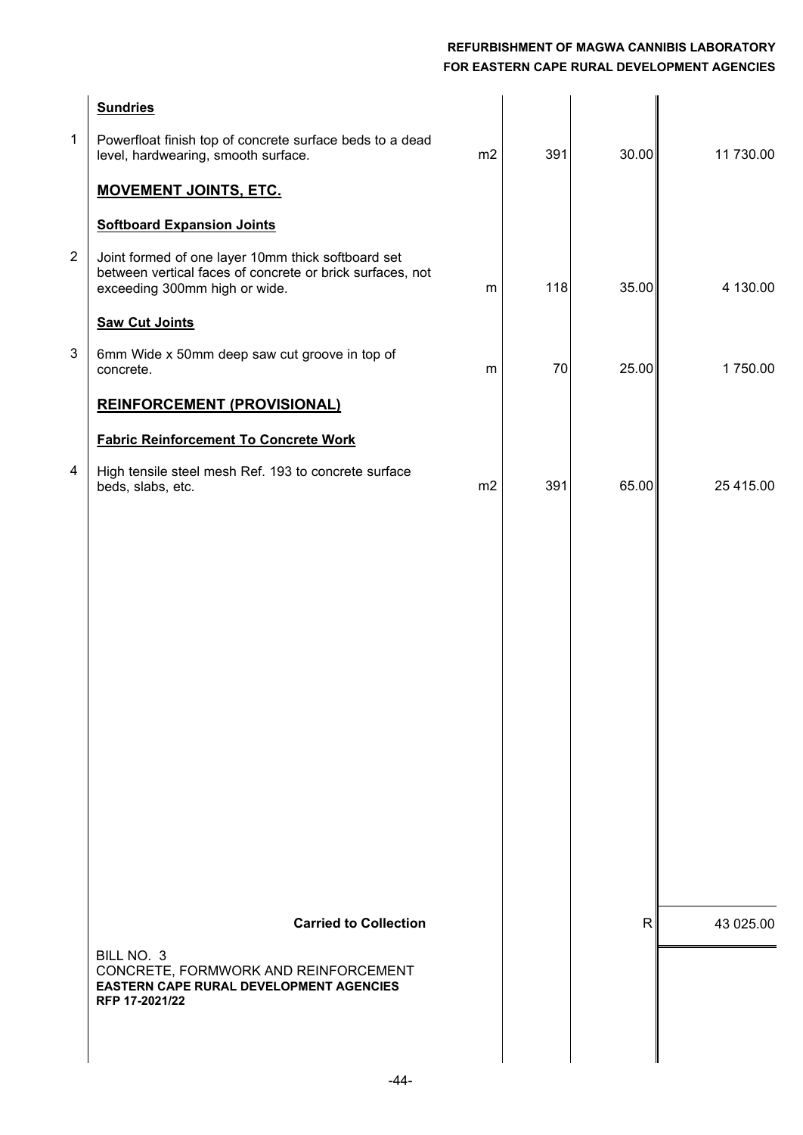| $\mathbf{1}$   | <b>Sundries</b><br>Powerfloat finish top of concrete surface beds to a dead<br>level, hardwearing, smooth surface.                               | m2             | 391 | 30.00 | 11 730.00 |
|----------------|--------------------------------------------------------------------------------------------------------------------------------------------------|----------------|-----|-------|-----------|
|                | <b>MOVEMENT JOINTS, ETC.</b>                                                                                                                     |                |     |       |           |
|                | <b>Softboard Expansion Joints</b>                                                                                                                |                |     |       |           |
| $\overline{2}$ | Joint formed of one layer 10mm thick softboard set<br>between vertical faces of concrete or brick surfaces, not<br>exceeding 300mm high or wide. | m              | 118 | 35.00 | 4 130.00  |
|                | <b>Saw Cut Joints</b>                                                                                                                            |                |     |       |           |
| 3              | 6mm Wide x 50mm deep saw cut groove in top of<br>concrete.                                                                                       | m              | 70  | 25.00 | 1750.00   |
|                | <b>REINFORCEMENT (PROVISIONAL)</b>                                                                                                               |                |     |       |           |
|                | <b>Fabric Reinforcement To Concrete Work</b>                                                                                                     |                |     |       |           |
| 4              | High tensile steel mesh Ref. 193 to concrete surface<br>beds, slabs, etc.                                                                        | m <sub>2</sub> | 391 | 65.00 | 25 415.00 |
|                |                                                                                                                                                  |                |     |       |           |
|                |                                                                                                                                                  |                |     |       |           |
|                |                                                                                                                                                  |                |     |       |           |
|                |                                                                                                                                                  |                |     |       |           |
|                |                                                                                                                                                  |                |     |       |           |
|                |                                                                                                                                                  |                |     |       |           |
|                |                                                                                                                                                  |                |     |       |           |
|                |                                                                                                                                                  |                |     |       |           |
|                |                                                                                                                                                  |                |     |       |           |
|                |                                                                                                                                                  |                |     |       |           |
|                |                                                                                                                                                  |                |     |       |           |
|                | <b>Carried to Collection</b>                                                                                                                     |                |     | R     | 43 025.00 |
|                | BILL NO. 3                                                                                                                                       |                |     |       |           |
|                | CONCRETE, FORMWORK AND REINFORCEMENT<br>EASTERN CAPE RURAL DEVELOPMENT AGENCIES<br>RFP 17-2021/22                                                |                |     |       |           |
|                |                                                                                                                                                  |                |     |       |           |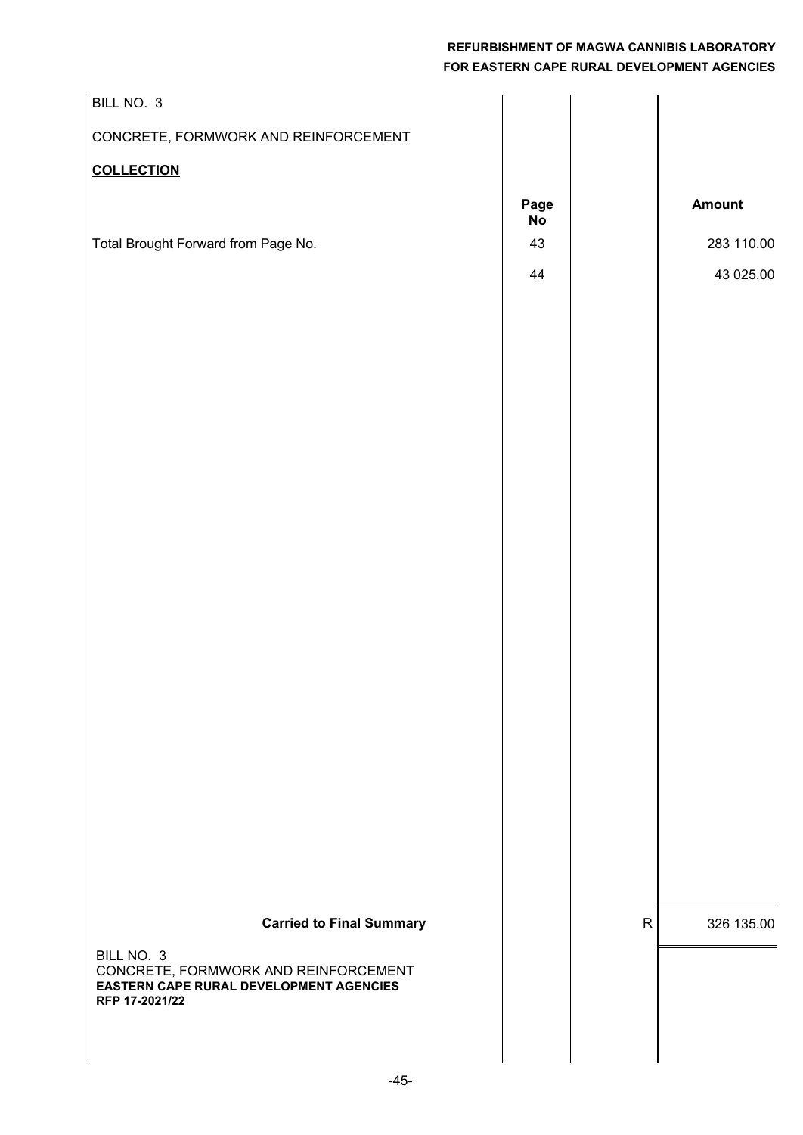| BILL NO. 3                                                                                                      |                                |              |               |
|-----------------------------------------------------------------------------------------------------------------|--------------------------------|--------------|---------------|
| CONCRETE, FORMWORK AND REINFORCEMENT                                                                            |                                |              |               |
| <b>COLLECTION</b>                                                                                               |                                |              |               |
|                                                                                                                 | Page<br>$\mathop{\mathsf{No}}$ |              | <b>Amount</b> |
| Total Brought Forward from Page No.                                                                             | 43                             |              | 283 110.00    |
|                                                                                                                 | 44                             |              | 43 025.00     |
|                                                                                                                 |                                |              |               |
|                                                                                                                 |                                |              |               |
|                                                                                                                 |                                |              |               |
|                                                                                                                 |                                |              |               |
|                                                                                                                 |                                |              |               |
|                                                                                                                 |                                |              |               |
|                                                                                                                 |                                |              |               |
|                                                                                                                 |                                |              |               |
|                                                                                                                 |                                |              |               |
|                                                                                                                 |                                |              |               |
|                                                                                                                 |                                |              |               |
|                                                                                                                 |                                |              |               |
|                                                                                                                 |                                |              |               |
|                                                                                                                 |                                |              |               |
|                                                                                                                 |                                |              |               |
|                                                                                                                 |                                |              |               |
|                                                                                                                 |                                |              |               |
|                                                                                                                 |                                |              |               |
| <b>Carried to Final Summary</b>                                                                                 |                                | $\mathsf{R}$ | 326 135.00    |
| BILL NO. 3<br>CONCRETE, FORMWORK AND REINFORCEMENT<br>EASTERN CAPE RURAL DEVELOPMENT AGENCIES<br>RFP 17-2021/22 |                                |              |               |
|                                                                                                                 |                                |              |               |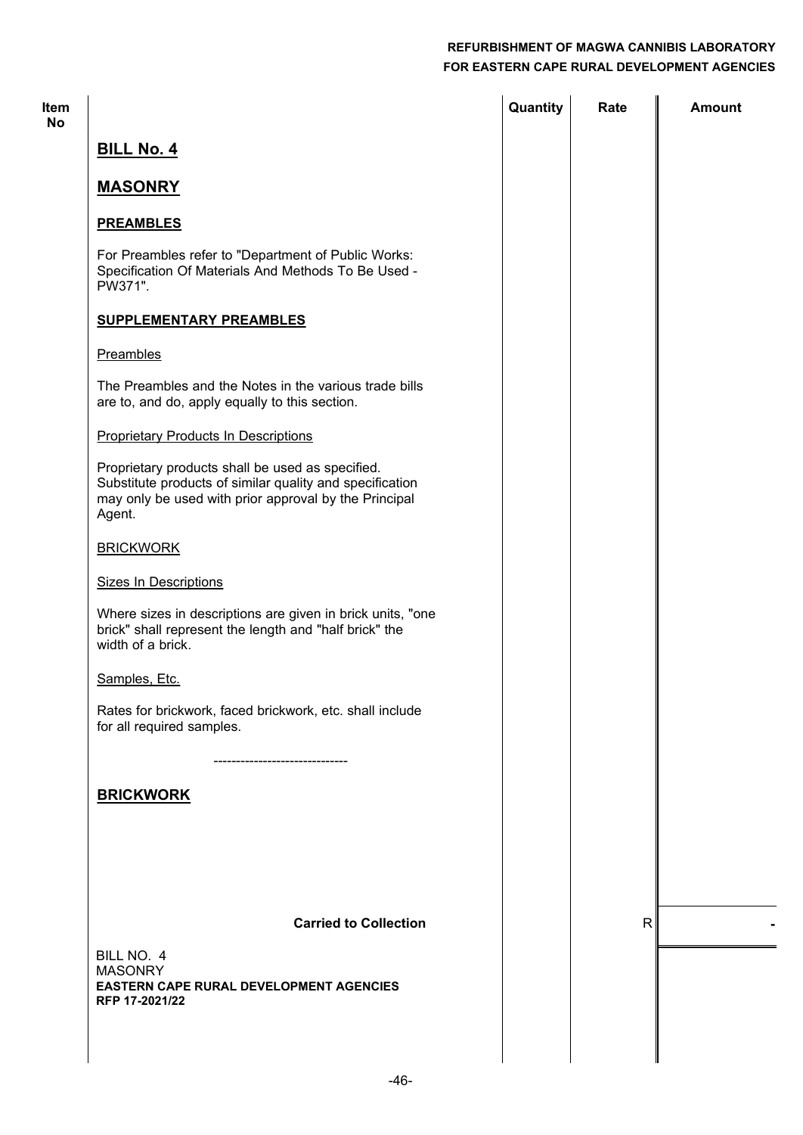| Item<br><b>No</b> |                                                                                                                                                                                 | Quantity | Rate         | <b>Amount</b> |
|-------------------|---------------------------------------------------------------------------------------------------------------------------------------------------------------------------------|----------|--------------|---------------|
|                   | <b>BILL No. 4</b>                                                                                                                                                               |          |              |               |
|                   | <b>MASONRY</b>                                                                                                                                                                  |          |              |               |
|                   | <b>PREAMBLES</b>                                                                                                                                                                |          |              |               |
|                   | For Preambles refer to "Department of Public Works:<br>Specification Of Materials And Methods To Be Used -<br>PW371".                                                           |          |              |               |
|                   | <b>SUPPLEMENTARY PREAMBLES</b>                                                                                                                                                  |          |              |               |
|                   | Preambles                                                                                                                                                                       |          |              |               |
|                   | The Preambles and the Notes in the various trade bills<br>are to, and do, apply equally to this section.                                                                        |          |              |               |
|                   | <b>Proprietary Products In Descriptions</b>                                                                                                                                     |          |              |               |
|                   | Proprietary products shall be used as specified.<br>Substitute products of similar quality and specification<br>may only be used with prior approval by the Principal<br>Agent. |          |              |               |
|                   | <b>BRICKWORK</b>                                                                                                                                                                |          |              |               |
|                   | <b>Sizes In Descriptions</b>                                                                                                                                                    |          |              |               |
|                   | Where sizes in descriptions are given in brick units, "one<br>brick" shall represent the length and "half brick" the<br>width of a brick.                                       |          |              |               |
|                   | Samples, Etc.                                                                                                                                                                   |          |              |               |
|                   | Rates for brickwork, faced brickwork, etc. shall include<br>for all required samples.                                                                                           |          |              |               |
|                   | --------------------------                                                                                                                                                      |          |              |               |
|                   | <b>BRICKWORK</b>                                                                                                                                                                |          |              |               |
|                   |                                                                                                                                                                                 |          |              |               |
|                   |                                                                                                                                                                                 |          |              |               |
|                   | <b>Carried to Collection</b>                                                                                                                                                    |          | $\mathsf{R}$ |               |
|                   | BILL NO. 4                                                                                                                                                                      |          |              |               |
|                   | <b>MASONRY</b><br><b>EASTERN CAPE RURAL DEVELOPMENT AGENCIES</b><br>RFP 17-2021/22                                                                                              |          |              |               |
|                   |                                                                                                                                                                                 |          |              |               |
|                   | $-46-$                                                                                                                                                                          |          |              |               |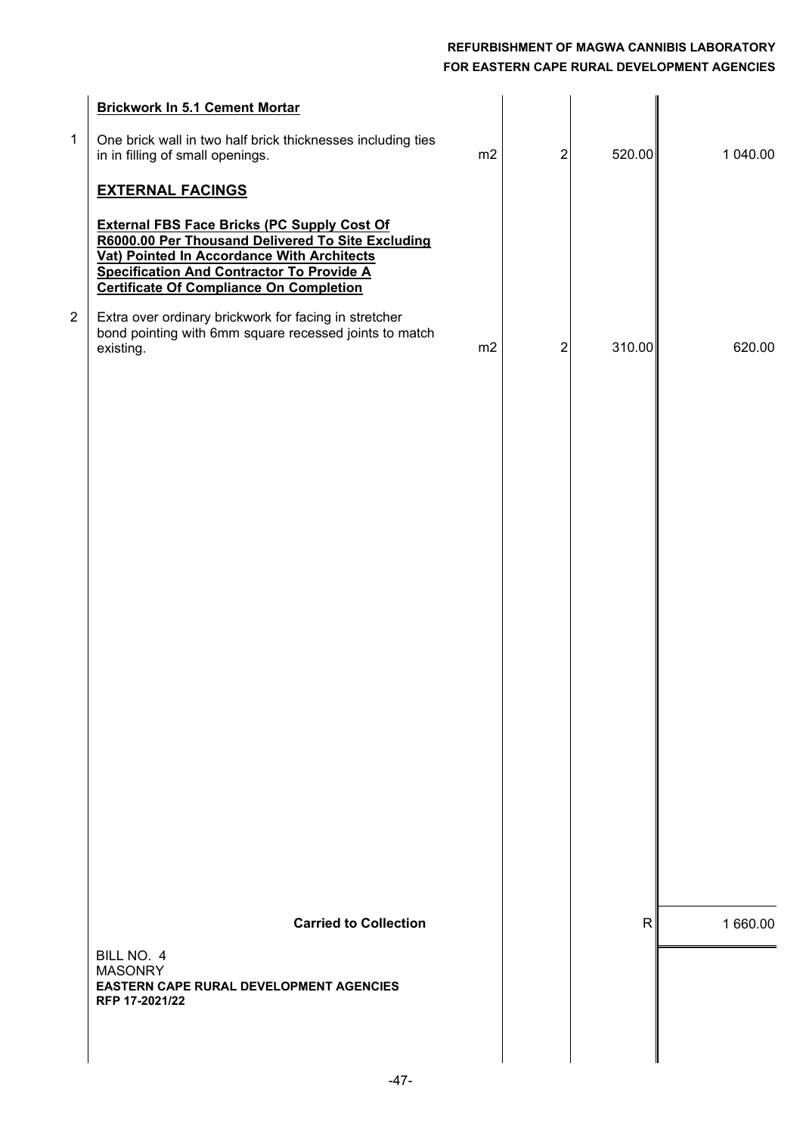| $\mathbf{1}$   | <b>Brickwork In 5.1 Cement Mortar</b><br>One brick wall in two half brick thicknesses including ties<br>in in filling of small openings.                                                                                                                                               | m2 | 2              | 520.00 | 1 040.00 |
|----------------|----------------------------------------------------------------------------------------------------------------------------------------------------------------------------------------------------------------------------------------------------------------------------------------|----|----------------|--------|----------|
|                | <b>EXTERNAL FACINGS</b><br><b>External FBS Face Bricks (PC Supply Cost Of</b><br>R6000.00 Per Thousand Delivered To Site Excluding<br>Vat) Pointed In Accordance With Architects<br><b>Specification And Contractor To Provide A</b><br><b>Certificate Of Compliance On Completion</b> |    |                |        |          |
| $\overline{2}$ | Extra over ordinary brickwork for facing in stretcher<br>bond pointing with 6mm square recessed joints to match<br>existing.                                                                                                                                                           | m2 | $\overline{2}$ | 310.00 | 620.00   |
|                |                                                                                                                                                                                                                                                                                        |    |                |        |          |
|                |                                                                                                                                                                                                                                                                                        |    |                |        |          |
|                |                                                                                                                                                                                                                                                                                        |    |                |        |          |
|                |                                                                                                                                                                                                                                                                                        |    |                |        |          |
|                | <b>Carried to Collection</b>                                                                                                                                                                                                                                                           |    |                | R      | 1 660.00 |
|                | BILL NO. 4<br><b>MASONRY</b><br><b>EASTERN CAPE RURAL DEVELOPMENT AGENCIES</b><br>RFP 17-2021/22                                                                                                                                                                                       |    |                |        |          |
|                |                                                                                                                                                                                                                                                                                        |    |                |        |          |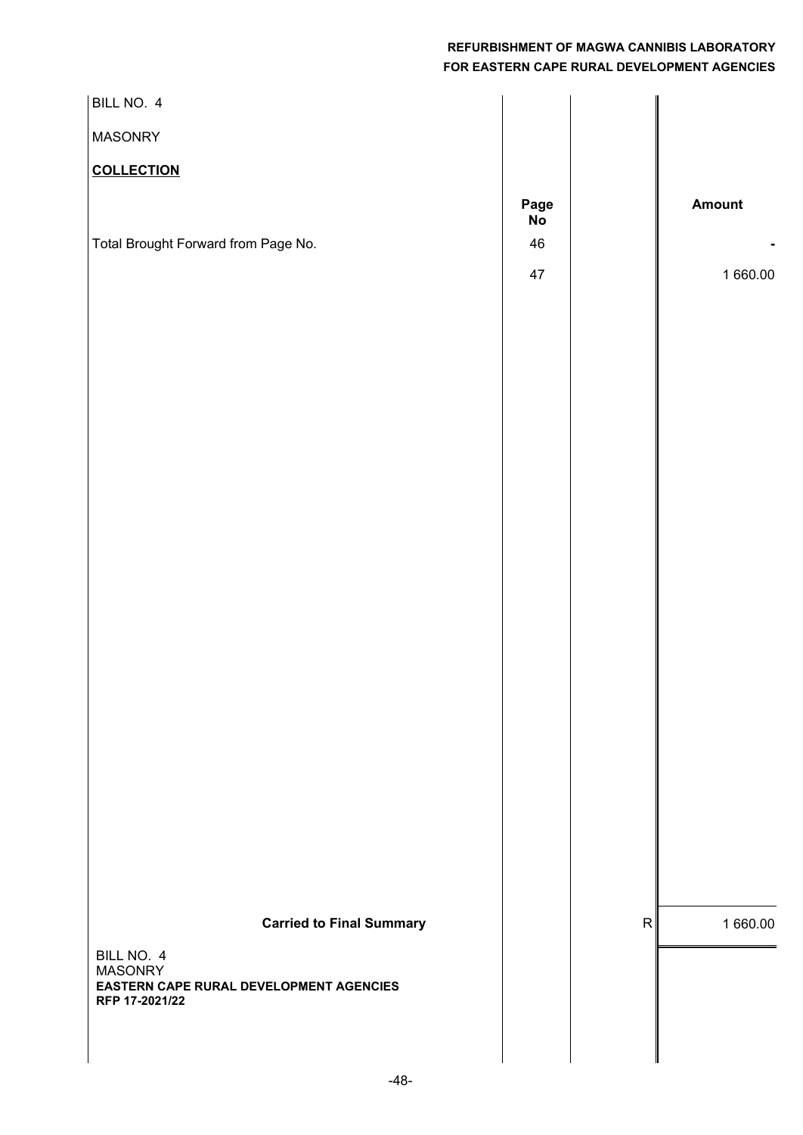| BILL NO. 4                                                |            |           |          |
|-----------------------------------------------------------|------------|-----------|----------|
| <b>MASONRY</b>                                            |            |           |          |
| <b>COLLECTION</b>                                         |            |           |          |
|                                                           | Page<br>No |           | Amount   |
| Total Brought Forward from Page No.                       | 46         |           |          |
|                                                           | 47         |           | 1 660.00 |
|                                                           |            |           |          |
|                                                           |            |           |          |
|                                                           |            |           |          |
|                                                           |            |           |          |
|                                                           |            |           |          |
|                                                           |            |           |          |
|                                                           |            |           |          |
|                                                           |            |           |          |
|                                                           |            |           |          |
|                                                           |            |           |          |
|                                                           |            |           |          |
|                                                           |            |           |          |
|                                                           |            |           |          |
|                                                           |            |           |          |
|                                                           |            |           |          |
|                                                           |            |           |          |
|                                                           |            |           |          |
| <b>Carried to Final Summary</b>                           |            | ${\sf R}$ | 1 660.00 |
| BILL NO. 4<br><b>MASONRY</b>                              |            |           |          |
| EASTERN CAPE RURAL DEVELOPMENT AGENCIES<br>RFP 17-2021/22 |            |           |          |
|                                                           |            |           |          |
|                                                           |            |           |          |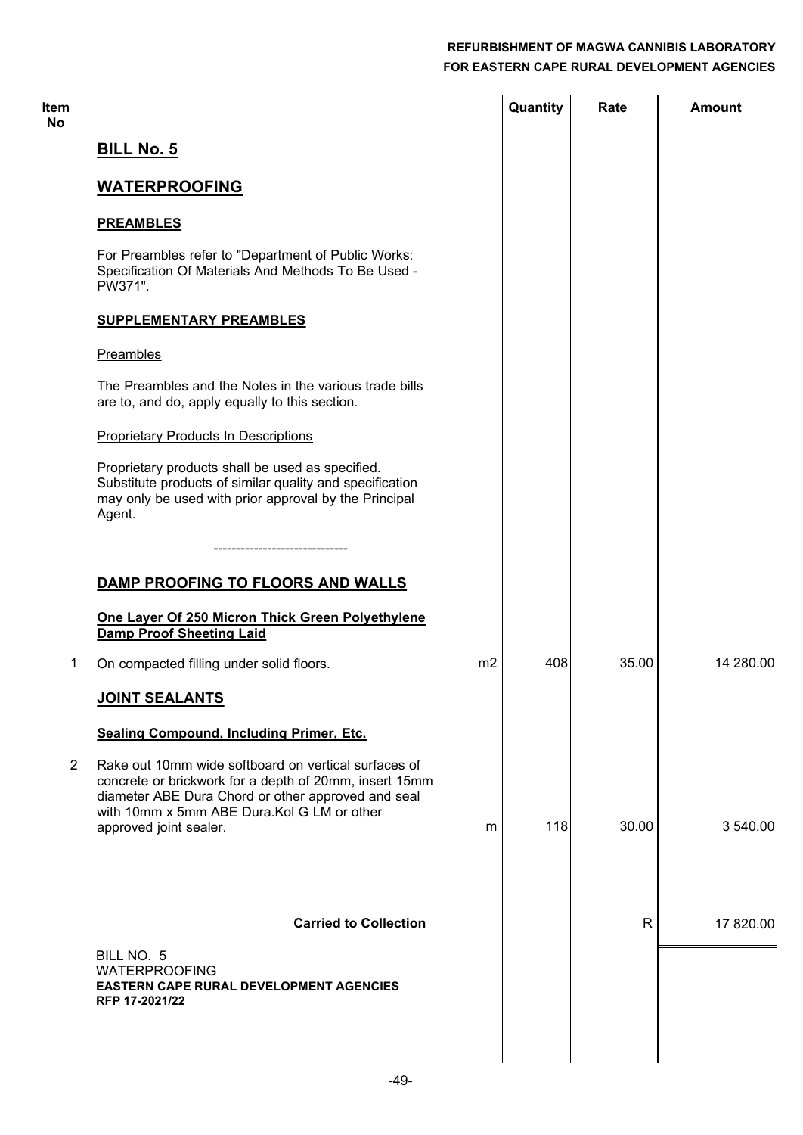| <b>Item</b><br>No |                                                                                                                                                                                                                                               | Quantity | Rate  | <b>Amount</b> |
|-------------------|-----------------------------------------------------------------------------------------------------------------------------------------------------------------------------------------------------------------------------------------------|----------|-------|---------------|
|                   | <b>BILL No. 5</b>                                                                                                                                                                                                                             |          |       |               |
|                   | <b>WATERPROOFING</b>                                                                                                                                                                                                                          |          |       |               |
|                   | <b>PREAMBLES</b>                                                                                                                                                                                                                              |          |       |               |
|                   | For Preambles refer to "Department of Public Works:<br>Specification Of Materials And Methods To Be Used -<br>PW371".                                                                                                                         |          |       |               |
|                   | <b>SUPPLEMENTARY PREAMBLES</b>                                                                                                                                                                                                                |          |       |               |
|                   | Preambles                                                                                                                                                                                                                                     |          |       |               |
|                   | The Preambles and the Notes in the various trade bills<br>are to, and do, apply equally to this section.                                                                                                                                      |          |       |               |
|                   | <b>Proprietary Products In Descriptions</b>                                                                                                                                                                                                   |          |       |               |
|                   | Proprietary products shall be used as specified.<br>Substitute products of similar quality and specification<br>may only be used with prior approval by the Principal<br>Agent.                                                               |          |       |               |
|                   |                                                                                                                                                                                                                                               |          |       |               |
|                   | DAMP PROOFING TO FLOORS AND WALLS                                                                                                                                                                                                             |          |       |               |
|                   | One Layer Of 250 Micron Thick Green Polyethylene<br><b>Damp Proof Sheeting Laid</b>                                                                                                                                                           |          |       |               |
| 1                 | m <sub>2</sub><br>On compacted filling under solid floors.                                                                                                                                                                                    | 408      | 35.00 | 14 280.00     |
|                   | <b>JOINT SEALANTS</b>                                                                                                                                                                                                                         |          |       |               |
|                   | <b>Sealing Compound, Including Primer, Etc.</b>                                                                                                                                                                                               |          |       |               |
| $\overline{2}$    | Rake out 10mm wide softboard on vertical surfaces of<br>concrete or brickwork for a depth of 20mm, insert 15mm<br>diameter ABE Dura Chord or other approved and seal<br>with 10mm x 5mm ABE Dura. Kol G LM or other<br>approved joint sealer. | 118<br>m | 30.00 | 3 540.00      |
|                   |                                                                                                                                                                                                                                               |          |       |               |
|                   |                                                                                                                                                                                                                                               |          |       |               |
|                   | <b>Carried to Collection</b>                                                                                                                                                                                                                  |          | R     | 17 820.00     |
|                   | BILL NO. 5<br><b>WATERPROOFING</b><br><b>EASTERN CAPE RURAL DEVELOPMENT AGENCIES</b><br>RFP 17-2021/22                                                                                                                                        |          |       |               |
|                   |                                                                                                                                                                                                                                               |          |       |               |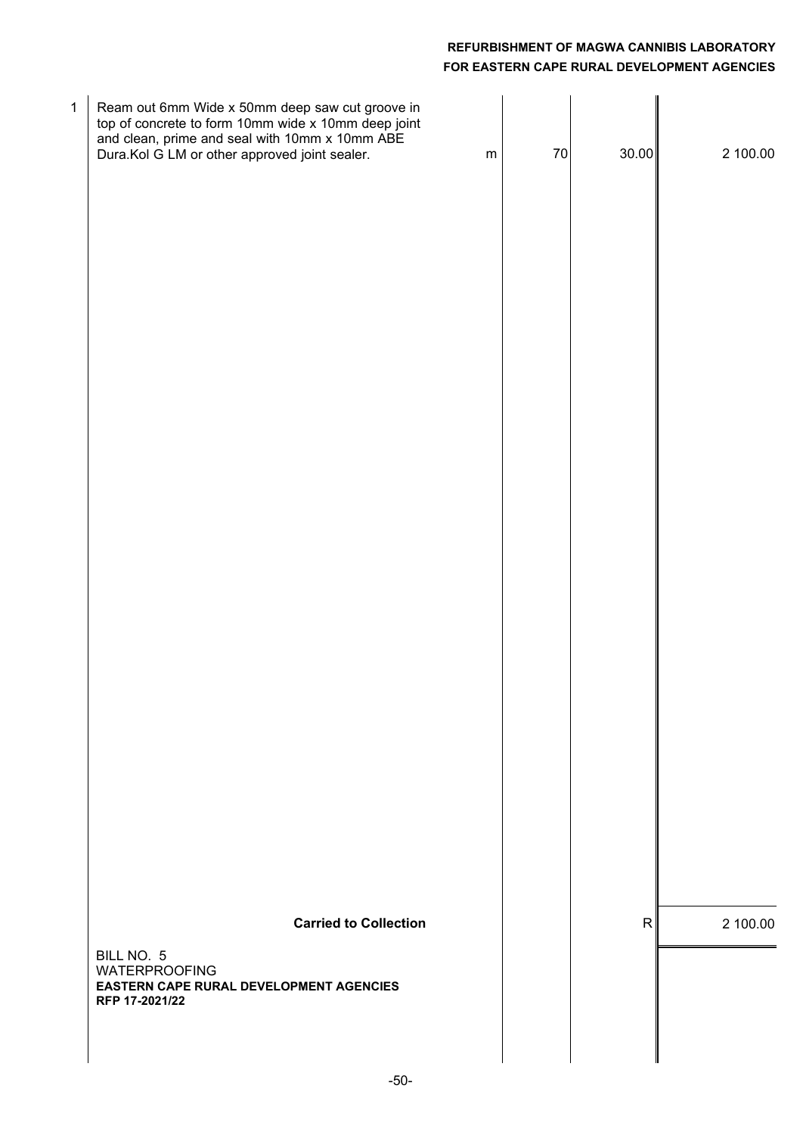| 1 | Ream out 6mm Wide x 50mm deep saw cut groove in<br>top of concrete to form 10mm wide x 10mm deep joint<br>and clean, prime and seal with 10mm x 10mm ABE<br>Dura.Kol G LM or other approved joint sealer. | ${\sf m}$ | $70\,$ | 30.00        | 2 100.00 |
|---|-----------------------------------------------------------------------------------------------------------------------------------------------------------------------------------------------------------|-----------|--------|--------------|----------|
|   |                                                                                                                                                                                                           |           |        |              |          |
|   |                                                                                                                                                                                                           |           |        |              |          |
|   |                                                                                                                                                                                                           |           |        |              |          |
|   |                                                                                                                                                                                                           |           |        |              |          |
|   |                                                                                                                                                                                                           |           |        |              |          |
|   | <b>Carried to Collection</b><br>BILL NO. 5<br><b>WATERPROOFING</b><br><b>EASTERN CAPE RURAL DEVELOPMENT AGENCIES</b>                                                                                      |           |        | $\mathsf{R}$ | 2 100.00 |
|   | RFP 17-2021/22                                                                                                                                                                                            |           |        |              |          |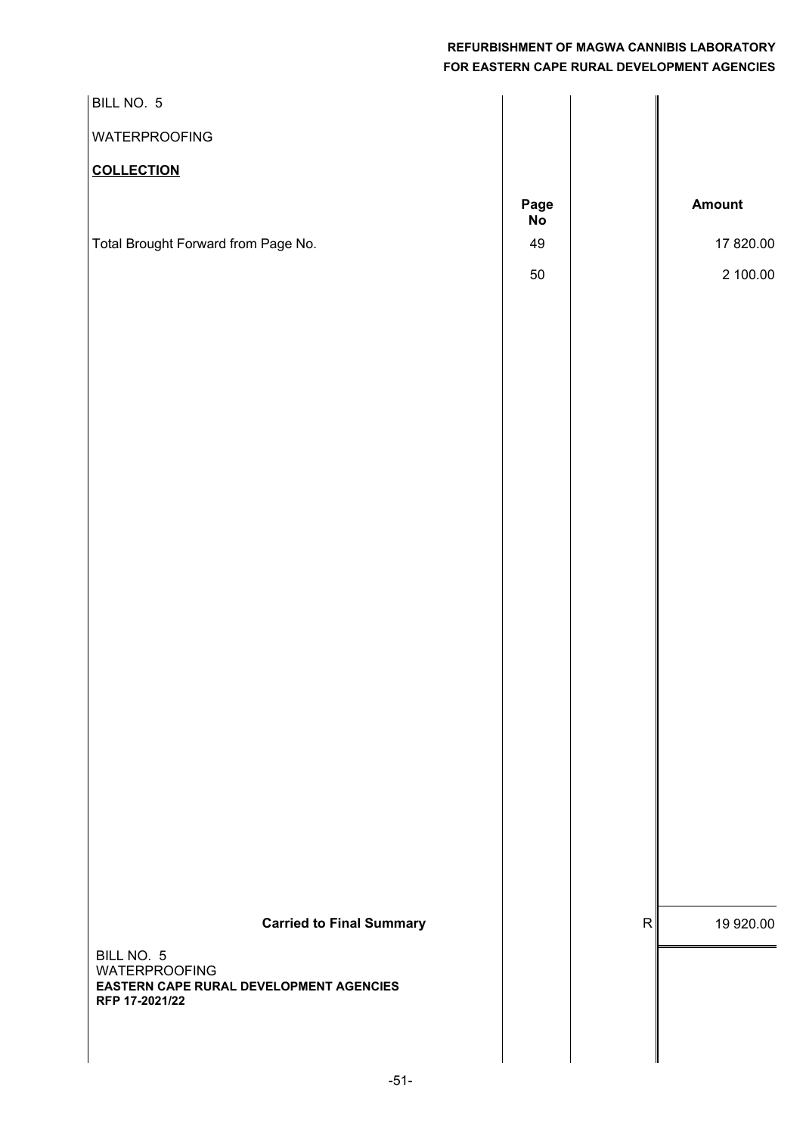| BILL NO. 5                                                |                 |           |
|-----------------------------------------------------------|-----------------|-----------|
| <b>WATERPROOFING</b>                                      |                 |           |
| <b>COLLECTION</b>                                         |                 |           |
|                                                           | Page            | Amount    |
| Total Brought Forward from Page No.                       | <b>No</b><br>49 | 17 820.00 |
|                                                           | 50              | 2 100.00  |
|                                                           |                 |           |
|                                                           |                 |           |
|                                                           |                 |           |
|                                                           |                 |           |
|                                                           |                 |           |
|                                                           |                 |           |
|                                                           |                 |           |
|                                                           |                 |           |
|                                                           |                 |           |
|                                                           |                 |           |
|                                                           |                 |           |
|                                                           |                 |           |
|                                                           |                 |           |
|                                                           |                 |           |
|                                                           |                 |           |
|                                                           |                 |           |
|                                                           |                 |           |
|                                                           |                 |           |
|                                                           |                 |           |
| <b>Carried to Final Summary</b>                           | $\mathsf{R}$    | 19 920.00 |
| BILL NO. 5<br><b>WATERPROOFING</b>                        |                 |           |
| EASTERN CAPE RURAL DEVELOPMENT AGENCIES<br>RFP 17-2021/22 |                 |           |
|                                                           |                 |           |
|                                                           |                 |           |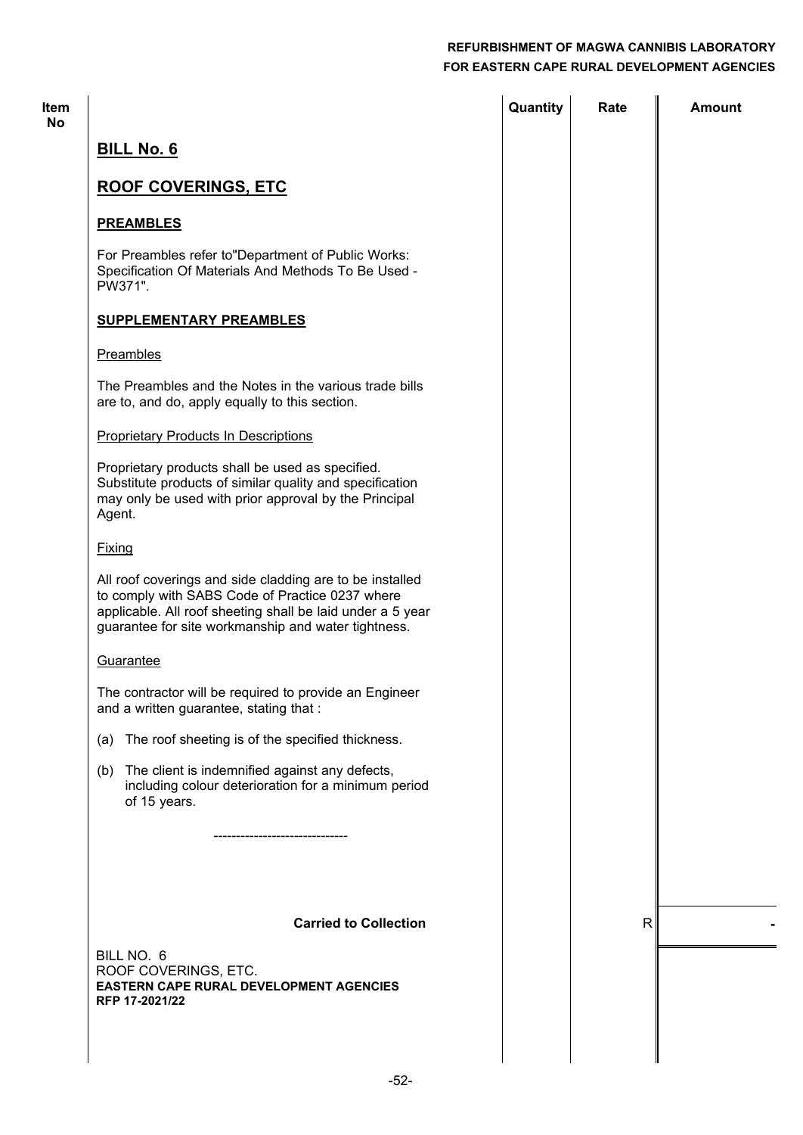| <b>Item</b><br>No |                                                                                                                                                                                                                                  | Quantity | Rate         | Amount |
|-------------------|----------------------------------------------------------------------------------------------------------------------------------------------------------------------------------------------------------------------------------|----------|--------------|--------|
|                   | <b>BILL No. 6</b>                                                                                                                                                                                                                |          |              |        |
|                   | <b>ROOF COVERINGS, ETC</b>                                                                                                                                                                                                       |          |              |        |
|                   | <b>PREAMBLES</b>                                                                                                                                                                                                                 |          |              |        |
|                   | For Preambles refer to"Department of Public Works:<br>Specification Of Materials And Methods To Be Used -<br>PW371".                                                                                                             |          |              |        |
|                   | <b>SUPPLEMENTARY PREAMBLES</b>                                                                                                                                                                                                   |          |              |        |
|                   | Preambles                                                                                                                                                                                                                        |          |              |        |
|                   | The Preambles and the Notes in the various trade bills<br>are to, and do, apply equally to this section.                                                                                                                         |          |              |        |
|                   | <b>Proprietary Products In Descriptions</b>                                                                                                                                                                                      |          |              |        |
|                   | Proprietary products shall be used as specified.<br>Substitute products of similar quality and specification<br>may only be used with prior approval by the Principal<br>Agent.                                                  |          |              |        |
|                   | <b>Fixing</b>                                                                                                                                                                                                                    |          |              |        |
|                   | All roof coverings and side cladding are to be installed<br>to comply with SABS Code of Practice 0237 where<br>applicable. All roof sheeting shall be laid under a 5 year<br>guarantee for site workmanship and water tightness. |          |              |        |
|                   | Guarantee                                                                                                                                                                                                                        |          |              |        |
|                   | The contractor will be required to provide an Engineer<br>and a written guarantee, stating that :                                                                                                                                |          |              |        |
|                   | The roof sheeting is of the specified thickness.<br>(a)                                                                                                                                                                          |          |              |        |
|                   | The client is indemnified against any defects,<br>(b)<br>including colour deterioration for a minimum period<br>of 15 years.                                                                                                     |          |              |        |
|                   | ---------------------                                                                                                                                                                                                            |          |              |        |
|                   |                                                                                                                                                                                                                                  |          |              |        |
|                   | <b>Carried to Collection</b>                                                                                                                                                                                                     |          | $\mathsf{R}$ |        |
|                   | BILL NO. 6<br>ROOF COVERINGS, ETC.<br>EASTERN CAPE RURAL DEVELOPMENT AGENCIES<br>RFP 17-2021/22                                                                                                                                  |          |              |        |
|                   |                                                                                                                                                                                                                                  |          |              |        |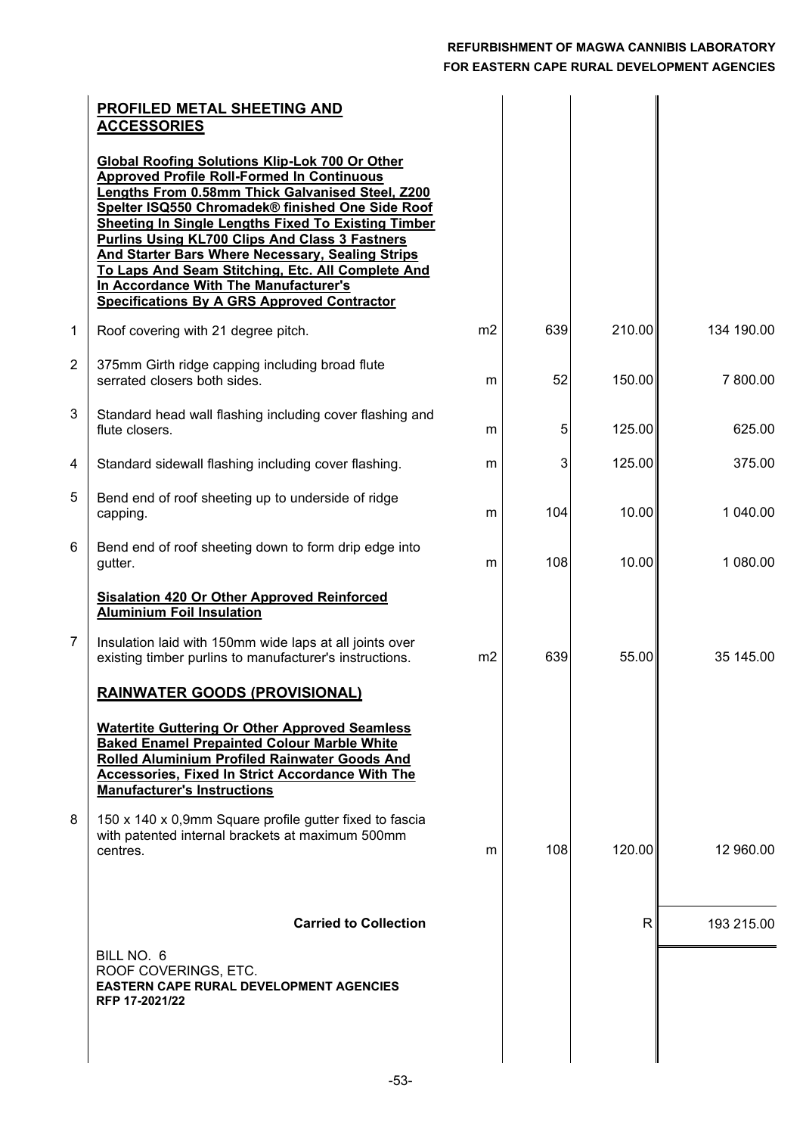|   | <b>PROFILED METAL SHEETING AND</b><br><b>ACCESSORIES</b>                                                                                                                                                                                                                                                                                                                                                                                                                                                                                          |                |     |        |            |
|---|---------------------------------------------------------------------------------------------------------------------------------------------------------------------------------------------------------------------------------------------------------------------------------------------------------------------------------------------------------------------------------------------------------------------------------------------------------------------------------------------------------------------------------------------------|----------------|-----|--------|------------|
|   | <b>Global Roofing Solutions Klip-Lok 700 Or Other</b><br><b>Approved Profile Roll-Formed In Continuous</b><br>Lengths From 0.58mm Thick Galvanised Steel, Z200<br>Spelter ISQ550 Chromadek® finished One Side Roof<br><b>Sheeting In Single Lengths Fixed To Existing Timber</b><br><b>Purlins Using KL700 Clips And Class 3 Fastners</b><br>And Starter Bars Where Necessary, Sealing Strips<br>To Laps And Seam Stitching, Etc. All Complete And<br>In Accordance With The Manufacturer's<br><b>Specifications By A GRS Approved Contractor</b> |                |     |        |            |
| 1 | Roof covering with 21 degree pitch.                                                                                                                                                                                                                                                                                                                                                                                                                                                                                                               | m <sub>2</sub> | 639 | 210.00 | 134 190.00 |
| 2 | 375mm Girth ridge capping including broad flute<br>serrated closers both sides.                                                                                                                                                                                                                                                                                                                                                                                                                                                                   | m              | 52  | 150.00 | 7 800.00   |
| 3 | Standard head wall flashing including cover flashing and<br>flute closers.                                                                                                                                                                                                                                                                                                                                                                                                                                                                        | m              | 5   | 125.00 | 625.00     |
| 4 | Standard sidewall flashing including cover flashing.                                                                                                                                                                                                                                                                                                                                                                                                                                                                                              | m              | 3   | 125.00 | 375.00     |
| 5 | Bend end of roof sheeting up to underside of ridge<br>capping.                                                                                                                                                                                                                                                                                                                                                                                                                                                                                    | m              | 104 | 10.00  | 1 040.00   |
| 6 | Bend end of roof sheeting down to form drip edge into<br>gutter.                                                                                                                                                                                                                                                                                                                                                                                                                                                                                  | m              | 108 | 10.00  | 1 080.00   |
|   | <b>Sisalation 420 Or Other Approved Reinforced</b><br><b>Aluminium Foil Insulation</b>                                                                                                                                                                                                                                                                                                                                                                                                                                                            |                |     |        |            |
| 7 | Insulation laid with 150mm wide laps at all joints over<br>existing timber purlins to manufacturer's instructions.                                                                                                                                                                                                                                                                                                                                                                                                                                | m2             | 639 | 55.00  | 35 145.00  |
|   | <b>RAINWATER GOODS (PROVISIONAL)</b>                                                                                                                                                                                                                                                                                                                                                                                                                                                                                                              |                |     |        |            |
|   | <b>Watertite Guttering Or Other Approved Seamless</b><br><b>Baked Enamel Prepainted Colour Marble White</b><br>Rolled Aluminium Profiled Rainwater Goods And<br><b>Accessories, Fixed In Strict Accordance With The</b><br><b>Manufacturer's Instructions</b>                                                                                                                                                                                                                                                                                     |                |     |        |            |
| 8 | 150 x 140 x 0,9mm Square profile gutter fixed to fascia<br>with patented internal brackets at maximum 500mm<br>centres.                                                                                                                                                                                                                                                                                                                                                                                                                           | m              | 108 | 120.00 | 12 960.00  |
|   | <b>Carried to Collection</b>                                                                                                                                                                                                                                                                                                                                                                                                                                                                                                                      |                |     | R      | 193 215.00 |
|   | BILL NO. 6<br>ROOF COVERINGS, ETC.<br><b>EASTERN CAPE RURAL DEVELOPMENT AGENCIES</b><br>RFP 17-2021/22                                                                                                                                                                                                                                                                                                                                                                                                                                            |                |     |        |            |
|   |                                                                                                                                                                                                                                                                                                                                                                                                                                                                                                                                                   |                |     |        |            |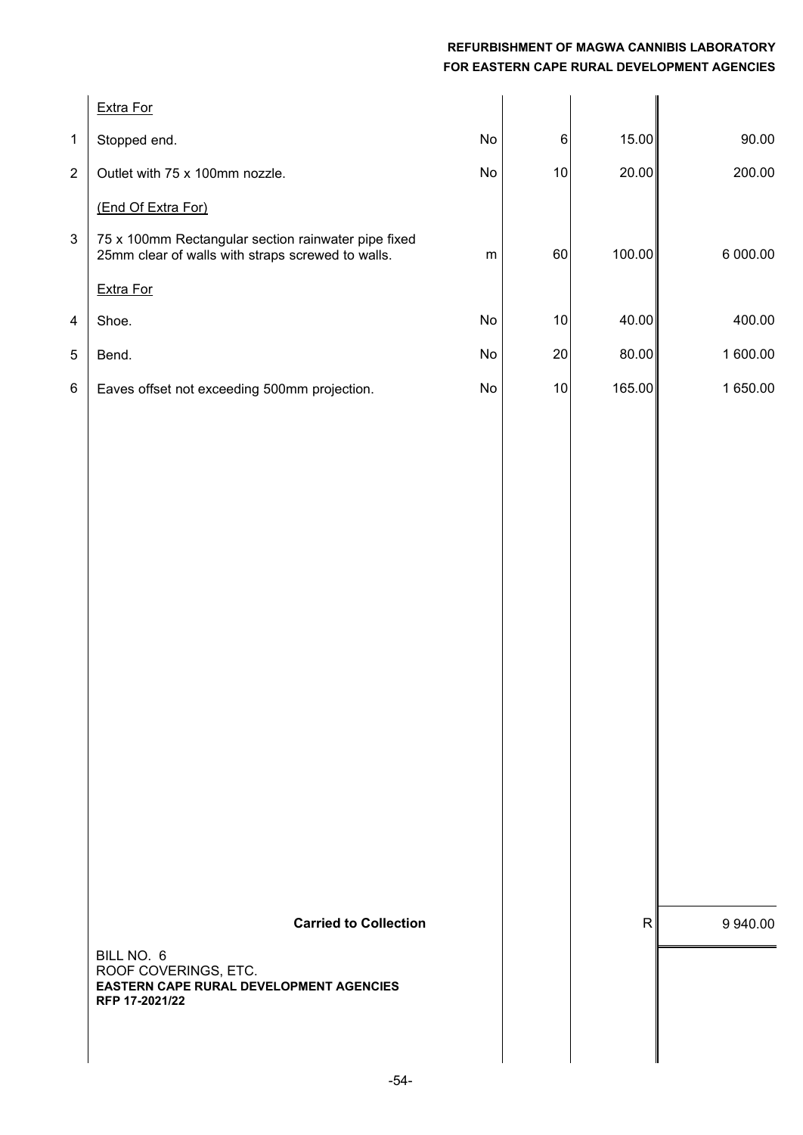|                         | Extra For                                                                                                                              |    |       |              |          |
|-------------------------|----------------------------------------------------------------------------------------------------------------------------------------|----|-------|--------------|----------|
| $\mathbf 1$             | Stopped end.                                                                                                                           | No | $\,6$ | 15.00        | 90.00    |
| $\overline{c}$          | Outlet with 75 x 100mm nozzle.                                                                                                         | No | 10    | 20.00        | 200.00   |
|                         | (End Of Extra For)                                                                                                                     |    |       |              |          |
| $\mathsf 3$             | 75 x 100mm Rectangular section rainwater pipe fixed<br>25mm clear of walls with straps screwed to walls.                               | m  | 60    | 100.00       | 6 000.00 |
|                         | Extra For                                                                                                                              |    |       |              |          |
| $\overline{\mathbf{4}}$ | Shoe.                                                                                                                                  | No | $10$  | 40.00        | 400.00   |
| 5                       | Bend.                                                                                                                                  | No | 20    | 80.00        | 1 600.00 |
| $\,6$                   | Eaves offset not exceeding 500mm projection.                                                                                           | No | 10    | 165.00       | 1 650.00 |
|                         | <b>Carried to Collection</b><br>BILL NO. 6<br>ROOF COVERINGS, ETC.<br><b>EASTERN CAPE RURAL DEVELOPMENT AGENCIES</b><br>RFP 17-2021/22 |    |       | $\mathsf{R}$ | 9 940.00 |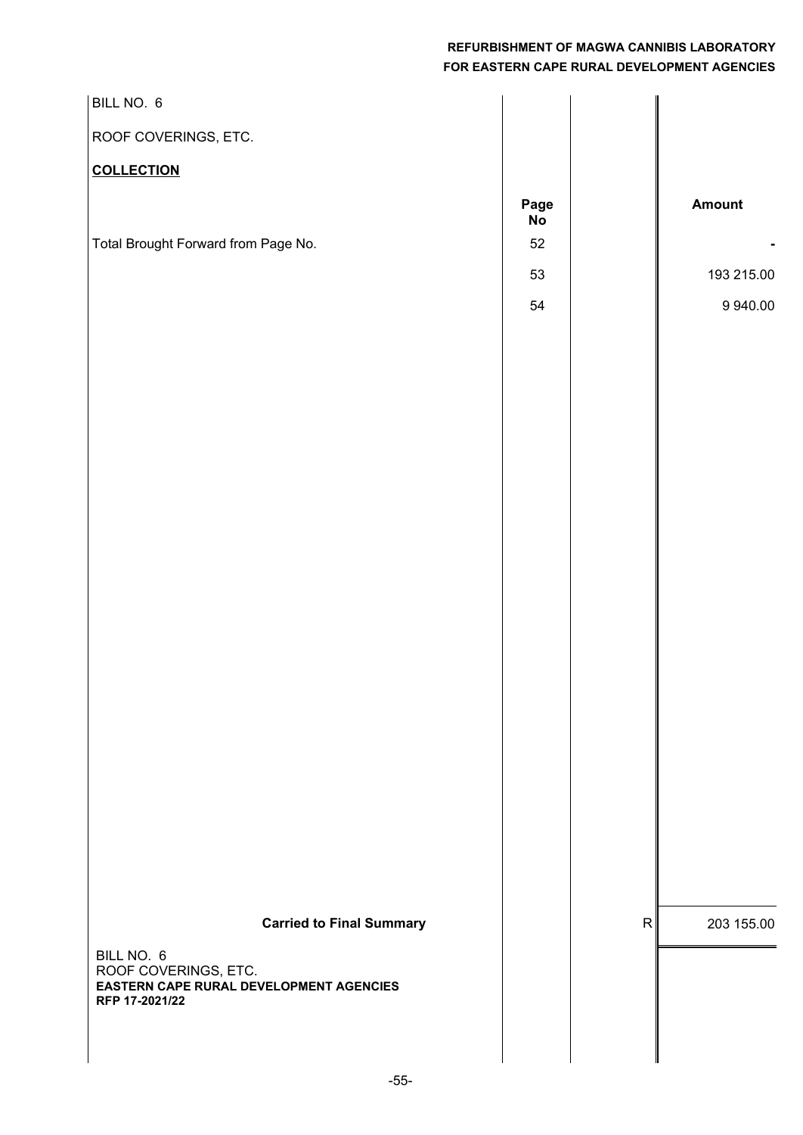| BILL NO. 6                                                                           |                   |           |            |
|--------------------------------------------------------------------------------------|-------------------|-----------|------------|
| ROOF COVERINGS, ETC.                                                                 |                   |           |            |
| <b>COLLECTION</b>                                                                    |                   |           |            |
|                                                                                      | Page<br><b>No</b> |           | Amount     |
| Total Brought Forward from Page No.                                                  | 52                |           |            |
|                                                                                      | 53                |           | 193 215.00 |
|                                                                                      | 54                |           | 9 940.00   |
|                                                                                      |                   |           |            |
|                                                                                      |                   |           |            |
|                                                                                      |                   |           |            |
|                                                                                      |                   |           |            |
|                                                                                      |                   |           |            |
|                                                                                      |                   |           |            |
|                                                                                      |                   |           |            |
|                                                                                      |                   |           |            |
|                                                                                      |                   |           |            |
|                                                                                      |                   |           |            |
|                                                                                      |                   |           |            |
|                                                                                      |                   |           |            |
|                                                                                      |                   |           |            |
|                                                                                      |                   |           |            |
|                                                                                      |                   |           |            |
|                                                                                      |                   |           |            |
|                                                                                      |                   |           |            |
| <b>Carried to Final Summary</b>                                                      |                   | ${\sf R}$ | 203 155.00 |
| BILL NO. 6<br>ROOF COVERINGS, ETC.<br><b>EASTERN CAPE RURAL DEVELOPMENT AGENCIES</b> |                   |           |            |
| RFP 17-2021/22                                                                       |                   |           |            |
|                                                                                      |                   |           |            |
|                                                                                      |                   |           |            |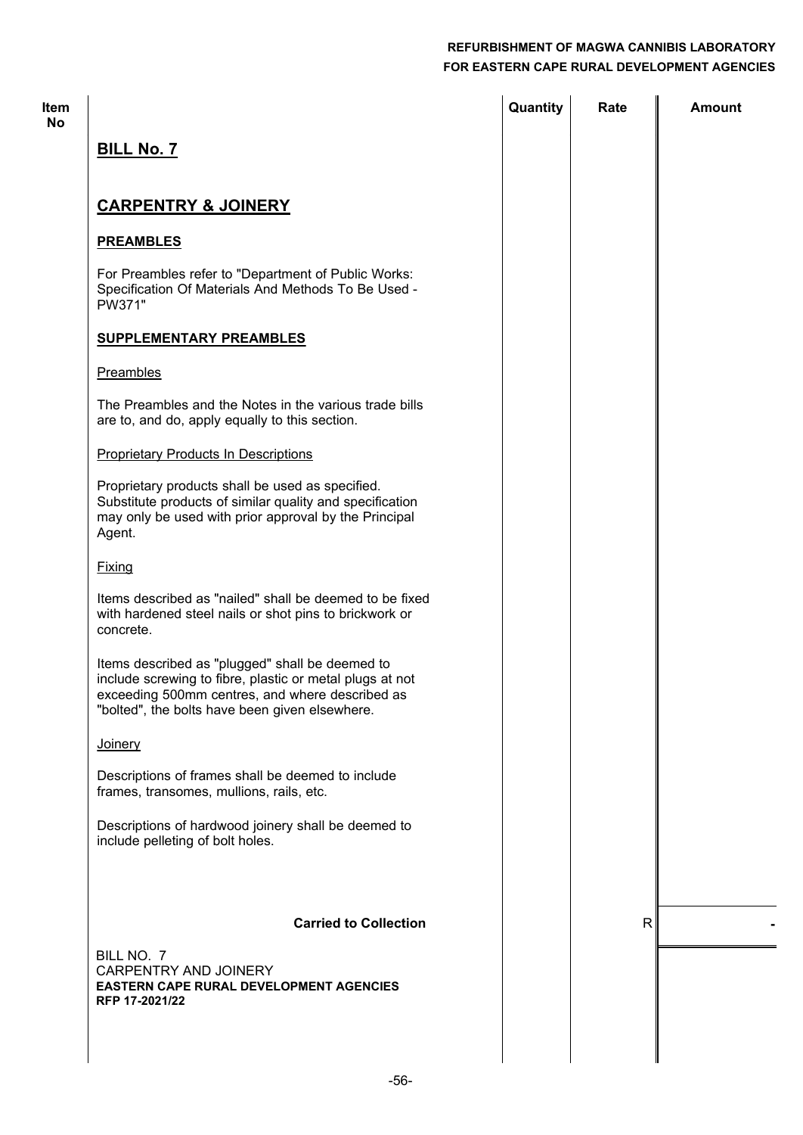| <b>Item</b><br>No |                                                                                                                                                                                                                  | Quantity | Rate         | <b>Amount</b> |
|-------------------|------------------------------------------------------------------------------------------------------------------------------------------------------------------------------------------------------------------|----------|--------------|---------------|
|                   | <b>BILL No. 7</b>                                                                                                                                                                                                |          |              |               |
|                   | <b>CARPENTRY &amp; JOINERY</b>                                                                                                                                                                                   |          |              |               |
|                   | <b>PREAMBLES</b>                                                                                                                                                                                                 |          |              |               |
|                   | For Preambles refer to "Department of Public Works:<br>Specification Of Materials And Methods To Be Used -<br>PW371"                                                                                             |          |              |               |
|                   | <b>SUPPLEMENTARY PREAMBLES</b>                                                                                                                                                                                   |          |              |               |
|                   | Preambles                                                                                                                                                                                                        |          |              |               |
|                   | The Preambles and the Notes in the various trade bills<br>are to, and do, apply equally to this section.                                                                                                         |          |              |               |
|                   | <b>Proprietary Products In Descriptions</b>                                                                                                                                                                      |          |              |               |
|                   | Proprietary products shall be used as specified.<br>Substitute products of similar quality and specification<br>may only be used with prior approval by the Principal<br>Agent.                                  |          |              |               |
|                   | <b>Fixing</b>                                                                                                                                                                                                    |          |              |               |
|                   | Items described as "nailed" shall be deemed to be fixed<br>with hardened steel nails or shot pins to brickwork or<br>concrete.                                                                                   |          |              |               |
|                   | Items described as "plugged" shall be deemed to<br>include screwing to fibre, plastic or metal plugs at not<br>exceeding 500mm centres, and where described as<br>"bolted", the bolts have been given elsewhere. |          |              |               |
|                   | <b>Joinery</b>                                                                                                                                                                                                   |          |              |               |
|                   | Descriptions of frames shall be deemed to include<br>frames, transomes, mullions, rails, etc.                                                                                                                    |          |              |               |
|                   | Descriptions of hardwood joinery shall be deemed to<br>include pelleting of bolt holes.                                                                                                                          |          |              |               |
|                   | <b>Carried to Collection</b>                                                                                                                                                                                     |          | $\mathsf{R}$ |               |
|                   | BILL NO. 7<br>CARPENTRY AND JOINERY<br><b>EASTERN CAPE RURAL DEVELOPMENT AGENCIES</b><br>RFP 17-2021/22                                                                                                          |          |              |               |
|                   |                                                                                                                                                                                                                  |          |              |               |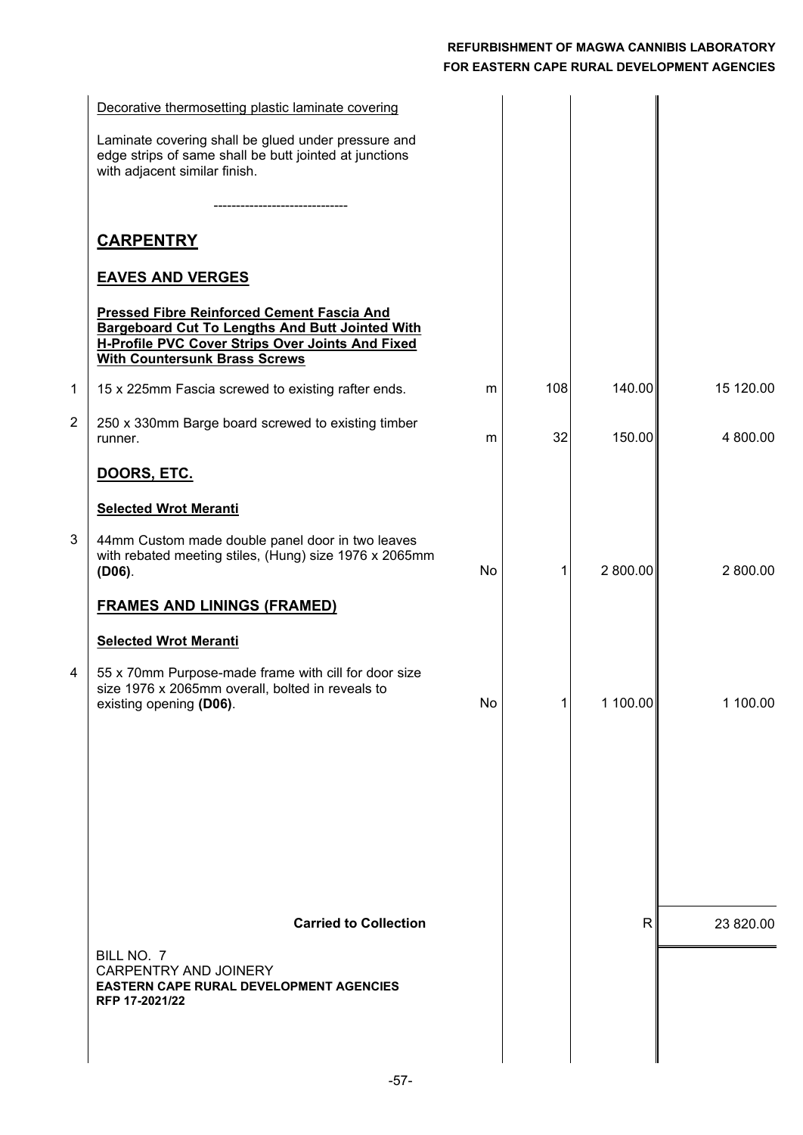|   | Decorative thermosetting plastic laminate covering                                                                                                                                                      |    |     |              |           |
|---|---------------------------------------------------------------------------------------------------------------------------------------------------------------------------------------------------------|----|-----|--------------|-----------|
|   | Laminate covering shall be glued under pressure and<br>edge strips of same shall be butt jointed at junctions<br>with adjacent similar finish.                                                          |    |     |              |           |
|   | ------------------------                                                                                                                                                                                |    |     |              |           |
|   | <b>CARPENTRY</b>                                                                                                                                                                                        |    |     |              |           |
|   | <b>EAVES AND VERGES</b>                                                                                                                                                                                 |    |     |              |           |
|   | <b>Pressed Fibre Reinforced Cement Fascia And</b><br><b>Bargeboard Cut To Lengths And Butt Jointed With</b><br>H-Profile PVC Cover Strips Over Joints And Fixed<br><b>With Countersunk Brass Screws</b> |    |     |              |           |
| 1 | 15 x 225mm Fascia screwed to existing rafter ends.                                                                                                                                                      | m  | 108 | 140.00       | 15 120.00 |
| 2 | 250 x 330mm Barge board screwed to existing timber<br>runner.                                                                                                                                           | m  | 32  | 150.00       | 4 800.00  |
|   | DOORS, ETC.                                                                                                                                                                                             |    |     |              |           |
|   | <b>Selected Wrot Meranti</b>                                                                                                                                                                            |    |     |              |           |
| 3 | 44mm Custom made double panel door in two leaves<br>with rebated meeting stiles, (Hung) size 1976 x 2065mm<br>$(D06)$ .                                                                                 | No | 1   | 2 800.00     | 2 800.00  |
|   | <b>FRAMES AND LININGS (FRAMED)</b>                                                                                                                                                                      |    |     |              |           |
|   | <b>Selected Wrot Meranti</b>                                                                                                                                                                            |    |     |              |           |
| 4 | 55 x 70mm Purpose-made frame with cill for door size<br>size 1976 x 2065mm overall, bolted in reveals to<br>existing opening (D06).                                                                     | No | 1   | 1100.00      | 1 100.00  |
|   |                                                                                                                                                                                                         |    |     |              |           |
|   |                                                                                                                                                                                                         |    |     |              |           |
|   |                                                                                                                                                                                                         |    |     |              |           |
|   |                                                                                                                                                                                                         |    |     |              |           |
|   |                                                                                                                                                                                                         |    |     |              |           |
|   | <b>Carried to Collection</b>                                                                                                                                                                            |    |     | $\mathsf{R}$ | 23 820.00 |
|   | BILL NO. 7<br><b>CARPENTRY AND JOINERY</b><br><b>EASTERN CAPE RURAL DEVELOPMENT AGENCIES</b><br>RFP 17-2021/22                                                                                          |    |     |              |           |
|   |                                                                                                                                                                                                         |    |     |              |           |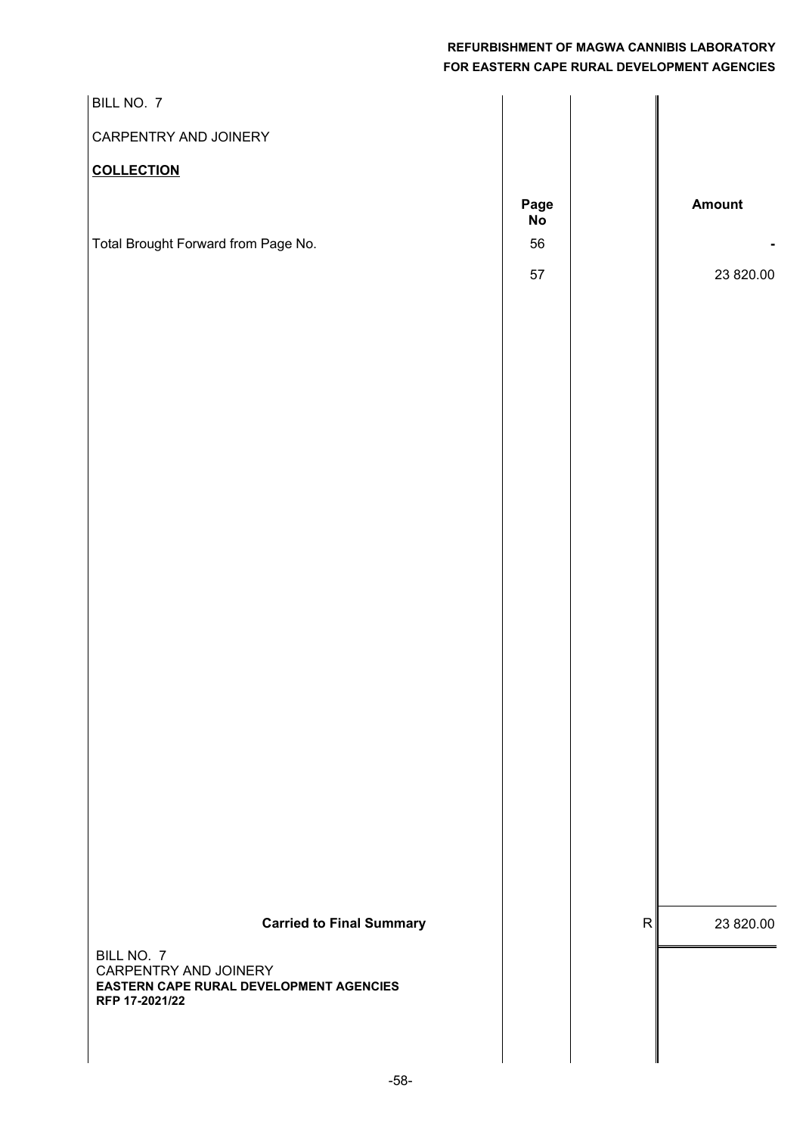| BILL NO. 7                                                                                                                          |            |   |           |
|-------------------------------------------------------------------------------------------------------------------------------------|------------|---|-----------|
| CARPENTRY AND JOINERY                                                                                                               |            |   |           |
| <b>COLLECTION</b>                                                                                                                   |            |   |           |
|                                                                                                                                     | Page<br>No |   | Amount    |
| Total Brought Forward from Page No.                                                                                                 | 56         |   |           |
|                                                                                                                                     | 57         |   | 23 820.00 |
| <b>Carried to Final Summary</b><br>BILL NO. 7<br>CARPENTRY AND JOINERY<br>EASTERN CAPE RURAL DEVELOPMENT AGENCIES<br>RFP 17-2021/22 |            | R | 23 820.00 |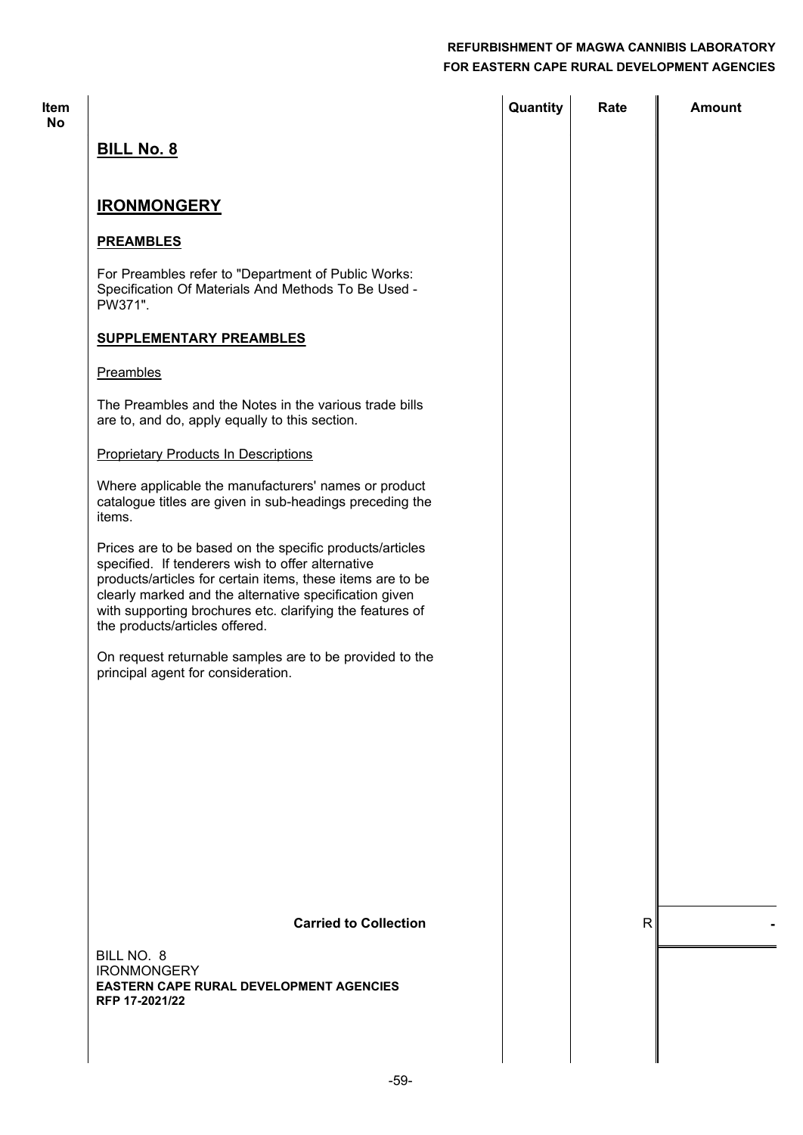| Item<br><b>No</b> |                                                                                                                                                                                                                                                                                                                                      | Quantity | Rate         | <b>Amount</b> |
|-------------------|--------------------------------------------------------------------------------------------------------------------------------------------------------------------------------------------------------------------------------------------------------------------------------------------------------------------------------------|----------|--------------|---------------|
|                   | <b>BILL No. 8</b>                                                                                                                                                                                                                                                                                                                    |          |              |               |
|                   | <b>IRONMONGERY</b>                                                                                                                                                                                                                                                                                                                   |          |              |               |
|                   | <b>PREAMBLES</b>                                                                                                                                                                                                                                                                                                                     |          |              |               |
|                   | For Preambles refer to "Department of Public Works:<br>Specification Of Materials And Methods To Be Used -<br>PW371".                                                                                                                                                                                                                |          |              |               |
|                   | <b>SUPPLEMENTARY PREAMBLES</b>                                                                                                                                                                                                                                                                                                       |          |              |               |
|                   | Preambles                                                                                                                                                                                                                                                                                                                            |          |              |               |
|                   | The Preambles and the Notes in the various trade bills<br>are to, and do, apply equally to this section.                                                                                                                                                                                                                             |          |              |               |
|                   | <b>Proprietary Products In Descriptions</b>                                                                                                                                                                                                                                                                                          |          |              |               |
|                   | Where applicable the manufacturers' names or product<br>catalogue titles are given in sub-headings preceding the<br>items.                                                                                                                                                                                                           |          |              |               |
|                   | Prices are to be based on the specific products/articles<br>specified. If tenderers wish to offer alternative<br>products/articles for certain items, these items are to be<br>clearly marked and the alternative specification given<br>with supporting brochures etc. clarifying the features of<br>the products/articles offered. |          |              |               |
|                   | On request returnable samples are to be provided to the<br>principal agent for consideration.                                                                                                                                                                                                                                        |          |              |               |
|                   |                                                                                                                                                                                                                                                                                                                                      |          |              |               |
|                   |                                                                                                                                                                                                                                                                                                                                      |          |              |               |
|                   |                                                                                                                                                                                                                                                                                                                                      |          |              |               |
|                   |                                                                                                                                                                                                                                                                                                                                      |          |              |               |
|                   |                                                                                                                                                                                                                                                                                                                                      |          |              |               |
|                   | <b>Carried to Collection</b>                                                                                                                                                                                                                                                                                                         |          | $\mathsf{R}$ |               |
|                   | BILL NO. 8<br><b>IRONMONGERY</b><br><b>EASTERN CAPE RURAL DEVELOPMENT AGENCIES</b>                                                                                                                                                                                                                                                   |          |              |               |
|                   | RFP 17-2021/22                                                                                                                                                                                                                                                                                                                       |          |              |               |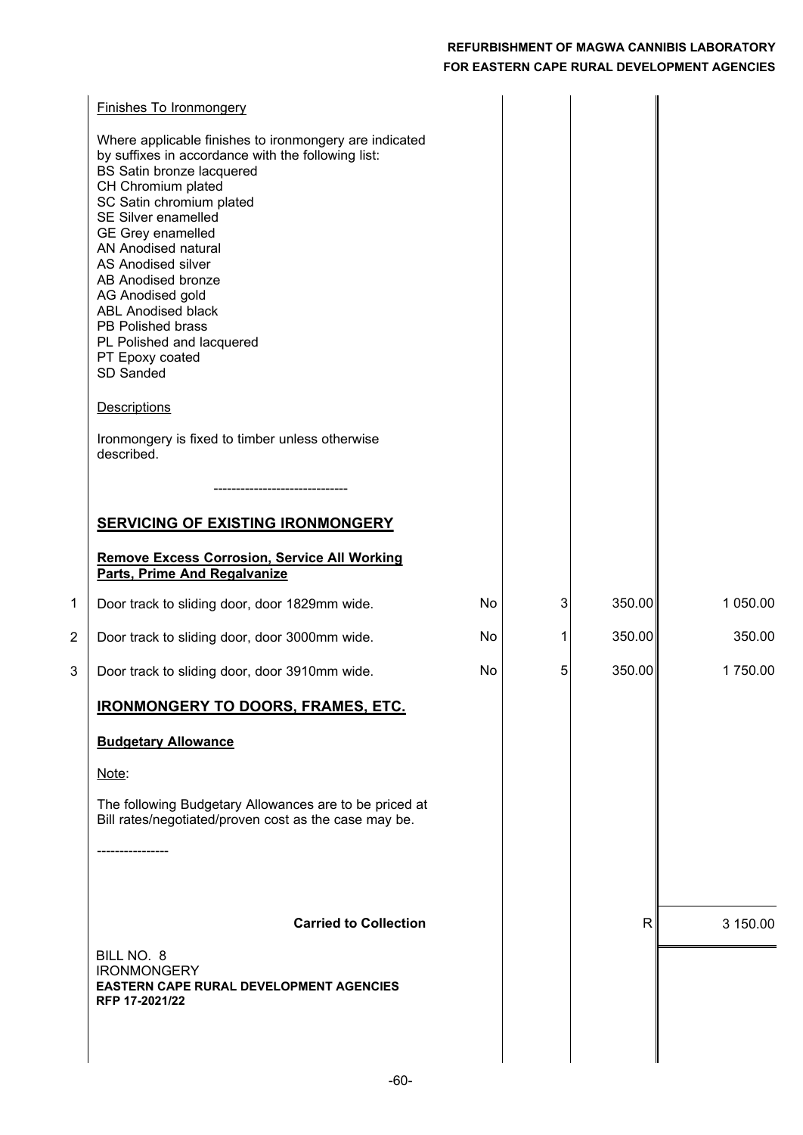|   | <b>Finishes To Ironmongery</b>                                                                                                                                                              |    |   |        |          |
|---|---------------------------------------------------------------------------------------------------------------------------------------------------------------------------------------------|----|---|--------|----------|
|   | Where applicable finishes to ironmongery are indicated<br>by suffixes in accordance with the following list:<br>BS Satin bronze lacquered<br>CH Chromium plated<br>SC Satin chromium plated |    |   |        |          |
|   | SE Silver enamelled<br><b>GE Grey enamelled</b>                                                                                                                                             |    |   |        |          |
|   | AN Anodised natural<br>AS Anodised silver<br>AB Anodised bronze<br>AG Anodised gold<br><b>ABL Anodised black</b><br>PB Polished brass<br>PL Polished and lacquered                          |    |   |        |          |
|   | PT Epoxy coated<br>SD Sanded                                                                                                                                                                |    |   |        |          |
|   | <b>Descriptions</b>                                                                                                                                                                         |    |   |        |          |
|   | Ironmongery is fixed to timber unless otherwise<br>described.                                                                                                                               |    |   |        |          |
|   |                                                                                                                                                                                             |    |   |        |          |
|   | <b>SERVICING OF EXISTING IRONMONGERY</b>                                                                                                                                                    |    |   |        |          |
|   | <b>Remove Excess Corrosion, Service All Working</b><br><b>Parts, Prime And Regalvanize</b>                                                                                                  |    |   |        |          |
| 1 | Door track to sliding door, door 1829mm wide.                                                                                                                                               | No | 3 | 350.00 | 1 050.00 |
| 2 | Door track to sliding door, door 3000mm wide.                                                                                                                                               | No | 1 | 350.00 | 350.00   |
| 3 | Door track to sliding door, door 3910mm wide.                                                                                                                                               | No | 5 | 350.00 | 1750.00  |
|   | <b>IRONMONGERY TO DOORS, FRAMES, ETC.</b>                                                                                                                                                   |    |   |        |          |
|   | <b>Budgetary Allowance</b>                                                                                                                                                                  |    |   |        |          |
|   | Note:                                                                                                                                                                                       |    |   |        |          |
|   | The following Budgetary Allowances are to be priced at<br>Bill rates/negotiated/proven cost as the case may be.                                                                             |    |   |        |          |
|   |                                                                                                                                                                                             |    |   |        |          |
|   | <b>Carried to Collection</b>                                                                                                                                                                |    |   | R.     |          |
|   | BILL NO. 8                                                                                                                                                                                  |    |   |        | 3 150.00 |
|   | <b>IRONMONGERY</b><br><b>EASTERN CAPE RURAL DEVELOPMENT AGENCIES</b><br>RFP 17-2021/22                                                                                                      |    |   |        |          |
|   |                                                                                                                                                                                             |    |   |        |          |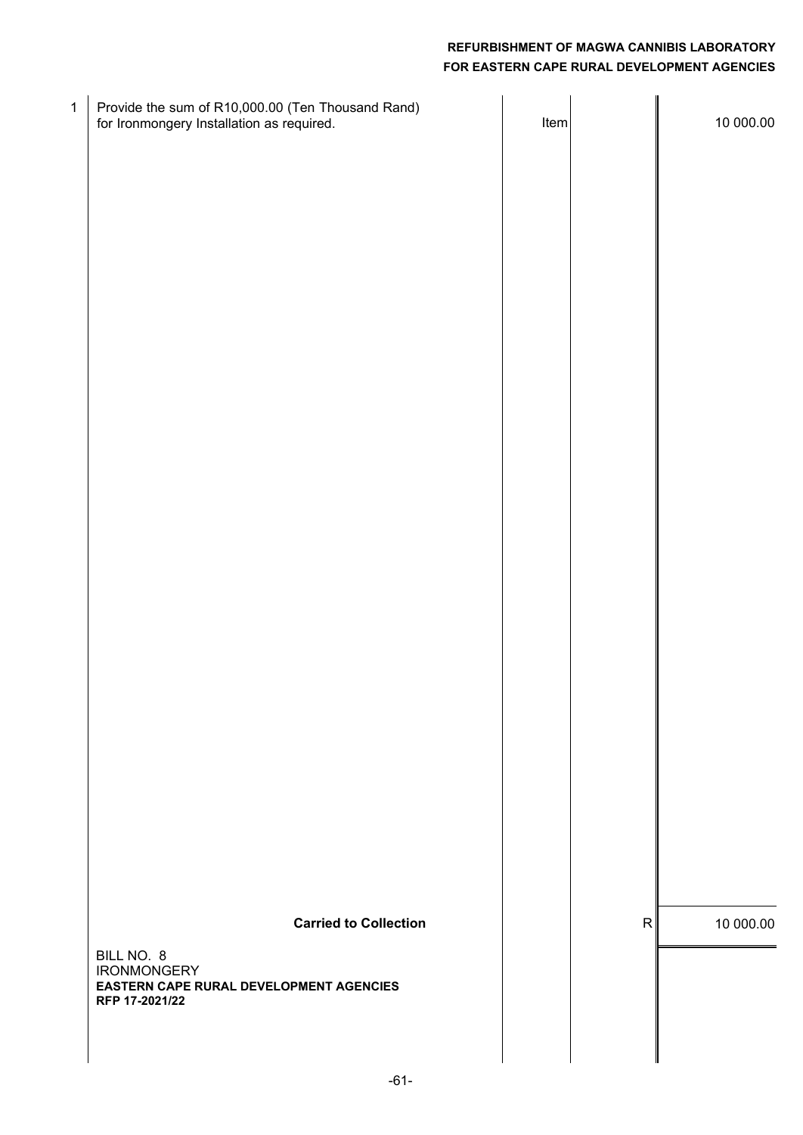| $\mathbf{1}$ | Provide the sum of R10,000.00 (Ten Thousand Rand)<br>for Ironmongery Installation as required. | Item |   | 10 000.00 |
|--------------|------------------------------------------------------------------------------------------------|------|---|-----------|
|              |                                                                                                |      |   |           |
|              |                                                                                                |      |   |           |
|              |                                                                                                |      |   |           |
|              |                                                                                                |      |   |           |
|              |                                                                                                |      |   |           |
|              |                                                                                                |      |   |           |
|              |                                                                                                |      |   |           |
|              |                                                                                                |      |   |           |
|              |                                                                                                |      |   |           |
|              |                                                                                                |      |   |           |
|              | <b>Carried to Collection</b>                                                                   |      | R | 10 000.00 |
|              | BILL NO. 8<br><b>IRONMONGERY</b><br>EASTERN CAPE RURAL DEVELOPMENT AGENCIES<br>RFP 17-2021/22  |      |   |           |
|              |                                                                                                |      |   |           |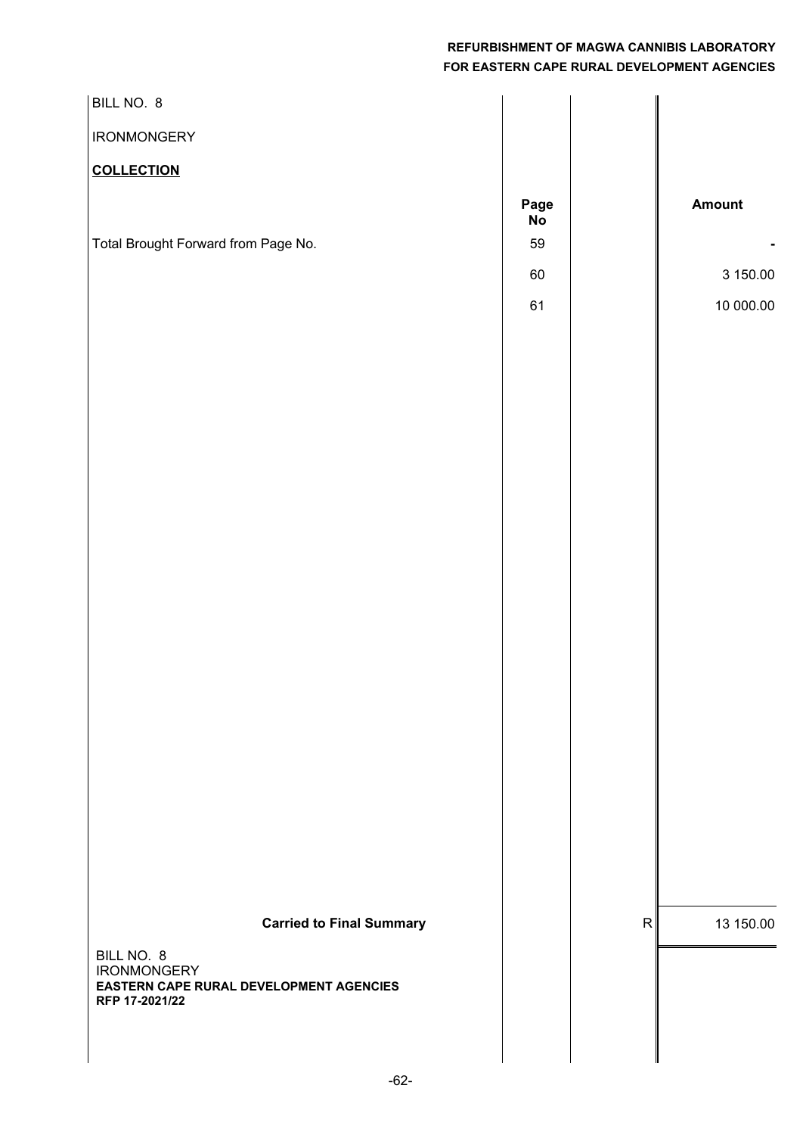| BILL NO. 8                                                |                   |                |
|-----------------------------------------------------------|-------------------|----------------|
| <b>IRONMONGERY</b>                                        |                   |                |
| <b>COLLECTION</b>                                         |                   |                |
|                                                           | Page<br><b>No</b> | Amount         |
| Total Brought Forward from Page No.                       | 59                |                |
|                                                           | $60\,$            | 3 150.00       |
|                                                           | 61                | 10 000.00      |
|                                                           |                   |                |
|                                                           |                   |                |
|                                                           |                   |                |
|                                                           |                   |                |
|                                                           |                   |                |
|                                                           |                   |                |
|                                                           |                   |                |
|                                                           |                   |                |
|                                                           |                   |                |
|                                                           |                   |                |
|                                                           |                   |                |
|                                                           |                   |                |
|                                                           |                   |                |
|                                                           |                   |                |
|                                                           |                   |                |
|                                                           |                   |                |
|                                                           |                   |                |
|                                                           |                   |                |
|                                                           |                   |                |
| <b>Carried to Final Summary</b>                           |                   | R<br>13 150.00 |
| BILL NO. 8<br><b>IRONMONGERY</b>                          |                   |                |
| EASTERN CAPE RURAL DEVELOPMENT AGENCIES<br>RFP 17-2021/22 |                   |                |
|                                                           |                   |                |
|                                                           |                   |                |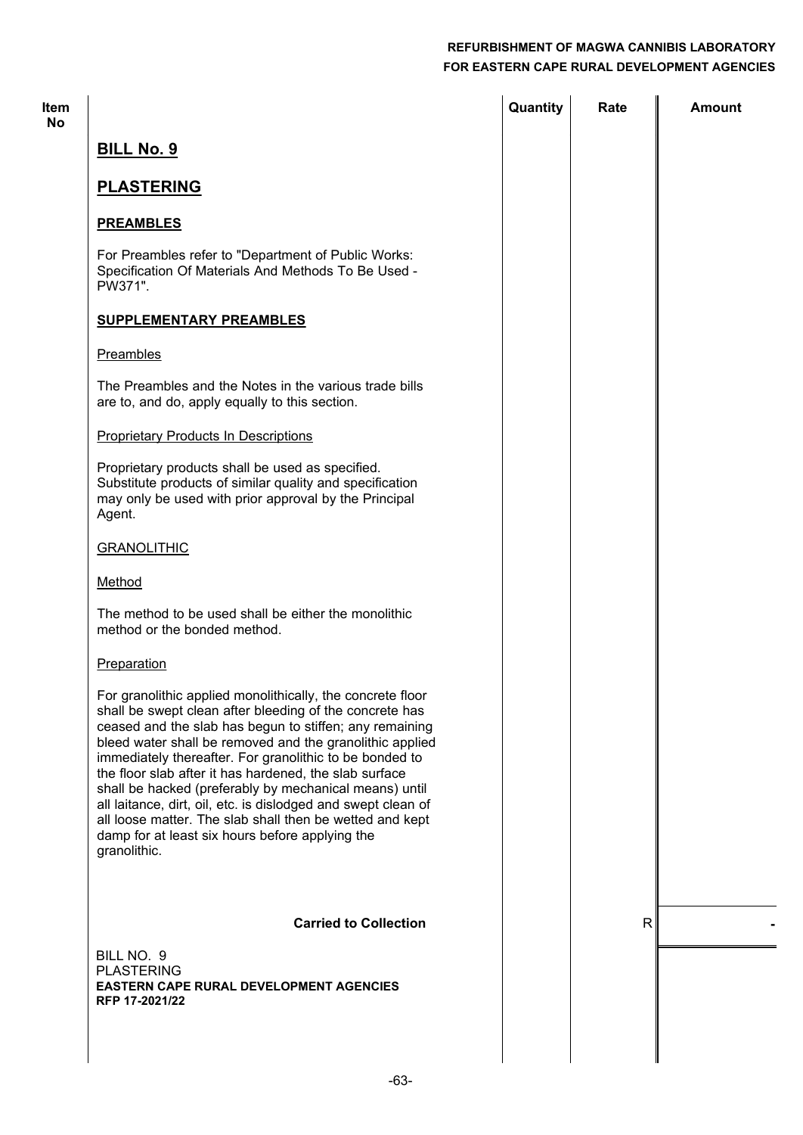| <b>Item</b><br><b>No</b> |                                                                                                                                                                                                                                                                                                                                                                                                                                                                                                                                                                                                                             | Quantity | Rate         | Amount |
|--------------------------|-----------------------------------------------------------------------------------------------------------------------------------------------------------------------------------------------------------------------------------------------------------------------------------------------------------------------------------------------------------------------------------------------------------------------------------------------------------------------------------------------------------------------------------------------------------------------------------------------------------------------------|----------|--------------|--------|
|                          | <b>BILL No. 9</b>                                                                                                                                                                                                                                                                                                                                                                                                                                                                                                                                                                                                           |          |              |        |
|                          | <b>PLASTERING</b>                                                                                                                                                                                                                                                                                                                                                                                                                                                                                                                                                                                                           |          |              |        |
|                          | <b>PREAMBLES</b>                                                                                                                                                                                                                                                                                                                                                                                                                                                                                                                                                                                                            |          |              |        |
|                          | For Preambles refer to "Department of Public Works:<br>Specification Of Materials And Methods To Be Used -<br>PW371".                                                                                                                                                                                                                                                                                                                                                                                                                                                                                                       |          |              |        |
|                          | <b>SUPPLEMENTARY PREAMBLES</b>                                                                                                                                                                                                                                                                                                                                                                                                                                                                                                                                                                                              |          |              |        |
|                          | Preambles                                                                                                                                                                                                                                                                                                                                                                                                                                                                                                                                                                                                                   |          |              |        |
|                          | The Preambles and the Notes in the various trade bills<br>are to, and do, apply equally to this section.                                                                                                                                                                                                                                                                                                                                                                                                                                                                                                                    |          |              |        |
|                          | <b>Proprietary Products In Descriptions</b>                                                                                                                                                                                                                                                                                                                                                                                                                                                                                                                                                                                 |          |              |        |
|                          | Proprietary products shall be used as specified.<br>Substitute products of similar quality and specification<br>may only be used with prior approval by the Principal<br>Agent.                                                                                                                                                                                                                                                                                                                                                                                                                                             |          |              |        |
|                          | <b>GRANOLITHIC</b>                                                                                                                                                                                                                                                                                                                                                                                                                                                                                                                                                                                                          |          |              |        |
|                          | Method                                                                                                                                                                                                                                                                                                                                                                                                                                                                                                                                                                                                                      |          |              |        |
|                          | The method to be used shall be either the monolithic<br>method or the bonded method.                                                                                                                                                                                                                                                                                                                                                                                                                                                                                                                                        |          |              |        |
|                          | Preparation                                                                                                                                                                                                                                                                                                                                                                                                                                                                                                                                                                                                                 |          |              |        |
|                          | For granolithic applied monolithically, the concrete floor<br>shall be swept clean after bleeding of the concrete has<br>ceased and the slab has begun to stiffen; any remaining<br>bleed water shall be removed and the granolithic applied<br>immediately thereafter. For granolithic to be bonded to<br>the floor slab after it has hardened, the slab surface<br>shall be hacked (preferably by mechanical means) until<br>all laitance, dirt, oil, etc. is dislodged and swept clean of<br>all loose matter. The slab shall then be wetted and kept<br>damp for at least six hours before applying the<br>granolithic. |          |              |        |
|                          | <b>Carried to Collection</b>                                                                                                                                                                                                                                                                                                                                                                                                                                                                                                                                                                                                |          | $\mathsf{R}$ |        |
|                          | BILL NO. 9<br><b>PLASTERING</b><br><b>EASTERN CAPE RURAL DEVELOPMENT AGENCIES</b><br>RFP 17-2021/22                                                                                                                                                                                                                                                                                                                                                                                                                                                                                                                         |          |              |        |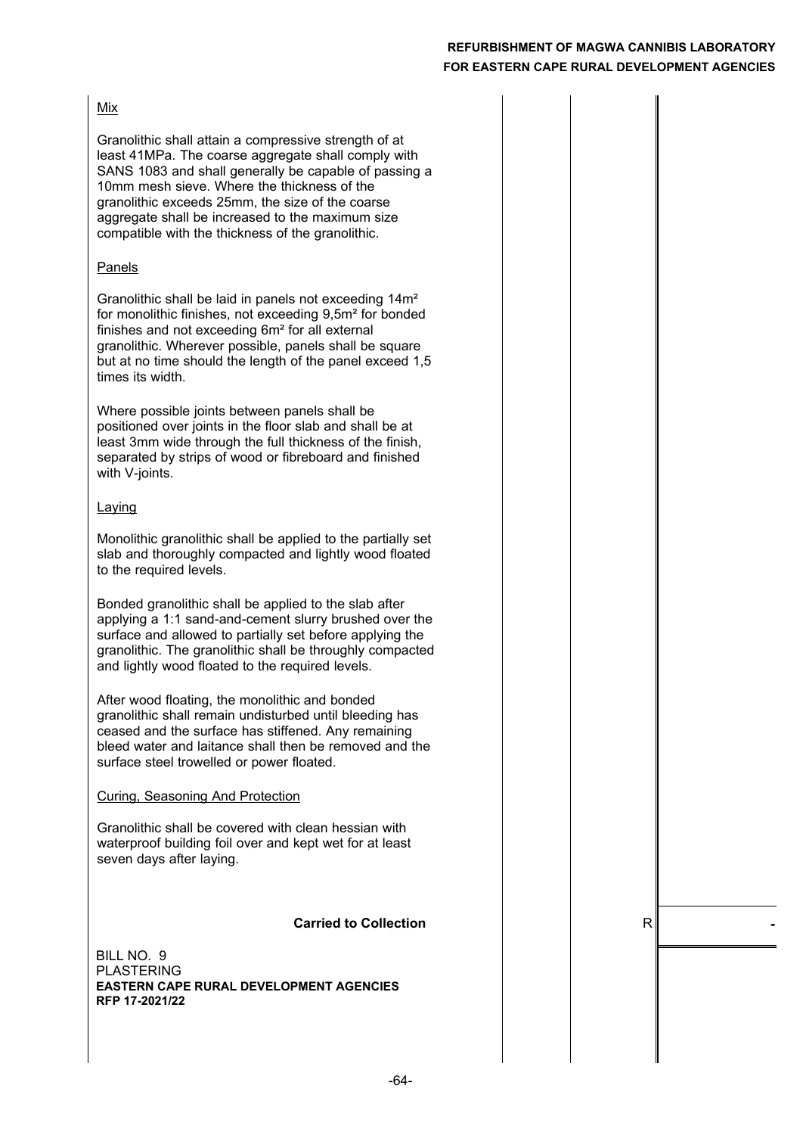#### Mix

Granolithic shall attain a compressive strength of at least 41MPa. The coarse aggregate shall comply with SANS 1083 and shall generally be capable of passing a 10mm mesh sieve. Where the thickness of the granolithic exceeds 25mm, the size of the coarse aggregate shall be increased to the maximum size compatible with the thickness of the granolithic.

#### Panels

Granolithic shall be laid in panels not exceeding 14m² for monolithic finishes, not exceeding 9,5m² for bonded finishes and not exceeding 6m² for all external granolithic. Wherever possible, panels shall be square but at no time should the length of the panel exceed 1,5 times its width.

Where possible joints between panels shall be positioned over joints in the floor slab and shall be at least 3mm wide through the full thickness of the finish, separated by strips of wood or fibreboard and finished with V-joints.

#### Laying

Monolithic granolithic shall be applied to the partially set slab and thoroughly compacted and lightly wood floated to the required levels.

Bonded granolithic shall be applied to the slab after applying a 1:1 sand-and-cement slurry brushed over the surface and allowed to partially set before applying the granolithic. The granolithic shall be throughly compacted and lightly wood floated to the required levels.

After wood floating, the monolithic and bonded granolithic shall remain undisturbed until bleeding has ceased and the surface has stiffened. Any remaining bleed water and laitance shall then be removed and the surface steel trowelled or power floated.

Curing, Seasoning And Protection

Granolithic shall be covered with clean hessian with waterproof building foil over and kept wet for at least seven days after laying.

#### **Carried to Collection**  $\qquad$  | R

PLASTERING BILL NO. 9 **EASTERN CAPE RURAL DEVELOPMENT AGENCIES RFP 17-2021/22**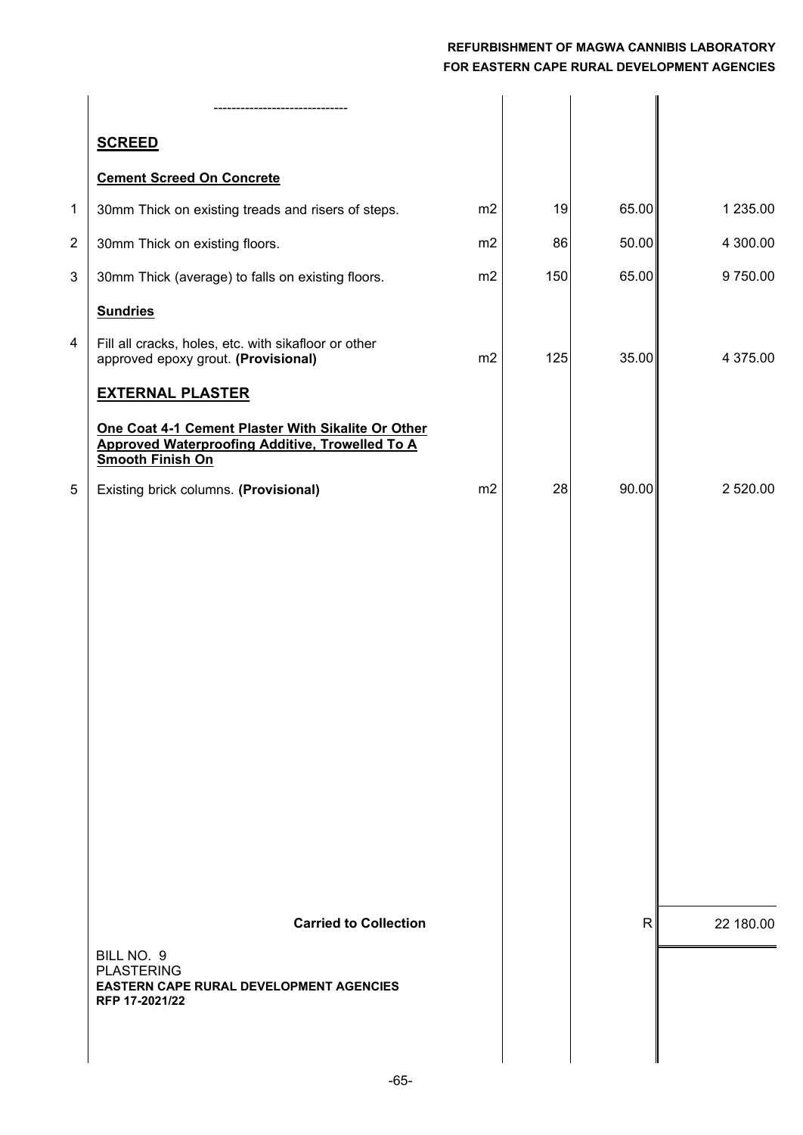|   | <b>SCREED</b>                                                                                                                    |    |     |              |           |
|---|----------------------------------------------------------------------------------------------------------------------------------|----|-----|--------------|-----------|
|   | <b>Cement Screed On Concrete</b>                                                                                                 |    |     |              |           |
| 1 | 30mm Thick on existing treads and risers of steps.                                                                               | m2 | 19  | 65.00        | 1 235.00  |
| 2 | 30mm Thick on existing floors.                                                                                                   | m2 | 86  | 50.00        | 4 300.00  |
| 3 | 30mm Thick (average) to falls on existing floors.                                                                                | m2 | 150 | 65.00        | 9750.00   |
|   | <b>Sundries</b>                                                                                                                  |    |     |              |           |
| 4 | Fill all cracks, holes, etc. with sikafloor or other<br>approved epoxy grout. (Provisional)                                      | m2 | 125 | 35.00        | 4 375.00  |
|   | <b>EXTERNAL PLASTER</b>                                                                                                          |    |     |              |           |
|   | One Coat 4-1 Cement Plaster With Sikalite Or Other<br>Approved Waterproofing Additive, Trowelled To A<br><b>Smooth Finish On</b> |    |     |              |           |
| 5 | Existing brick columns. (Provisional)                                                                                            | m2 | 28  | 90.00        | 2 520.00  |
|   |                                                                                                                                  |    |     |              |           |
|   |                                                                                                                                  |    |     |              |           |
|   |                                                                                                                                  |    |     |              |           |
|   |                                                                                                                                  |    |     |              |           |
|   |                                                                                                                                  |    |     |              |           |
|   |                                                                                                                                  |    |     |              |           |
|   |                                                                                                                                  |    |     |              |           |
|   |                                                                                                                                  |    |     |              |           |
|   |                                                                                                                                  |    |     |              |           |
|   |                                                                                                                                  |    |     |              |           |
|   |                                                                                                                                  |    |     |              |           |
|   | <b>Carried to Collection</b>                                                                                                     |    |     | $\mathsf{R}$ | 22 180.00 |
|   | BILL NO. 9                                                                                                                       |    |     |              |           |
|   | <b>PLASTERING</b><br><b>EASTERN CAPE RURAL DEVELOPMENT AGENCIES</b>                                                              |    |     |              |           |
|   | RFP 17-2021/22                                                                                                                   |    |     |              |           |
|   |                                                                                                                                  |    |     |              |           |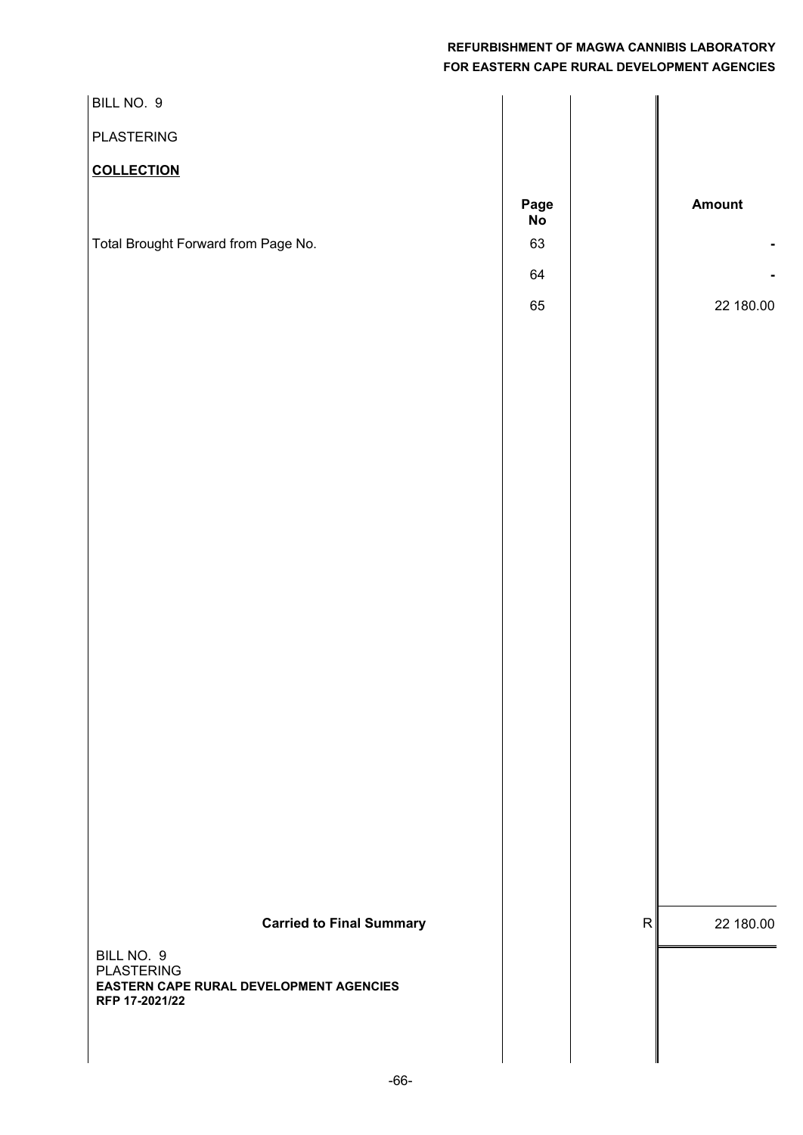| BILL NO. 9                                                |            |                        |  |
|-----------------------------------------------------------|------------|------------------------|--|
| <b>PLASTERING</b>                                         |            |                        |  |
| <b>COLLECTION</b>                                         |            |                        |  |
|                                                           | Page<br>No | Amount                 |  |
| Total Brought Forward from Page No.                       | 63         |                        |  |
|                                                           | 64         |                        |  |
|                                                           | 65         | 22 180.00              |  |
|                                                           |            |                        |  |
|                                                           |            |                        |  |
|                                                           |            |                        |  |
|                                                           |            |                        |  |
|                                                           |            |                        |  |
|                                                           |            |                        |  |
|                                                           |            |                        |  |
|                                                           |            |                        |  |
|                                                           |            |                        |  |
|                                                           |            |                        |  |
|                                                           |            |                        |  |
|                                                           |            |                        |  |
|                                                           |            |                        |  |
|                                                           |            |                        |  |
|                                                           |            |                        |  |
|                                                           |            |                        |  |
|                                                           |            |                        |  |
| <b>Carried to Final Summary</b>                           |            | ${\sf R}$<br>22 180.00 |  |
| BILL NO. 9<br><b>PLASTERING</b>                           |            |                        |  |
| EASTERN CAPE RURAL DEVELOPMENT AGENCIES<br>RFP 17-2021/22 |            |                        |  |
|                                                           |            |                        |  |
|                                                           |            |                        |  |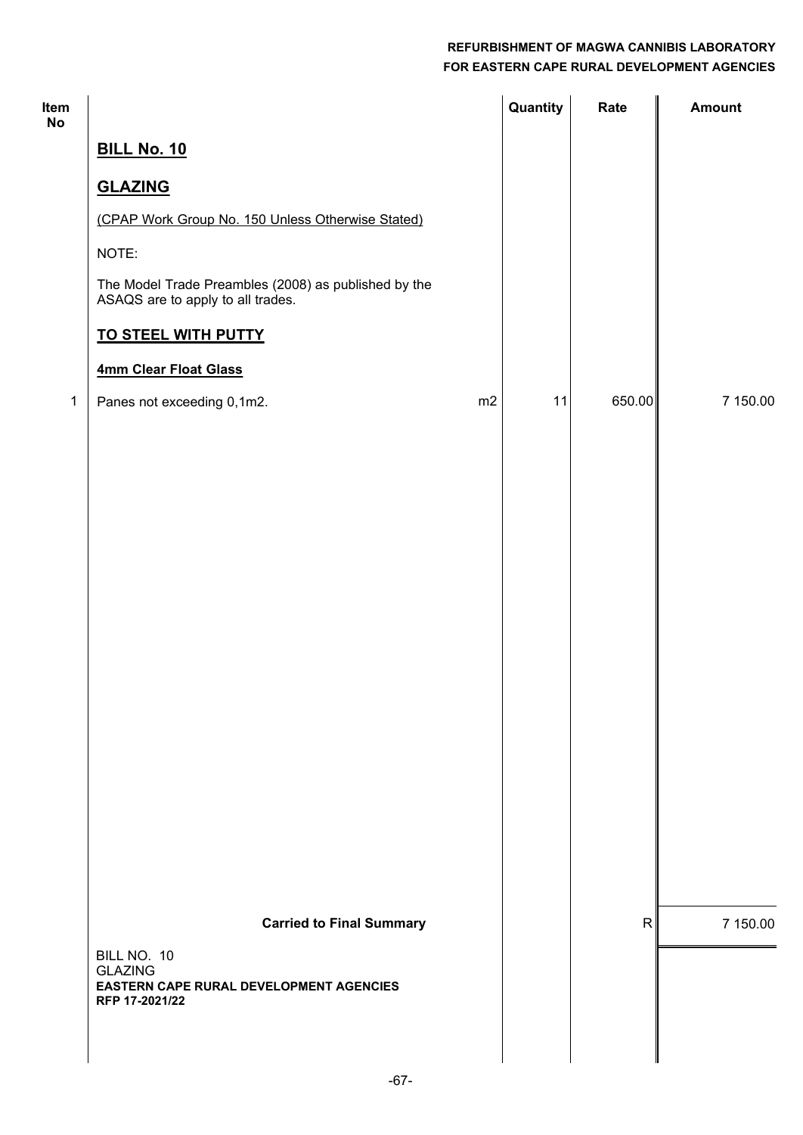| Item<br><b>No</b> |                                                                                           |    | Quantity | Rate         | <b>Amount</b> |
|-------------------|-------------------------------------------------------------------------------------------|----|----------|--------------|---------------|
|                   | <b>BILL No. 10</b>                                                                        |    |          |              |               |
|                   | <b>GLAZING</b>                                                                            |    |          |              |               |
|                   | (CPAP Work Group No. 150 Unless Otherwise Stated)                                         |    |          |              |               |
|                   | NOTE:                                                                                     |    |          |              |               |
|                   | The Model Trade Preambles (2008) as published by the<br>ASAQS are to apply to all trades. |    |          |              |               |
|                   | <b>TO STEEL WITH PUTTY</b>                                                                |    |          |              |               |
|                   | 4mm Clear Float Glass                                                                     |    |          |              |               |
| $\mathbf{1}$      | Panes not exceeding 0,1m2.                                                                | m2 | 11       | 650.00       | 7 150.00      |
|                   |                                                                                           |    |          |              |               |
|                   |                                                                                           |    |          |              |               |
|                   |                                                                                           |    |          |              |               |
|                   |                                                                                           |    |          |              |               |
|                   |                                                                                           |    |          |              |               |
|                   |                                                                                           |    |          |              |               |
|                   |                                                                                           |    |          |              |               |
|                   |                                                                                           |    |          |              |               |
|                   |                                                                                           |    |          |              |               |
|                   |                                                                                           |    |          |              |               |
|                   |                                                                                           |    |          |              |               |
|                   |                                                                                           |    |          |              |               |
|                   |                                                                                           |    |          |              |               |
|                   |                                                                                           |    |          |              |               |
|                   |                                                                                           |    |          |              |               |
|                   | <b>Carried to Final Summary</b>                                                           |    |          | $\mathsf{R}$ | 7 150.00      |
|                   | BILL NO. 10                                                                               |    |          |              |               |
|                   | <b>GLAZING</b><br>EASTERN CAPE RURAL DEVELOPMENT AGENCIES<br>RFP 17-2021/22               |    |          |              |               |
|                   |                                                                                           |    |          |              |               |
|                   |                                                                                           |    |          |              |               |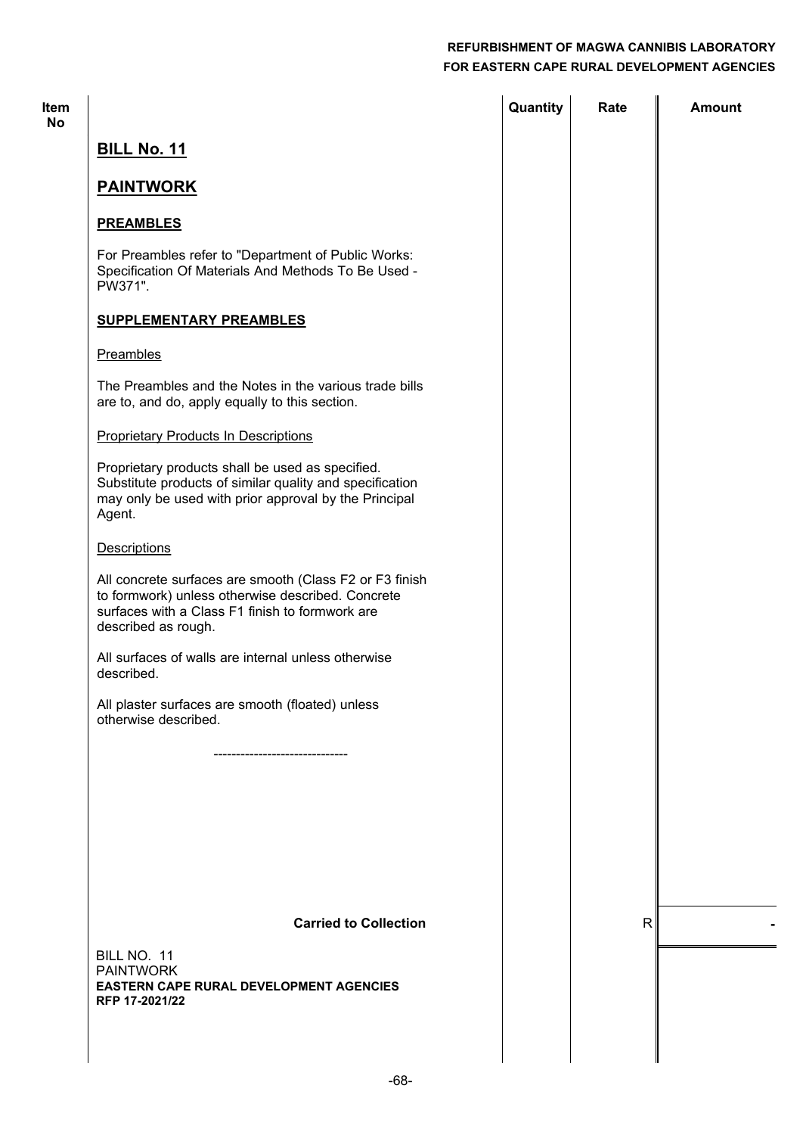| <b>Item</b><br><b>No</b> |                                                                                                                                                                                        | Quantity | Rate         | <b>Amount</b> |
|--------------------------|----------------------------------------------------------------------------------------------------------------------------------------------------------------------------------------|----------|--------------|---------------|
|                          | <b>BILL No. 11</b>                                                                                                                                                                     |          |              |               |
|                          | <b>PAINTWORK</b>                                                                                                                                                                       |          |              |               |
|                          | <b>PREAMBLES</b>                                                                                                                                                                       |          |              |               |
|                          | For Preambles refer to "Department of Public Works:<br>Specification Of Materials And Methods To Be Used -<br>PW371".                                                                  |          |              |               |
|                          | <b>SUPPLEMENTARY PREAMBLES</b>                                                                                                                                                         |          |              |               |
|                          | Preambles                                                                                                                                                                              |          |              |               |
|                          | The Preambles and the Notes in the various trade bills<br>are to, and do, apply equally to this section.                                                                               |          |              |               |
|                          | <b>Proprietary Products In Descriptions</b>                                                                                                                                            |          |              |               |
|                          | Proprietary products shall be used as specified.<br>Substitute products of similar quality and specification<br>may only be used with prior approval by the Principal<br>Agent.        |          |              |               |
|                          | <b>Descriptions</b>                                                                                                                                                                    |          |              |               |
|                          | All concrete surfaces are smooth (Class F2 or F3 finish<br>to formwork) unless otherwise described. Concrete<br>surfaces with a Class F1 finish to formwork are<br>described as rough. |          |              |               |
|                          | All surfaces of walls are internal unless otherwise<br>described.                                                                                                                      |          |              |               |
|                          | All plaster surfaces are smooth (floated) unless<br>otherwise described.                                                                                                               |          |              |               |
|                          |                                                                                                                                                                                        |          |              |               |
|                          |                                                                                                                                                                                        |          |              |               |
|                          |                                                                                                                                                                                        |          |              |               |
|                          |                                                                                                                                                                                        |          |              |               |
|                          |                                                                                                                                                                                        |          |              |               |
|                          | <b>Carried to Collection</b><br>BILL NO. 11                                                                                                                                            |          | $\mathsf{R}$ |               |
|                          | <b>PAINTWORK</b><br>EASTERN CAPE RURAL DEVELOPMENT AGENCIES<br>RFP 17-2021/22                                                                                                          |          |              |               |
|                          |                                                                                                                                                                                        |          |              |               |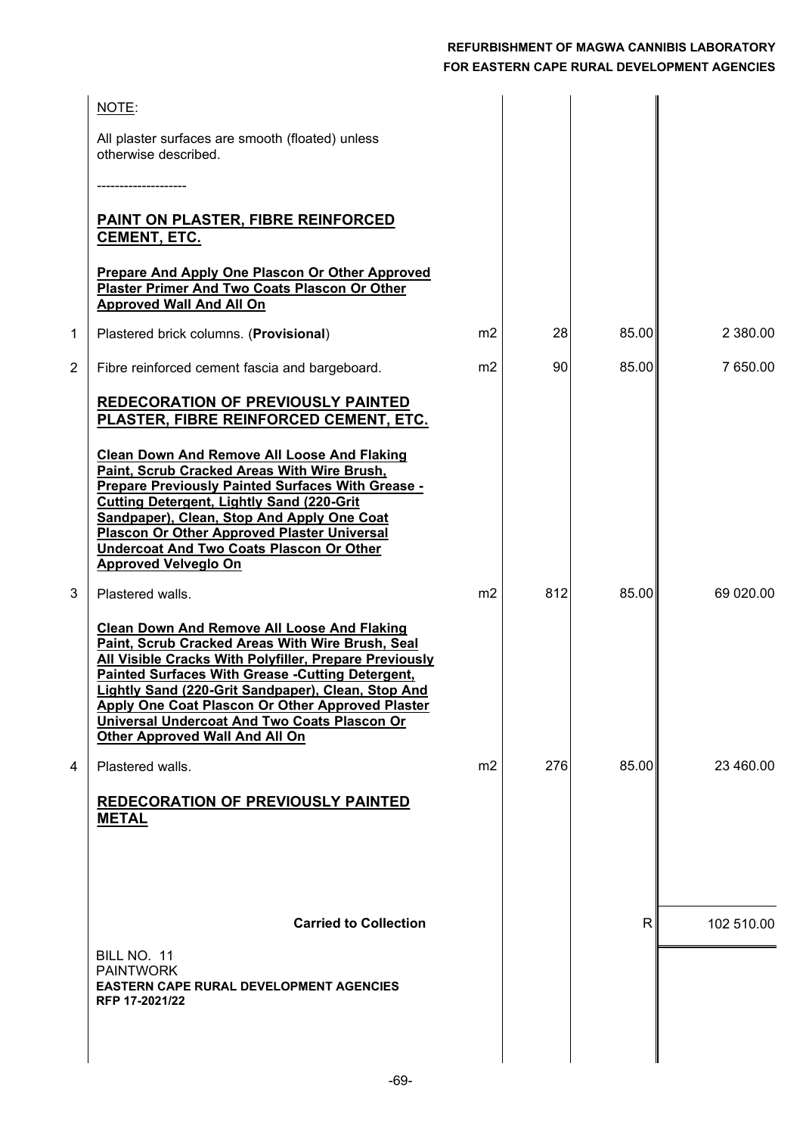|   | NOTE:                                                                                                                                                                                                                                                                                                                                                                                                                           |                |     |       |            |
|---|---------------------------------------------------------------------------------------------------------------------------------------------------------------------------------------------------------------------------------------------------------------------------------------------------------------------------------------------------------------------------------------------------------------------------------|----------------|-----|-------|------------|
|   | All plaster surfaces are smooth (floated) unless<br>otherwise described.                                                                                                                                                                                                                                                                                                                                                        |                |     |       |            |
|   |                                                                                                                                                                                                                                                                                                                                                                                                                                 |                |     |       |            |
|   | <b>PAINT ON PLASTER, FIBRE REINFORCED</b><br><b>CEMENT, ETC.</b>                                                                                                                                                                                                                                                                                                                                                                |                |     |       |            |
|   | <b>Prepare And Apply One Plascon Or Other Approved</b><br>Plaster Primer And Two Coats Plascon Or Other<br><b>Approved Wall And All On</b>                                                                                                                                                                                                                                                                                      |                |     |       |            |
| 1 | Plastered brick columns. (Provisional)                                                                                                                                                                                                                                                                                                                                                                                          | m2             | 28  | 85.00 | 2 380.00   |
| 2 | Fibre reinforced cement fascia and bargeboard.                                                                                                                                                                                                                                                                                                                                                                                  | m2             | 90  | 85.00 | 7 650.00   |
|   | <b>REDECORATION OF PREVIOUSLY PAINTED</b><br>PLASTER, FIBRE REINFORCED CEMENT, ETC.                                                                                                                                                                                                                                                                                                                                             |                |     |       |            |
|   | <b>Clean Down And Remove All Loose And Flaking</b><br>Paint, Scrub Cracked Areas With Wire Brush,<br><b>Prepare Previously Painted Surfaces With Grease -</b><br><b>Cutting Detergent, Lightly Sand (220-Grit</b><br>Sandpaper), Clean, Stop And Apply One Coat<br><b>Plascon Or Other Approved Plaster Universal</b><br><b>Undercoat And Two Coats Plascon Or Other</b><br><b>Approved Velveglo On</b>                         |                |     |       |            |
| 3 | Plastered walls.                                                                                                                                                                                                                                                                                                                                                                                                                | m2             | 812 | 85.00 | 69 020.00  |
|   | <b>Clean Down And Remove All Loose And Flaking</b><br>Paint, Scrub Cracked Areas With Wire Brush, Seal<br>All Visible Cracks With Polyfiller, Prepare Previously<br><b>Painted Surfaces With Grease - Cutting Detergent,</b><br>Lightly Sand (220-Grit Sandpaper), Clean, Stop And<br><b>Apply One Coat Plascon Or Other Approved Plaster</b><br>Universal Undercoat And Two Coats Plascon Or<br>Other Approved Wall And All On |                |     |       |            |
| 4 | Plastered walls.                                                                                                                                                                                                                                                                                                                                                                                                                | m <sub>2</sub> | 276 | 85.00 | 23 460.00  |
|   | <b>REDECORATION OF PREVIOUSLY PAINTED</b><br><b>METAL</b>                                                                                                                                                                                                                                                                                                                                                                       |                |     |       |            |
|   |                                                                                                                                                                                                                                                                                                                                                                                                                                 |                |     |       |            |
|   | <b>Carried to Collection</b>                                                                                                                                                                                                                                                                                                                                                                                                    |                |     | R     | 102 510.00 |
|   | BILL NO. 11<br><b>PAINTWORK</b><br><b>EASTERN CAPE RURAL DEVELOPMENT AGENCIES</b><br>RFP 17-2021/22                                                                                                                                                                                                                                                                                                                             |                |     |       |            |
|   |                                                                                                                                                                                                                                                                                                                                                                                                                                 |                |     |       |            |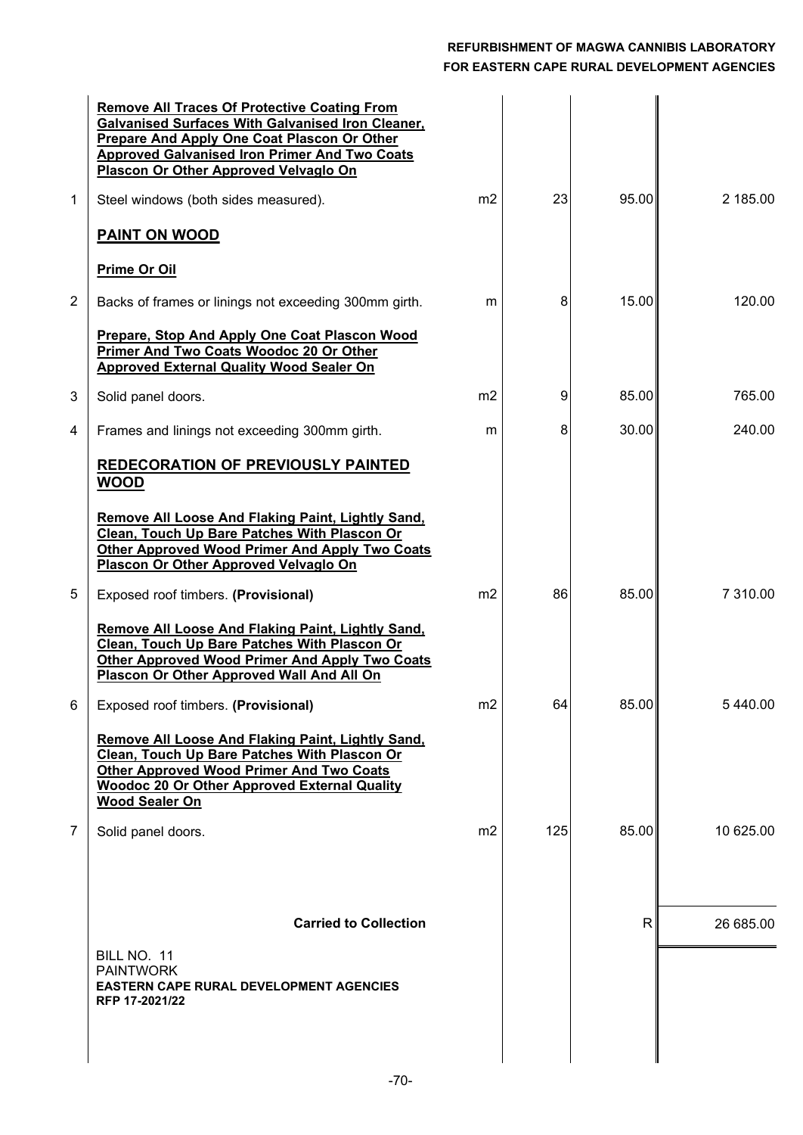|                | <b>Remove All Traces Of Protective Coating From</b><br><b>Galvanised Surfaces With Galvanised Iron Cleaner,</b><br>Prepare And Apply One Coat Plascon Or Other<br><b>Approved Galvanised Iron Primer And Two Coats</b><br>Plascon Or Other Approved Velvaglo On |                |     |                |           |
|----------------|-----------------------------------------------------------------------------------------------------------------------------------------------------------------------------------------------------------------------------------------------------------------|----------------|-----|----------------|-----------|
| 1              | Steel windows (both sides measured).                                                                                                                                                                                                                            | m <sub>2</sub> | 23  | 95.00          | 2 185.00  |
|                | <b>PAINT ON WOOD</b>                                                                                                                                                                                                                                            |                |     |                |           |
|                | <b>Prime Or Oil</b>                                                                                                                                                                                                                                             |                |     |                |           |
| 2              | Backs of frames or linings not exceeding 300mm girth.                                                                                                                                                                                                           | m              | 8   | 15.00          | 120.00    |
|                | Prepare, Stop And Apply One Coat Plascon Wood<br>Primer And Two Coats Woodoc 20 Or Other<br><b>Approved External Quality Wood Sealer On</b>                                                                                                                     |                |     |                |           |
| 3              | Solid panel doors.                                                                                                                                                                                                                                              | m <sub>2</sub> | 9   | 85.00          | 765.00    |
| 4              | Frames and linings not exceeding 300mm girth.                                                                                                                                                                                                                   | m              | 8   | 30.00          | 240.00    |
|                | REDECORATION OF PREVIOUSLY PAINTED<br><b>WOOD</b>                                                                                                                                                                                                               |                |     |                |           |
|                | Remove All Loose And Flaking Paint, Lightly Sand,<br>Clean, Touch Up Bare Patches With Plascon Or<br><b>Other Approved Wood Primer And Apply Two Coats</b><br>Plascon Or Other Approved Velvaglo On                                                             |                |     |                |           |
| 5              | Exposed roof timbers. (Provisional)                                                                                                                                                                                                                             | m <sub>2</sub> | 86  | 85.00          | 7 310.00  |
|                | Remove All Loose And Flaking Paint, Lightly Sand,<br>Clean, Touch Up Bare Patches With Plascon Or<br><b>Other Approved Wood Primer And Apply Two Coats</b><br>Plascon Or Other Approved Wall And All On                                                         |                |     |                |           |
| 6              | Exposed roof timbers. (Provisional)                                                                                                                                                                                                                             | m <sub>2</sub> | 64  | 85.00          | 5 440.00  |
|                | Remove All Loose And Flaking Paint, Lightly Sand,<br>Clean, Touch Up Bare Patches With Plascon Or<br><b>Other Approved Wood Primer And Two Coats</b><br><b>Woodoc 20 Or Other Approved External Quality</b><br><b>Wood Sealer On</b>                            |                |     |                |           |
| $\overline{7}$ | Solid panel doors.                                                                                                                                                                                                                                              | m <sub>2</sub> | 125 | 85.00          | 10 625.00 |
|                |                                                                                                                                                                                                                                                                 |                |     |                |           |
|                | <b>Carried to Collection</b>                                                                                                                                                                                                                                    |                |     | R <sup>1</sup> | 26 685.00 |
|                | BILL NO. 11<br><b>PAINTWORK</b><br><b>EASTERN CAPE RURAL DEVELOPMENT AGENCIES</b><br>RFP 17-2021/22                                                                                                                                                             |                |     |                |           |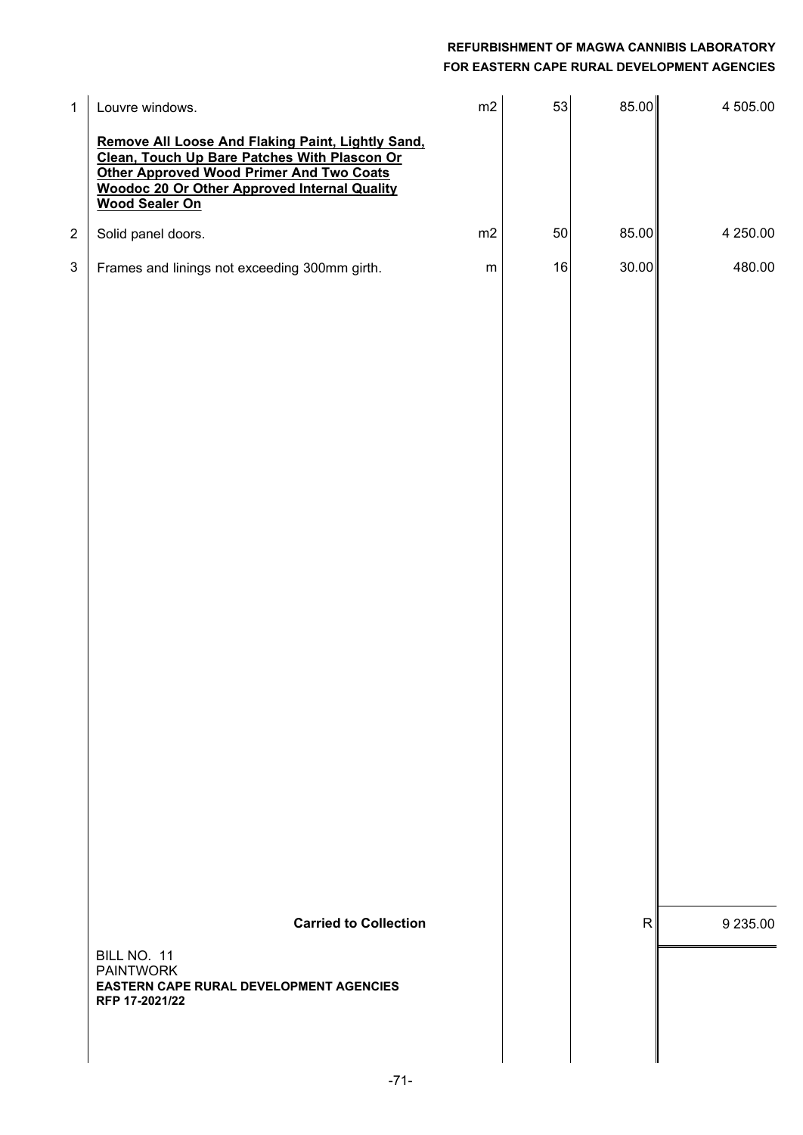| $\mathbf{1}$            | Louvre windows.                                                                                                                                                                                                                      | m2        | 53     | 85.00        | 4 505.00 |
|-------------------------|--------------------------------------------------------------------------------------------------------------------------------------------------------------------------------------------------------------------------------------|-----------|--------|--------------|----------|
|                         | Remove All Loose And Flaking Paint, Lightly Sand,<br>Clean, Touch Up Bare Patches With Plascon Or<br><b>Other Approved Wood Primer And Two Coats</b><br><b>Woodoc 20 Or Other Approved Internal Quality</b><br><b>Wood Sealer On</b> |           |        |              |          |
| $\overline{\mathbf{c}}$ | Solid panel doors.                                                                                                                                                                                                                   | m2        | 50     | 85.00        | 4 250.00 |
| 3                       | Frames and linings not exceeding 300mm girth.                                                                                                                                                                                        | ${\sf m}$ | $16\,$ | 30.00        | 480.00   |
|                         | <b>Carried to Collection</b><br>BILL NO. 11<br><b>PAINTWORK</b><br>EASTERN CAPE RURAL DEVELOPMENT AGENCIES<br>RFP 17-2021/22                                                                                                         |           |        | $\mathsf{R}$ | 9 235.00 |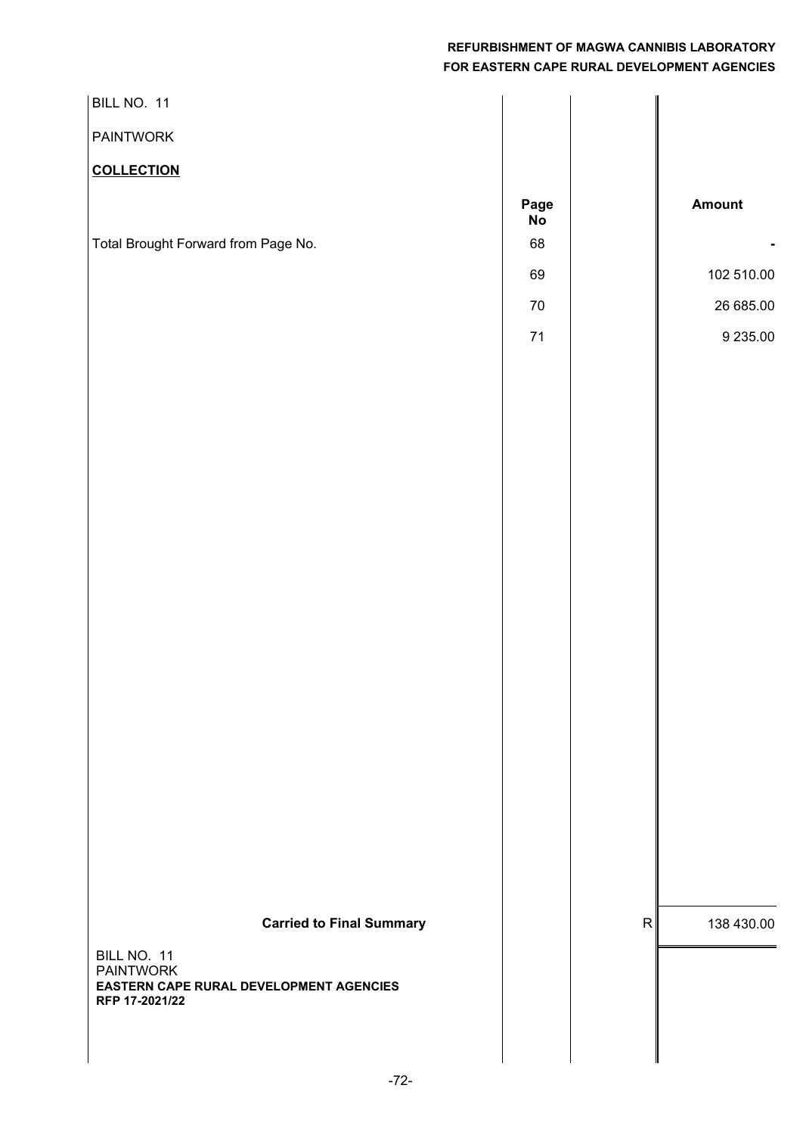| BILL NO. 11                                                                                                                     |                                          |              |                                               |
|---------------------------------------------------------------------------------------------------------------------------------|------------------------------------------|--------------|-----------------------------------------------|
| <b>PAINTWORK</b>                                                                                                                |                                          |              |                                               |
| <b>COLLECTION</b>                                                                                                               |                                          |              |                                               |
| Total Brought Forward from Page No.                                                                                             | Page<br>No<br>68<br>69<br>$70\,$<br>$71$ |              | Amount<br>102 510.00<br>26 685.00<br>9 235.00 |
| <b>Carried to Final Summary</b><br>BILL NO. 11<br><b>PAINTWORK</b><br>EASTERN CAPE RURAL DEVELOPMENT AGENCIES<br>RFP 17-2021/22 |                                          | $\mathsf{R}$ | 138 430.00                                    |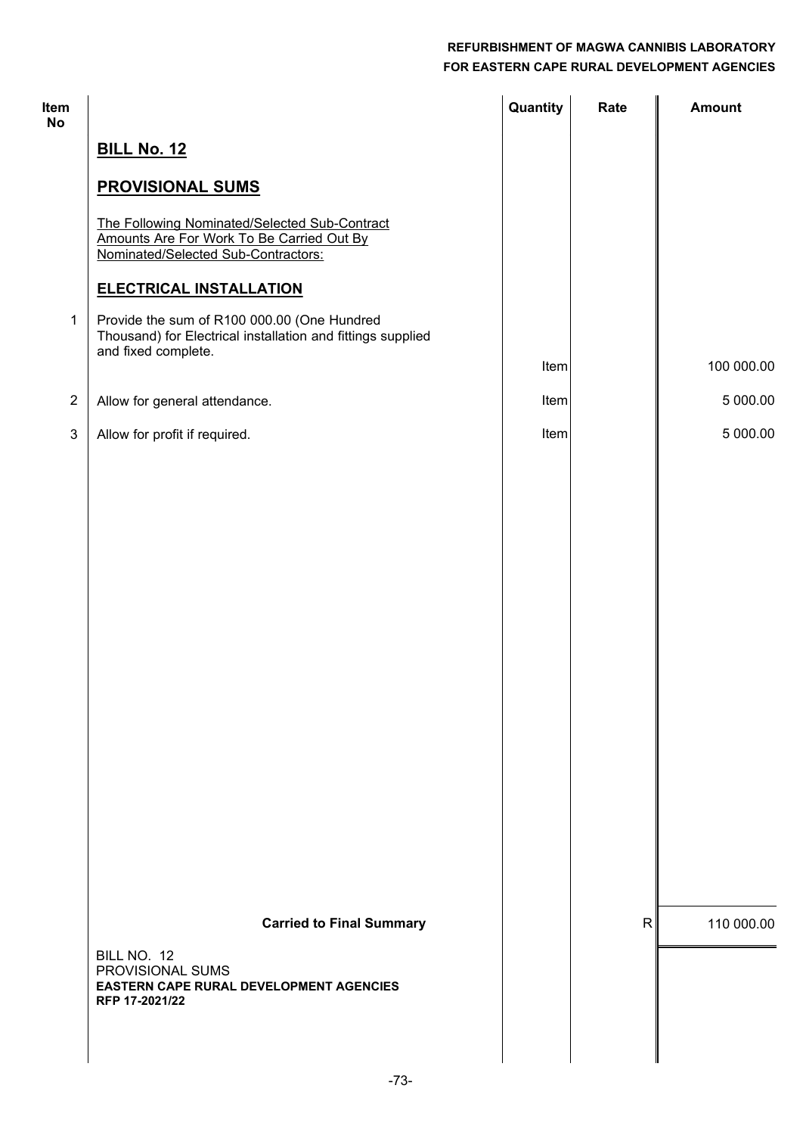## **FOR EASTERN CAPE RURAL DEVELOPMENT AGENCIES REFURBISHMENT OF MAGWA CANNIBIS LABORATORY**

| Item<br>No     |                                                                                                                                   | Quantity | Rate         | <b>Amount</b> |
|----------------|-----------------------------------------------------------------------------------------------------------------------------------|----------|--------------|---------------|
|                | <b>BILL No. 12</b>                                                                                                                |          |              |               |
|                | <b>PROVISIONAL SUMS</b>                                                                                                           |          |              |               |
|                | The Following Nominated/Selected Sub-Contract<br>Amounts Are For Work To Be Carried Out By<br>Nominated/Selected Sub-Contractors: |          |              |               |
|                | <b>ELECTRICAL INSTALLATION</b>                                                                                                    |          |              |               |
| $\mathbf 1$    | Provide the sum of R100 000.00 (One Hundred<br>Thousand) for Electrical installation and fittings supplied<br>and fixed complete. |          |              |               |
|                |                                                                                                                                   | Item     |              | 100 000.00    |
| $\sqrt{2}$     | Allow for general attendance.                                                                                                     | Item     |              | 5 000.00      |
| $\mathfrak{S}$ | Allow for profit if required.                                                                                                     | Item     |              | 5 000.00      |
|                |                                                                                                                                   |          |              |               |
|                |                                                                                                                                   |          |              |               |
|                |                                                                                                                                   |          |              |               |
|                |                                                                                                                                   |          |              |               |
|                |                                                                                                                                   |          |              |               |
|                |                                                                                                                                   |          |              |               |
|                |                                                                                                                                   |          |              |               |
|                |                                                                                                                                   |          |              |               |
|                |                                                                                                                                   |          |              |               |
|                |                                                                                                                                   |          |              |               |
|                |                                                                                                                                   |          |              |               |
|                |                                                                                                                                   |          |              |               |
|                |                                                                                                                                   |          |              |               |
|                | <b>Carried to Final Summary</b>                                                                                                   |          | $\mathsf{R}$ | 110 000.00    |
|                | BILL NO. 12<br>PROVISIONAL SUMS<br><b>EASTERN CAPE RURAL DEVELOPMENT AGENCIES</b><br>RFP 17-2021/22                               |          |              |               |
|                |                                                                                                                                   |          |              |               |